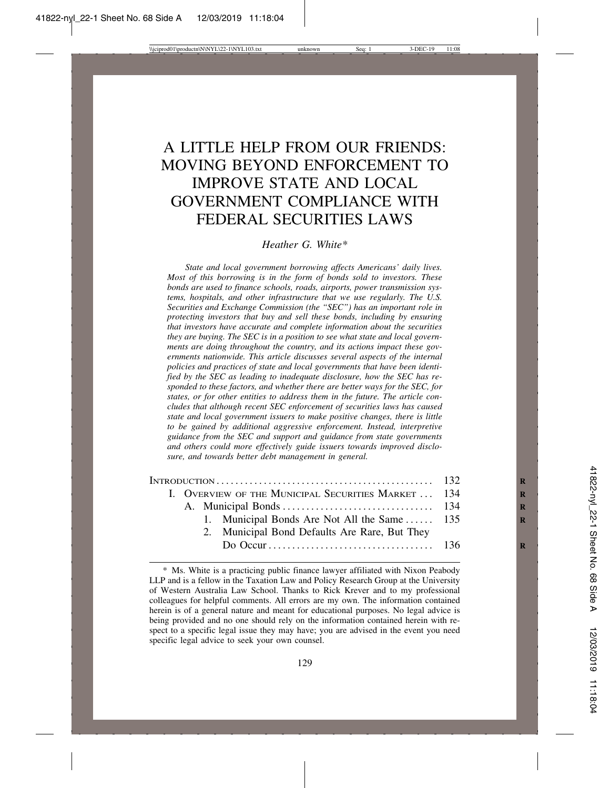# A LITTLE HELP FROM OUR FRIENDS: MOVING BEYOND ENFORCEMENT TO IMPROVE STATE AND LOCAL GOVERNMENT COMPLIANCE WITH FEDERAL SECURITIES LAWS

#### *Heather G. White\**

*State and local government borrowing affects Americans' daily lives. Most of this borrowing is in the form of bonds sold to investors. These bonds are used to finance schools, roads, airports, power transmission systems, hospitals, and other infrastructure that we use regularly. The U.S. Securities and Exchange Commission (the "SEC") has an important role in protecting investors that buy and sell these bonds, including by ensuring that investors have accurate and complete information about the securities they are buying. The SEC is in a position to see what state and local governments are doing throughout the country, and its actions impact these governments nationwide. This article discusses several aspects of the internal policies and practices of state and local governments that have been identified by the SEC as leading to inadequate disclosure, how the SEC has responded to these factors, and whether there are better ways for the SEC, for states, or for other entities to address them in the future. The article concludes that although recent SEC enforcement of securities laws has caused state and local government issuers to make positive changes, there is little to be gained by additional aggressive enforcement. Instead, interpretive guidance from the SEC and support and guidance from state governments and others could more effectively guide issuers towards improved disclosure, and towards better debt management in general.*

| I. OVERVIEW OF THE MUNICIPAL SECURITIES MARKET  134 |  |
|-----------------------------------------------------|--|
|                                                     |  |
| 1. Municipal Bonds Are Not All the Same  135        |  |
| 2. Municipal Bond Defaults Are Rare, But They       |  |
|                                                     |  |
|                                                     |  |

<sup>\*</sup> Ms. White is a practicing public finance lawyer affiliated with Nixon Peabody LLP and is a fellow in the Taxation Law and Policy Research Group at the University of Western Australia Law School. Thanks to Rick Krever and to my professional colleagues for helpful comments. All errors are my own. The information contained herein is of a general nature and meant for educational purposes. No legal advice is being provided and no one should rely on the information contained herein with respect to a specific legal issue they may have; you are advised in the event you need specific legal advice to seek your own counsel.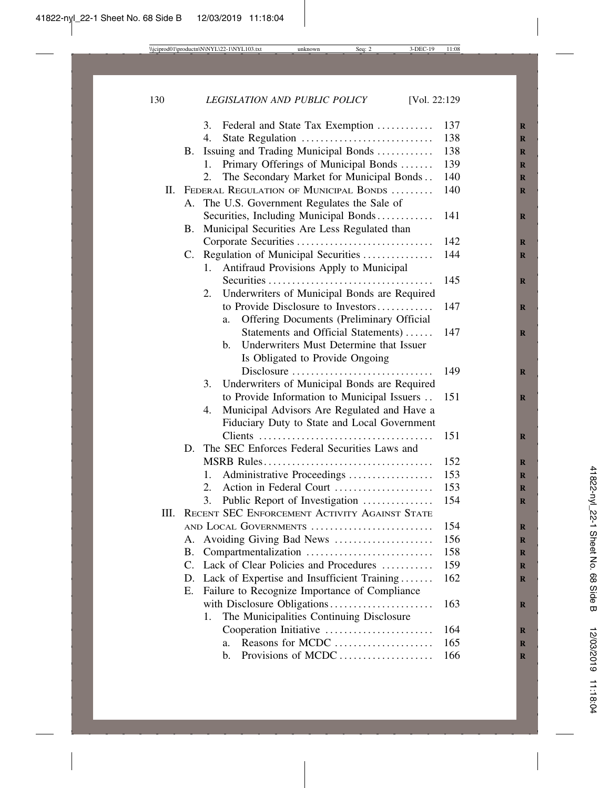|      |                                                | Federal and State Tax Exemption<br>3.                     | 137 |  |  |  |  |
|------|------------------------------------------------|-----------------------------------------------------------|-----|--|--|--|--|
|      |                                                | 4.<br>State Regulation                                    | 138 |  |  |  |  |
|      | <b>B.</b>                                      | Issuing and Trading Municipal Bonds                       | 138 |  |  |  |  |
|      |                                                | Primary Offerings of Municipal Bonds<br>1.                | 139 |  |  |  |  |
|      |                                                | The Secondary Market for Municipal Bonds<br>2.            | 140 |  |  |  |  |
| П.   |                                                | FEDERAL REGULATION OF MUNICIPAL BONDS                     | 140 |  |  |  |  |
|      | А.                                             | The U.S. Government Regulates the Sale of                 |     |  |  |  |  |
|      |                                                | Securities, Including Municipal Bonds                     | 141 |  |  |  |  |
|      | B.                                             | Municipal Securities Are Less Regulated than              |     |  |  |  |  |
|      |                                                |                                                           | 142 |  |  |  |  |
|      | C.                                             | Regulation of Municipal Securities                        | 144 |  |  |  |  |
|      |                                                | Antifraud Provisions Apply to Municipal<br>1.             |     |  |  |  |  |
|      |                                                |                                                           | 145 |  |  |  |  |
|      |                                                | Underwriters of Municipal Bonds are Required<br>2.        |     |  |  |  |  |
|      |                                                | to Provide Disclosure to Investors                        | 147 |  |  |  |  |
|      |                                                | <b>Offering Documents (Preliminary Official</b><br>a.     |     |  |  |  |  |
|      |                                                | Statements and Official Statements)                       | 147 |  |  |  |  |
|      |                                                | Underwriters Must Determine that Issuer<br>$\mathbf{b}$ . |     |  |  |  |  |
|      |                                                | Is Obligated to Provide Ongoing                           |     |  |  |  |  |
|      |                                                | Disclosure                                                | 149 |  |  |  |  |
|      |                                                | Underwriters of Municipal Bonds are Required<br>3.        |     |  |  |  |  |
|      |                                                | to Provide Information to Municipal Issuers               | 151 |  |  |  |  |
|      |                                                | Municipal Advisors Are Regulated and Have a<br>4.         |     |  |  |  |  |
|      |                                                | Fiduciary Duty to State and Local Government              |     |  |  |  |  |
|      |                                                | Clients                                                   | 151 |  |  |  |  |
|      | D.                                             | The SEC Enforces Federal Securities Laws and              |     |  |  |  |  |
|      |                                                |                                                           | 152 |  |  |  |  |
|      |                                                | Administrative Proceedings<br>1.                          | 153 |  |  |  |  |
|      |                                                | Action in Federal Court<br>2.                             | 153 |  |  |  |  |
|      |                                                | 3.<br>Public Report of Investigation                      | 154 |  |  |  |  |
| III. | RECENT SEC ENFORCEMENT ACTIVITY AGAINST STATE  |                                                           |     |  |  |  |  |
|      |                                                | AND LOCAL GOVERNMENTS                                     | 154 |  |  |  |  |
|      | А.                                             | Avoiding Giving Bad News                                  | 156 |  |  |  |  |
|      | В.                                             | Compartmentalization                                      | 158 |  |  |  |  |
|      | C.                                             | Lack of Clear Policies and Procedures                     | 159 |  |  |  |  |
|      | D.                                             | Lack of Expertise and Insufficient Training               | 162 |  |  |  |  |
|      | Ε.                                             | Failure to Recognize Importance of Compliance             |     |  |  |  |  |
|      |                                                | with Disclosure Obligations<br>163                        |     |  |  |  |  |
|      | The Municipalities Continuing Disclosure<br>1. |                                                           |     |  |  |  |  |
|      |                                                | Cooperation Initiative                                    | 164 |  |  |  |  |
|      |                                                | Reasons for MCDC<br>a.                                    | 165 |  |  |  |  |
|      |                                                | Provisions of MCDC<br>b.                                  | 166 |  |  |  |  |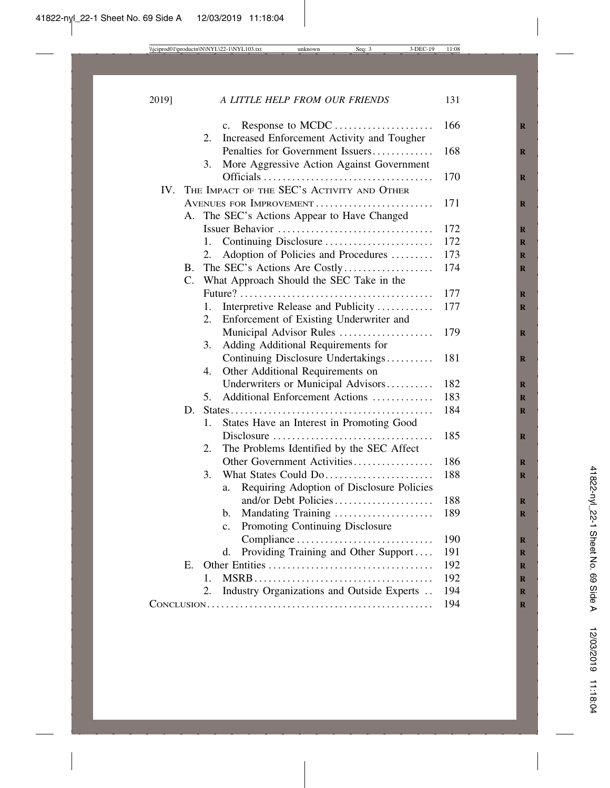2019] *A LITTLE HELP FROM OUR FRIENDS* 131

|                 | 2.                      | Response to MCDC<br>c.                                                         | 166 |
|-----------------|-------------------------|--------------------------------------------------------------------------------|-----|
|                 |                         | Increased Enforcement Activity and Tougher<br>Penalties for Government Issuers | 168 |
|                 | 3.                      | More Aggressive Action Against Government                                      |     |
|                 |                         |                                                                                | 170 |
|                 |                         | THE IMPACT OF THE SEC'S ACTIVITY AND OTHER                                     |     |
| IV.             |                         |                                                                                |     |
|                 | AVENUES FOR IMPROVEMENT | 171                                                                            |     |
| А.              |                         | The SEC's Actions Appear to Have Changed                                       |     |
|                 |                         | Issuer Behavior                                                                | 172 |
|                 | 1.                      | Continuing Disclosure                                                          | 172 |
|                 | 2.                      | Adoption of Policies and Procedures                                            | 173 |
| Β.              |                         | The SEC's Actions Are Costly                                                   | 174 |
| $\mathcal{C}$ . |                         | What Approach Should the SEC Take in the                                       |     |
|                 |                         |                                                                                | 177 |
|                 | 1.                      | Interpretive Release and Publicity                                             | 177 |
|                 | 2.                      | Enforcement of Existing Underwriter and                                        |     |
|                 |                         | Municipal Advisor Rules                                                        | 179 |
|                 | 3.                      | Adding Additional Requirements for                                             |     |
|                 |                         | Continuing Disclosure Undertakings                                             | 181 |
|                 | 4.                      | Other Additional Requirements on                                               |     |
|                 |                         | Underwriters or Municipal Advisors                                             | 182 |
|                 | 5 <sub>1</sub>          | Additional Enforcement Actions                                                 | 183 |
| D.              |                         |                                                                                | 184 |
|                 | 1.                      | States Have an Interest in Promoting Good                                      |     |
|                 |                         |                                                                                | 185 |
|                 | 2.                      | The Problems Identified by the SEC Affect                                      |     |
|                 |                         | Other Government Activities                                                    | 186 |
|                 | 3.                      | What States Could Do                                                           | 188 |
|                 |                         | Requiring Adoption of Disclosure Policies<br>a.                                |     |
|                 |                         | and/or Debt Policies                                                           | 188 |
|                 |                         | Mandating Training<br>$\mathbf{b}$ .                                           | 189 |
|                 |                         | Promoting Continuing Disclosure<br>$\mathbf{c}$ .                              |     |
|                 |                         | Compliance                                                                     | 190 |
|                 |                         | Providing Training and Other Support<br>d.                                     | 191 |
| Е.              |                         |                                                                                | 192 |
|                 | 1.                      |                                                                                | 192 |
|                 | 2.                      | Industry Organizations and Outside Experts                                     | 194 |
|                 |                         |                                                                                | 194 |
|                 |                         |                                                                                |     |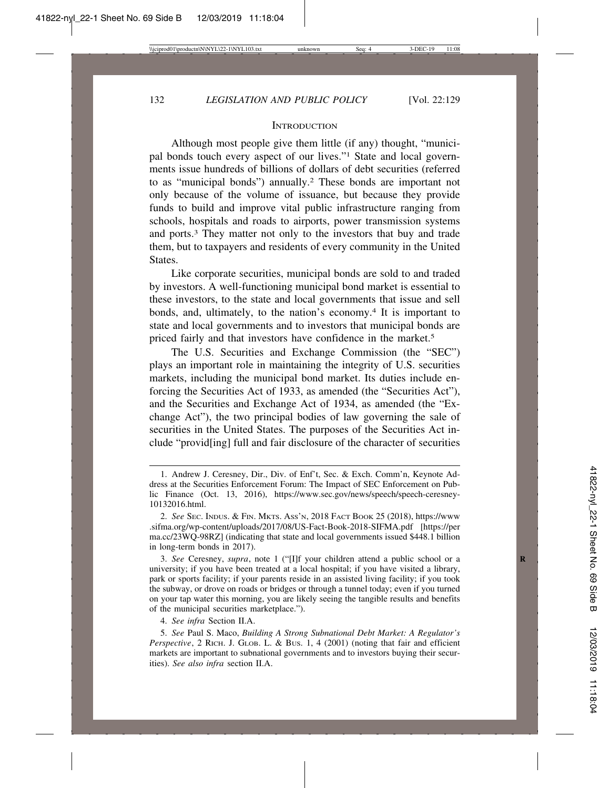#### **INTRODUCTION**

Although most people give them little (if any) thought, "municipal bonds touch every aspect of our lives."1 State and local governments issue hundreds of billions of dollars of debt securities (referred to as "municipal bonds") annually.2 These bonds are important not only because of the volume of issuance, but because they provide funds to build and improve vital public infrastructure ranging from schools, hospitals and roads to airports, power transmission systems and ports.3 They matter not only to the investors that buy and trade them, but to taxpayers and residents of every community in the United States.

Like corporate securities, municipal bonds are sold to and traded by investors. A well-functioning municipal bond market is essential to these investors, to the state and local governments that issue and sell bonds, and, ultimately, to the nation's economy.<sup>4</sup> It is important to state and local governments and to investors that municipal bonds are priced fairly and that investors have confidence in the market.<sup>5</sup>

The U.S. Securities and Exchange Commission (the "SEC") plays an important role in maintaining the integrity of U.S. securities markets, including the municipal bond market. Its duties include enforcing the Securities Act of 1933, as amended (the "Securities Act"), and the Securities and Exchange Act of 1934, as amended (the "Exchange Act"), the two principal bodies of law governing the sale of securities in the United States. The purposes of the Securities Act include "provid[ing] full and fair disclosure of the character of securities

3. *See* Ceresney, *supra*, note 1 ("[I]f your children attend a public school or a **R** university; if you have been treated at a local hospital; if you have visited a library, park or sports facility; if your parents reside in an assisted living facility; if you took the subway, or drove on roads or bridges or through a tunnel today; even if you turned on your tap water this morning, you are likely seeing the tangible results and benefits of the municipal securities marketplace.").

4. *See infra* Section II.A.

5. *See* Paul S. Maco, *Building A Strong Subnational Debt Market: A Regulator's Perspective*, 2 RICH. J. GLOB. L. & BUS. 1, 4 (2001) (noting that fair and efficient markets are important to subnational governments and to investors buying their securities). *See also infra* section II.A.

<sup>1.</sup> Andrew J. Ceresney, Dir., Div. of Enf't, Sec. & Exch. Comm'n, Keynote Address at the Securities Enforcement Forum: The Impact of SEC Enforcement on Public Finance (Oct. 13, 2016), https://www.sec.gov/news/speech/speech-ceresney-10132016.html.

<sup>2.</sup> *See* SEC. INDUS. & FIN. MKTS. ASS'N, 2018 FACT BOOK 25 (2018), https://www .sifma.org/wp-content/uploads/2017/08/US-Fact-Book-2018-SIFMA.pdf [https://per ma.cc/23WQ-98RZ] (indicating that state and local governments issued \$448.1 billion in long-term bonds in 2017).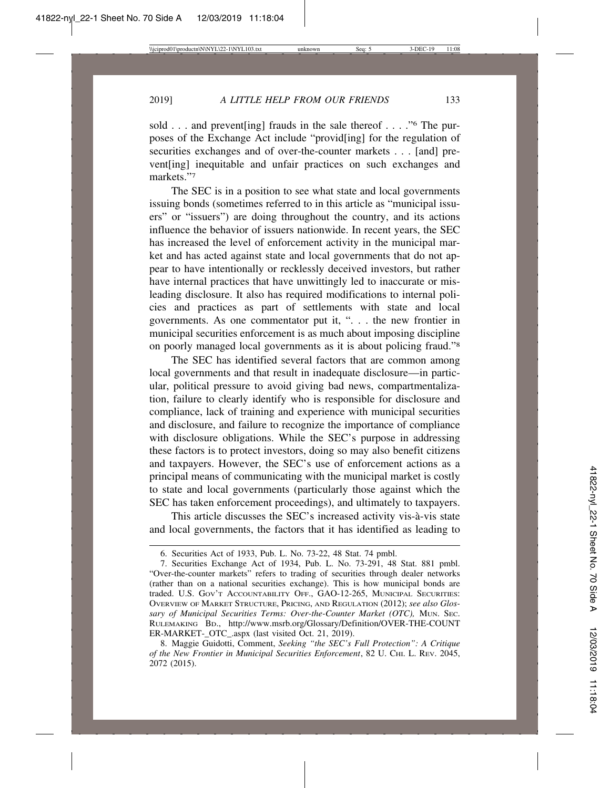sold . . . and prevent [ing] frauds in the sale thereof . . . . . "<sup>6</sup> The purposes of the Exchange Act include "provid[ing] for the regulation of securities exchanges and of over-the-counter markets . . . [and] prevent[ing] inequitable and unfair practices on such exchanges and markets."7

The SEC is in a position to see what state and local governments issuing bonds (sometimes referred to in this article as "municipal issuers" or "issuers") are doing throughout the country, and its actions influence the behavior of issuers nationwide. In recent years, the SEC has increased the level of enforcement activity in the municipal market and has acted against state and local governments that do not appear to have intentionally or recklessly deceived investors, but rather have internal practices that have unwittingly led to inaccurate or misleading disclosure. It also has required modifications to internal policies and practices as part of settlements with state and local governments. As one commentator put it, ". . . the new frontier in municipal securities enforcement is as much about imposing discipline on poorly managed local governments as it is about policing fraud."8

The SEC has identified several factors that are common among local governments and that result in inadequate disclosure—in particular, political pressure to avoid giving bad news, compartmentalization, failure to clearly identify who is responsible for disclosure and compliance, lack of training and experience with municipal securities and disclosure, and failure to recognize the importance of compliance with disclosure obligations. While the SEC's purpose in addressing these factors is to protect investors, doing so may also benefit citizens and taxpayers. However, the SEC's use of enforcement actions as a principal means of communicating with the municipal market is costly to state and local governments (particularly those against which the SEC has taken enforcement proceedings), and ultimately to taxpayers.

This article discusses the SEC's increased activity vis- $\hat{a}$ -vis state and local governments, the factors that it has identified as leading to

<sup>6.</sup> Securities Act of 1933, Pub. L. No. 73-22, 48 Stat. 74 pmbl.

<sup>7.</sup> Securities Exchange Act of 1934, Pub. L. No. 73-291, 48 Stat. 881 pmbl. "Over-the-counter markets" refers to trading of securities through dealer networks (rather than on a national securities exchange). This is how municipal bonds are traded. U.S. GOV'T ACCOUNTABILITY OFF., GAO-12-265, MUNICIPAL SECURITIES: OVERVIEW OF MARKET STRUCTURE, PRICING, AND REGULATION (2012); *see also Glossary of Municipal Securities Terms: Over-the-Counter Market (OTC),* MUN. SEC. RULEMAKING BD., http://www.msrb.org/Glossary/Definition/OVER-THE-COUNT ER-MARKET-\_OTC\_.aspx (last visited Oct. 21, 2019).

<sup>8.</sup> Maggie Guidotti, Comment, *Seeking "the SEC's Full Protection": A Critique of the New Frontier in Municipal Securities Enforcement*, 82 U. CHI. L. REV. 2045, 2072 (2015).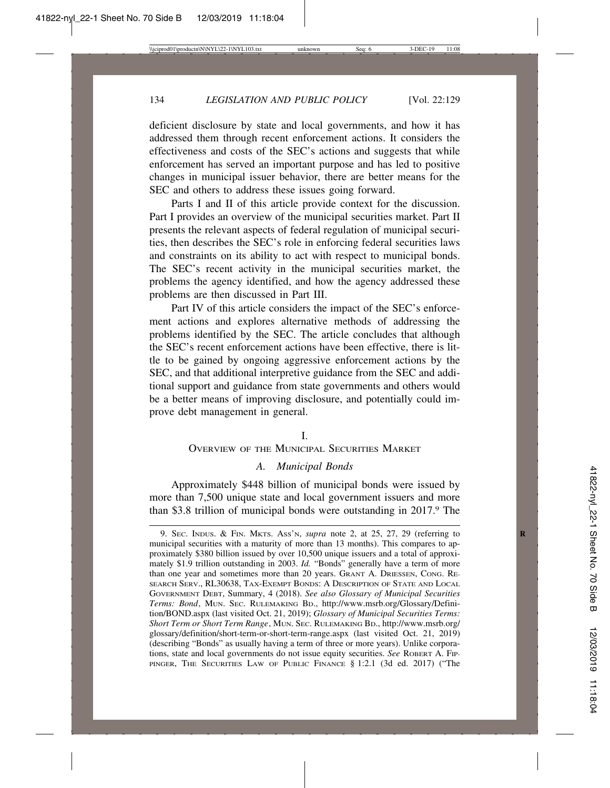deficient disclosure by state and local governments, and how it has addressed them through recent enforcement actions. It considers the effectiveness and costs of the SEC's actions and suggests that while enforcement has served an important purpose and has led to positive changes in municipal issuer behavior, there are better means for the SEC and others to address these issues going forward.

Parts I and II of this article provide context for the discussion. Part I provides an overview of the municipal securities market. Part II presents the relevant aspects of federal regulation of municipal securities, then describes the SEC's role in enforcing federal securities laws and constraints on its ability to act with respect to municipal bonds. The SEC's recent activity in the municipal securities market, the problems the agency identified, and how the agency addressed these problems are then discussed in Part III.

Part IV of this article considers the impact of the SEC's enforcement actions and explores alternative methods of addressing the problems identified by the SEC. The article concludes that although the SEC's recent enforcement actions have been effective, there is little to be gained by ongoing aggressive enforcement actions by the SEC, and that additional interpretive guidance from the SEC and additional support and guidance from state governments and others would be a better means of improving disclosure, and potentially could improve debt management in general.

#### I.

#### OVERVIEW OF THE MUNICIPAL SECURITIES MARKET

#### *A. Municipal Bonds*

Approximately \$448 billion of municipal bonds were issued by more than 7,500 unique state and local government issuers and more than \$3.8 trillion of municipal bonds were outstanding in 2017. The

<sup>9.</sup> SEC. INDUS. & FIN. MKTS. ASS'N, *supra* note 2, at 25, 27, 29 (referring to **R** municipal securities with a maturity of more than 13 months). This compares to approximately \$380 billion issued by over 10,500 unique issuers and a total of approximately \$1.9 trillion outstanding in 2003. *Id.* "Bonds" generally have a term of more than one year and sometimes more than 20 years. GRANT A. DRIESSEN, CONG. RE-SEARCH SERV., RL30638, TAX-EXEMPT BONDS: A DESCRIPTION OF STATE AND LOCAL GOVERNMENT DEBT, Summary, 4 (2018). *See also Glossary of Municipal Securities Terms: Bond*, MUN. SEC. RULEMAKING BD., http://www.msrb.org/Glossary/Definition/BOND.aspx (last visited Oct. 21, 2019); *Glossary of Municipal Securities Terms: Short Term or Short Term Range*, MUN. SEC. RULEMAKING BD., http://www.msrb.org/ glossary/definition/short-term-or-short-term-range.aspx (last visited Oct. 21, 2019) (describing "Bonds" as usually having a term of three or more years). Unlike corporations, state and local governments do not issue equity securities. *See* ROBERT A. FIP-PINGER, THE SECURITIES LAW OF PUBLIC FINANCE § 1:2.1 (3d ed. 2017) ("The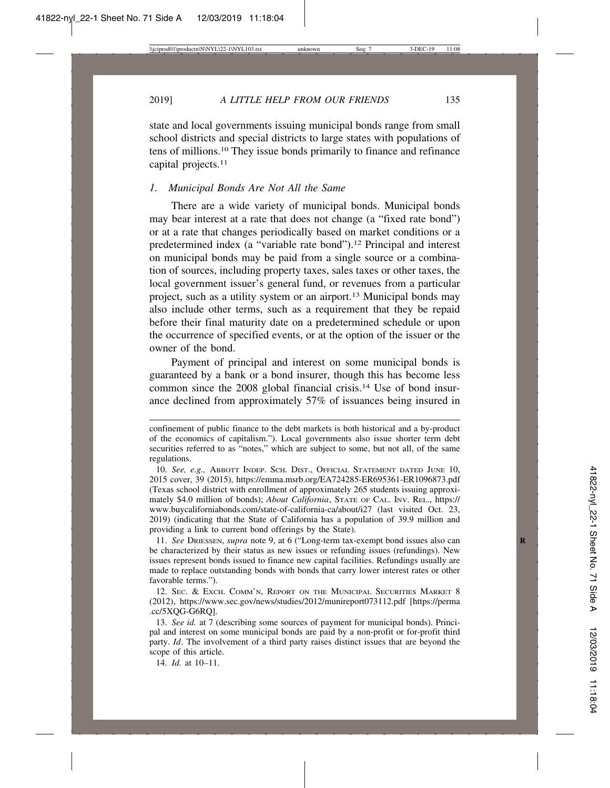2019] *A LITTLE HELP FROM OUR FRIENDS* 135

state and local governments issuing municipal bonds range from small school districts and special districts to large states with populations of tens of millions.10 They issue bonds primarily to finance and refinance capital projects.<sup>11</sup>

## *1. Municipal Bonds Are Not All the Same*

There are a wide variety of municipal bonds. Municipal bonds may bear interest at a rate that does not change (a "fixed rate bond") or at a rate that changes periodically based on market conditions or a predetermined index (a "variable rate bond").<sup>12</sup> Principal and interest on municipal bonds may be paid from a single source or a combination of sources, including property taxes, sales taxes or other taxes, the local government issuer's general fund, or revenues from a particular project, such as a utility system or an airport.13 Municipal bonds may also include other terms, such as a requirement that they be repaid before their final maturity date on a predetermined schedule or upon the occurrence of specified events, or at the option of the issuer or the owner of the bond.

Payment of principal and interest on some municipal bonds is guaranteed by a bank or a bond insurer, though this has become less common since the 2008 global financial crisis.14 Use of bond insurance declined from approximately 57% of issuances being insured in

11. *See* DRIESSEN, *supra* note 9, at 6 ("Long-term tax-exempt bond issues also can **R** be characterized by their status as new issues or refunding issues (refundings). New issues represent bonds issued to finance new capital facilities. Refundings usually are made to replace outstanding bonds with bonds that carry lower interest rates or other favorable terms.").

12. SEC. & EXCH. COMM'N, REPORT ON THE MUNICIPAL SECURITIES MARKET 8 (2012), https://www.sec.gov/news/studies/2012/munireport073112.pdf [https://perma .cc/5XQG-G6RQ].

13. *See id.* at 7 (describing some sources of payment for municipal bonds). Principal and interest on some municipal bonds are paid by a non-profit or for-profit third party. *Id*. The involvement of a third party raises distinct issues that are beyond the scope of this article.

14. *Id.* at 10–11.

confinement of public finance to the debt markets is both historical and a by-product of the economics of capitalism."). Local governments also issue shorter term debt securities referred to as "notes," which are subject to some, but not all, of the same regulations.

<sup>10.</sup> *See, e.g.,* ABBOTT INDEP. SCH. DIST., OFFICIAL STATEMENT DATED JUNE 10, 2015 cover, 39 (2015), https://emma.msrb.org/EA724285-ER695361-ER1096873.pdf (Texas school district with enrollment of approximately 265 students issuing approximately \$4.0 million of bonds); *About California*, STATE OF CAL. INV. REL., https:// www.buycaliforniabonds.com/state-of-california-ca/about/i27 (last visited Oct. 23, 2019) (indicating that the State of California has a population of 39.9 million and providing a link to current bond offerings by the State).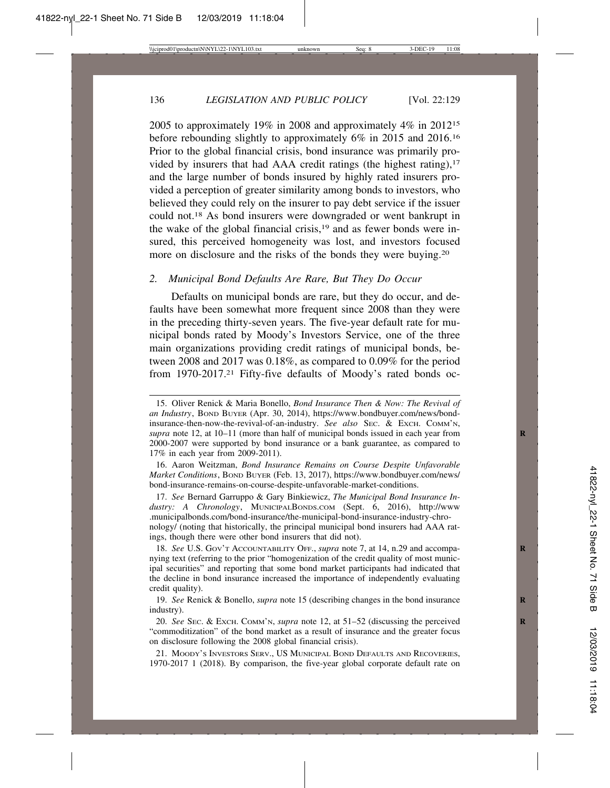2005 to approximately 19% in 2008 and approximately 4% in 201215 before rebounding slightly to approximately 6% in 2015 and 2016.16 Prior to the global financial crisis, bond insurance was primarily provided by insurers that had AAA credit ratings (the highest rating), $17$ and the large number of bonds insured by highly rated insurers provided a perception of greater similarity among bonds to investors, who believed they could rely on the insurer to pay debt service if the issuer could not.18 As bond insurers were downgraded or went bankrupt in the wake of the global financial crisis, $19$  and as fewer bonds were insured, this perceived homogeneity was lost, and investors focused more on disclosure and the risks of the bonds they were buying.20

#### *2. Municipal Bond Defaults Are Rare, But They Do Occur*

Defaults on municipal bonds are rare, but they do occur, and defaults have been somewhat more frequent since 2008 than they were in the preceding thirty-seven years. The five-year default rate for municipal bonds rated by Moody's Investors Service, one of the three main organizations providing credit ratings of municipal bonds, between 2008 and 2017 was 0.18%, as compared to 0.09% for the period from 1970-2017.21 Fifty-five defaults of Moody's rated bonds oc-

16. Aaron Weitzman, *Bond Insurance Remains on Course Despite Unfavorable Market Conditions*, BOND BUYER (Feb. 13, 2017), https://www.bondbuyer.com/news/ bond-insurance-remains-on-course-despite-unfavorable-market-conditions.

17. *See* Bernard Garruppo & Gary Binkiewicz, *The Municipal Bond Insurance Industry: A Chronology*, MUNICIPALBONDS.COM (Sept. 6, 2016), http://www .municipalbonds.com/bond-insurance/the-municipal-bond-insurance-industry-chronology/ (noting that historically, the principal municipal bond insurers had AAA ratings, though there were other bond insurers that did not).

18. See U.S. Gov't Accountability OFF., *supra* note 7, at 14, n.29 and accompanying text (referring to the prior "homogenization of the credit quality of most municipal securities" and reporting that some bond market participants had indicated that the decline in bond insurance increased the importance of independently evaluating credit quality).

19. *See* Renick & Bonello, *supra* note 15 (describing changes in the bond insurance **R** industry).

20. *See* SEC. & EXCH. COMM'N, *supra* note 12, at 51-52 (discussing the perceived "commoditization" of the bond market as a result of insurance and the greater focus on disclosure following the 2008 global financial crisis).

21. MOODY'S INVESTORS SERV., US MUNICIPAL BOND DEFAULTS AND RECOVERIES, 1970-2017 1 (2018). By comparison, the five-year global corporate default rate on

<sup>15.</sup> Oliver Renick & Maria Bonello, *Bond Insurance Then & Now: The Revival of an Industry*, BOND BUYER (Apr. 30, 2014), https://www.bondbuyer.com/news/bondinsurance-then-now-the-revival-of-an-industry. *See also* SEC. & EXCH. COMM'N, *supra* note 12, at 10–11 (more than half of municipal bonds issued in each year from **R** 2000-2007 were supported by bond insurance or a bank guarantee, as compared to 17% in each year from 2009-2011).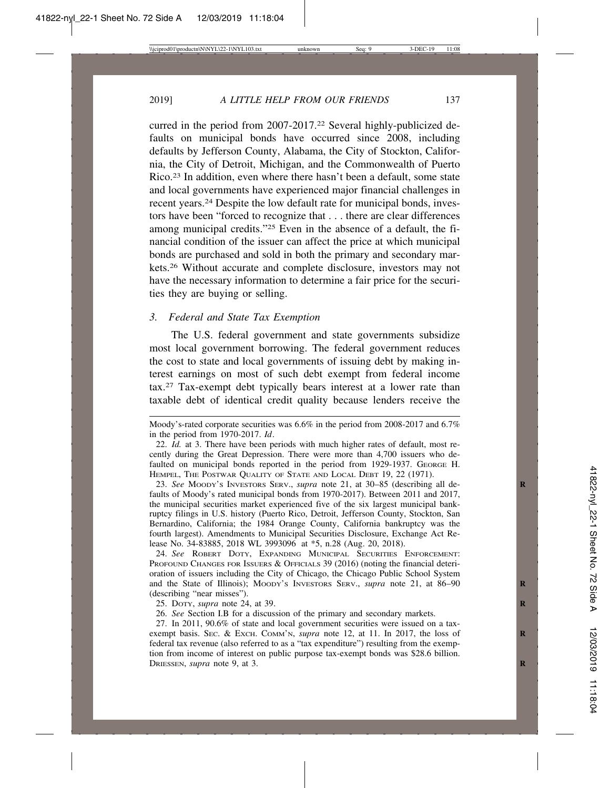curred in the period from 2007-2017.22 Several highly-publicized defaults on municipal bonds have occurred since 2008, including defaults by Jefferson County, Alabama, the City of Stockton, California, the City of Detroit, Michigan, and the Commonwealth of Puerto Rico.23 In addition, even where there hasn't been a default, some state and local governments have experienced major financial challenges in recent years.24 Despite the low default rate for municipal bonds, investors have been "forced to recognize that . . . there are clear differences among municipal credits."25 Even in the absence of a default, the financial condition of the issuer can affect the price at which municipal bonds are purchased and sold in both the primary and secondary markets.26 Without accurate and complete disclosure, investors may not have the necessary information to determine a fair price for the securities they are buying or selling.

#### *3. Federal and State Tax Exemption*

The U.S. federal government and state governments subsidize most local government borrowing. The federal government reduces the cost to state and local governments of issuing debt by making interest earnings on most of such debt exempt from federal income tax.27 Tax-exempt debt typically bears interest at a lower rate than taxable debt of identical credit quality because lenders receive the

24. *See* ROBERT DOTY, EXPANDING MUNICIPAL SECURITIES ENFORCEMENT: PROFOUND CHANGES FOR ISSUERS & OFFICIALS 39 (2016) (noting the financial deterioration of issuers including the City of Chicago, the Chicago Public School System and the State of Illinois); Moopy's INVESTORS SERV., *supra* note 21, at 86–90 (describing "near misses").

25. DOTY, *supra* note 24, at 39. **R**

26. *See* Section I.B for a discussion of the primary and secondary markets.

27. In 2011, 90.6% of state and local government securities were issued on a taxexempt basis. Sec. & Exch. Comm'n, *supra* note 12, at 11. In 2017, the loss of federal tax revenue (also referred to as a "tax expenditure") resulting from the exemption from income of interest on public purpose tax-exempt bonds was \$28.6 billion. DRIESSEN, *supra* note 9, at 3.

Moody's-rated corporate securities was 6.6% in the period from 2008-2017 and 6.7% in the period from 1970-2017. *Id*.

<sup>22.</sup> *Id.* at 3. There have been periods with much higher rates of default, most recently during the Great Depression. There were more than 4,700 issuers who defaulted on municipal bonds reported in the period from 1929-1937. GEORGE H. HEMPEL, THE POSTWAR QUALITY OF STATE AND LOCAL DEBT 19, 22 (1971).

<sup>23.</sup> *See* MOODY'S INVESTORS SERV., *supra* note 21, at 30–85 (describing all de- **R** faults of Moody's rated municipal bonds from 1970-2017). Between 2011 and 2017, the municipal securities market experienced five of the six largest municipal bankruptcy filings in U.S. history (Puerto Rico, Detroit, Jefferson County, Stockton, San Bernardino, California; the 1984 Orange County, California bankruptcy was the fourth largest). Amendments to Municipal Securities Disclosure, Exchange Act Release No. 34-83885, 2018 WL 3993096 at \*5, n.28 (Aug. 20, 2018).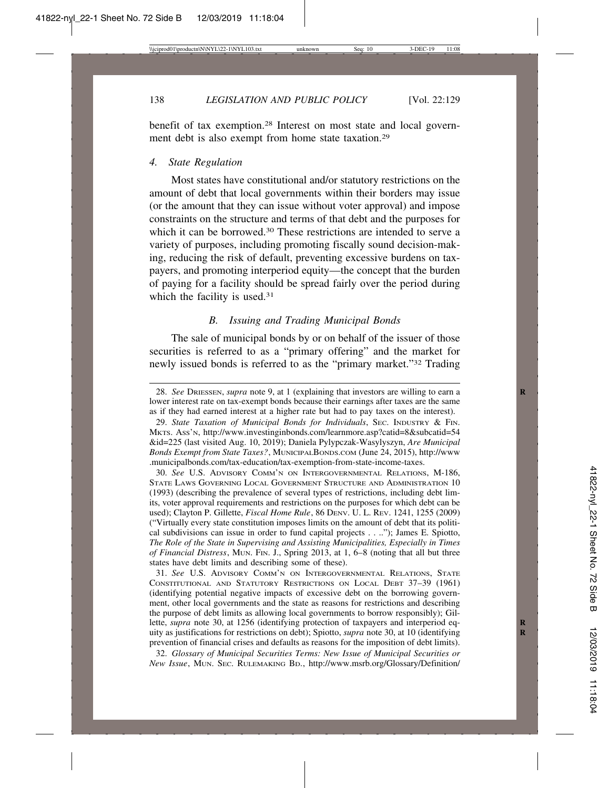138 *LEGISLATION AND PUBLIC POLICY* [Vol. 22:129

benefit of tax exemption.28 Interest on most state and local government debt is also exempt from home state taxation.29

#### *4. State Regulation*

Most states have constitutional and/or statutory restrictions on the amount of debt that local governments within their borders may issue (or the amount that they can issue without voter approval) and impose constraints on the structure and terms of that debt and the purposes for which it can be borrowed.<sup>30</sup> These restrictions are intended to serve a variety of purposes, including promoting fiscally sound decision-making, reducing the risk of default, preventing excessive burdens on taxpayers, and promoting interperiod equity—the concept that the burden of paying for a facility should be spread fairly over the period during which the facility is used.<sup>31</sup>

#### *B. Issuing and Trading Municipal Bonds*

The sale of municipal bonds by or on behalf of the issuer of those securities is referred to as a "primary offering" and the market for newly issued bonds is referred to as the "primary market."32 Trading

30. *See* U.S. ADVISORY COMM'N ON INTERGOVERNMENTAL RELATIONS, M-186, STATE LAWS GOVERNING LOCAL GOVERNMENT STRUCTURE AND ADMINISTRATION 10 (1993) (describing the prevalence of several types of restrictions, including debt limits, voter approval requirements and restrictions on the purposes for which debt can be used); Clayton P. Gillette, *Fiscal Home Rule*, 86 DENV. U. L. REV. 1241, 1255 (2009) ("Virtually every state constitution imposes limits on the amount of debt that its political subdivisions can issue in order to fund capital projects . . .."); James E. Spiotto, *The Role of the State in Supervising and Assisting Municipalities, Especially in Times of Financial Distress*, MUN. FIN. J., Spring 2013, at 1, 6–8 (noting that all but three states have debt limits and describing some of these).

31. *See* U.S. ADVISORY COMM'N ON INTERGOVERNMENTAL RELATIONS, STATE CONSTITUTIONAL AND STATUTORY RESTRICTIONS ON LOCAL DEBT 37–39 (1961) (identifying potential negative impacts of excessive debt on the borrowing government, other local governments and the state as reasons for restrictions and describing the purpose of debt limits as allowing local governments to borrow responsibly); Gillette, *supra* note 30, at 1256 (identifying protection of taxpayers and interperiod equity as justifications for restrictions on debt); Spiotto, *supra* note 30, at 10 (identifying **R** prevention of financial crises and defaults as reasons for the imposition of debt limits).

32. *Glossary of Municipal Securities Terms: New Issue of Municipal Securities or New Issue*, MUN. SEC. RULEMAKING BD., http://www.msrb.org/Glossary/Definition/

<sup>28.</sup> *See* DRIESSEN, *supra* note 9, at 1 (explaining that investors are willing to earn a **R** lower interest rate on tax-exempt bonds because their earnings after taxes are the same as if they had earned interest at a higher rate but had to pay taxes on the interest).

<sup>29.</sup> *State Taxation of Municipal Bonds for Individuals*, SEC. INDUSTRY & FIN. MKTS. ASS'N, http://www.investinginbonds.com/learnmore.asp?catid=8&subcatid=54 &id=225 (last visited Aug. 10, 2019); Daniela Pylypczak-Wasylyszyn, *Are Municipal Bonds Exempt from State Taxes?*, MUNICIPALBONDS.COM (June 24, 2015), http://www .municipalbonds.com/tax-education/tax-exemption-from-state-income-taxes.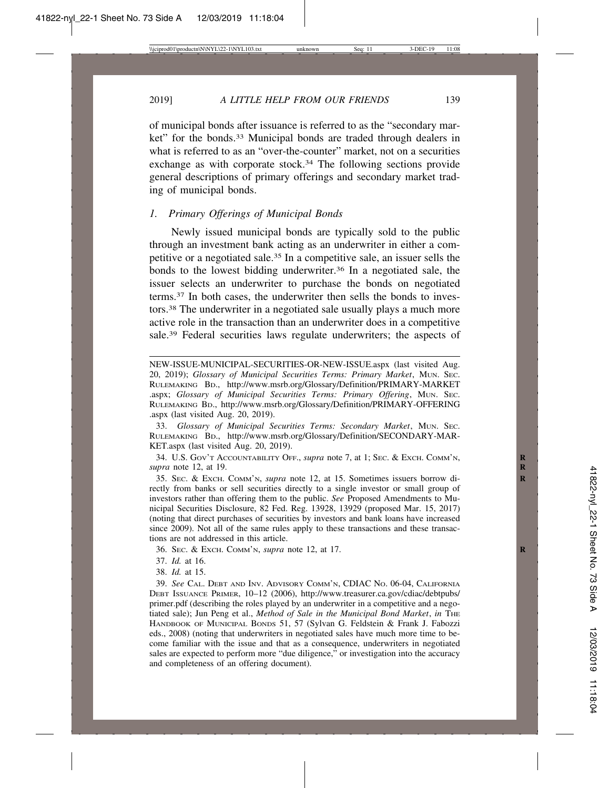#### 2019] *A LITTLE HELP FROM OUR FRIENDS* 139

of municipal bonds after issuance is referred to as the "secondary market" for the bonds.33 Municipal bonds are traded through dealers in what is referred to as an "over-the-counter" market, not on a securities exchange as with corporate stock.<sup>34</sup> The following sections provide general descriptions of primary offerings and secondary market trading of municipal bonds.

#### *1. Primary Offerings of Municipal Bonds*

Newly issued municipal bonds are typically sold to the public through an investment bank acting as an underwriter in either a competitive or a negotiated sale.35 In a competitive sale, an issuer sells the bonds to the lowest bidding underwriter.<sup>36</sup> In a negotiated sale, the issuer selects an underwriter to purchase the bonds on negotiated terms.37 In both cases, the underwriter then sells the bonds to investors.38 The underwriter in a negotiated sale usually plays a much more active role in the transaction than an underwriter does in a competitive sale.39 Federal securities laws regulate underwriters; the aspects of

33. *Glossary of Municipal Securities Terms: Secondary Market*, MUN. SEC. RULEMAKING BD., http://www.msrb.org/Glossary/Definition/SECONDARY-MAR-KET.aspx (last visited Aug. 20, 2019).

34. U.S. GOV'T ACCOUNTABILITY OFF., *supra* note 7, at 1; SEC. & EXCH. COMM'N, **R** *supra* note 12, at 19. **R**

35. SEC. & EXCH. COMM'N, *supra* note 12, at 15. Sometimes issuers borrow di- **R** rectly from banks or sell securities directly to a single investor or small group of investors rather than offering them to the public. *See* Proposed Amendments to Municipal Securities Disclosure, 82 Fed. Reg. 13928, 13929 (proposed Mar. 15, 2017) (noting that direct purchases of securities by investors and bank loans have increased since 2009). Not all of the same rules apply to these transactions and these transactions are not addressed in this article.

36. SEC. & EXCH. COMM'N, *supra* note 12, at 17. **R**

- 37. *Id.* at 16.
- 38. *Id.* at 15.

39. *See* CAL. DEBT AND INV. ADVISORY COMM'N, CDIAC NO. 06-04, CALIFORNIA DEBT ISSUANCE PRIMER, 10–12 (2006), http://www.treasurer.ca.gov/cdiac/debtpubs/ primer.pdf (describing the roles played by an underwriter in a competitive and a negotiated sale); Jun Peng et al., *Method of Sale in the Municipal Bond Market*, *in* THE HANDBOOK OF MUNICIPAL BONDS 51, 57 (Sylvan G. Feldstein & Frank J. Fabozzi eds., 2008) (noting that underwriters in negotiated sales have much more time to become familiar with the issue and that as a consequence, underwriters in negotiated sales are expected to perform more "due diligence," or investigation into the accuracy and completeness of an offering document).

NEW-ISSUE-MUNICIPAL-SECURITIES-OR-NEW-ISSUE.aspx (last visited Aug. 20, 2019); *Glossary of Municipal Securities Terms: Primary Market*, MUN. SEC. RULEMAKING BD., http://www.msrb.org/Glossary/Definition/PRIMARY-MARKET .aspx; *Glossary of Municipal Securities Terms: Primary Offering*, MUN. SEC. RULEMAKING BD., http://www.msrb.org/Glossary/Definition/PRIMARY-OFFERING .aspx (last visited Aug. 20, 2019).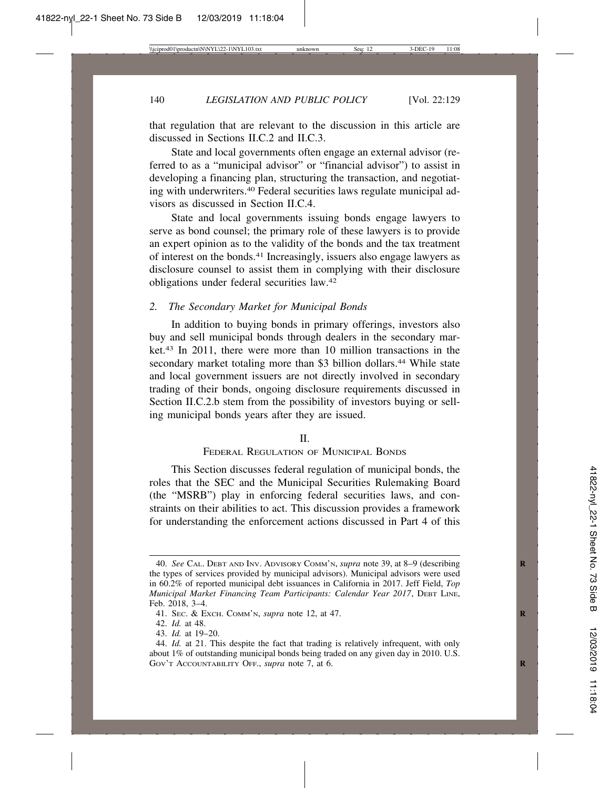that regulation that are relevant to the discussion in this article are discussed in Sections II.C.2 and II.C.3.

State and local governments often engage an external advisor (referred to as a "municipal advisor" or "financial advisor") to assist in developing a financing plan, structuring the transaction, and negotiating with underwriters.40 Federal securities laws regulate municipal advisors as discussed in Section II.C.4.

State and local governments issuing bonds engage lawyers to serve as bond counsel; the primary role of these lawyers is to provide an expert opinion as to the validity of the bonds and the tax treatment of interest on the bonds.41 Increasingly, issuers also engage lawyers as disclosure counsel to assist them in complying with their disclosure obligations under federal securities law.42

## *2. The Secondary Market for Municipal Bonds*

In addition to buying bonds in primary offerings, investors also buy and sell municipal bonds through dealers in the secondary market.43 In 2011, there were more than 10 million transactions in the secondary market totaling more than \$3 billion dollars.<sup>44</sup> While state and local government issuers are not directly involved in secondary trading of their bonds, ongoing disclosure requirements discussed in Section II.C.2.b stem from the possibility of investors buying or selling municipal bonds years after they are issued.

#### II.

## FEDERAL REGULATION OF MUNICIPAL BONDS

This Section discusses federal regulation of municipal bonds, the roles that the SEC and the Municipal Securities Rulemaking Board (the "MSRB") play in enforcing federal securities laws, and constraints on their abilities to act. This discussion provides a framework for understanding the enforcement actions discussed in Part 4 of this

<sup>40.</sup> *See* CAL. DEBT AND INV. ADVISORY COMM'N, *supra* note 39, at 8–9 (describing **R** the types of services provided by municipal advisors). Municipal advisors were used in 60.2% of reported municipal debt issuances in California in 2017. Jeff Field, *Top Municipal Market Financing Team Participants: Calendar Year 2017*, DEBT LINE, Feb. 2018, 3–4.

<sup>41.</sup> SEC. & EXCH. COMM'N, *supra* note 12, at 47. **R**

<sup>42.</sup> *Id.* at 48.

<sup>43.</sup> *Id.* at 19–20.

<sup>44.</sup> *Id.* at 21. This despite the fact that trading is relatively infrequent, with only about 1% of outstanding municipal bonds being traded on any given day in 2010. U.S. GOV'T ACCOUNTABILITY OFF., *supra* note 7, at 6.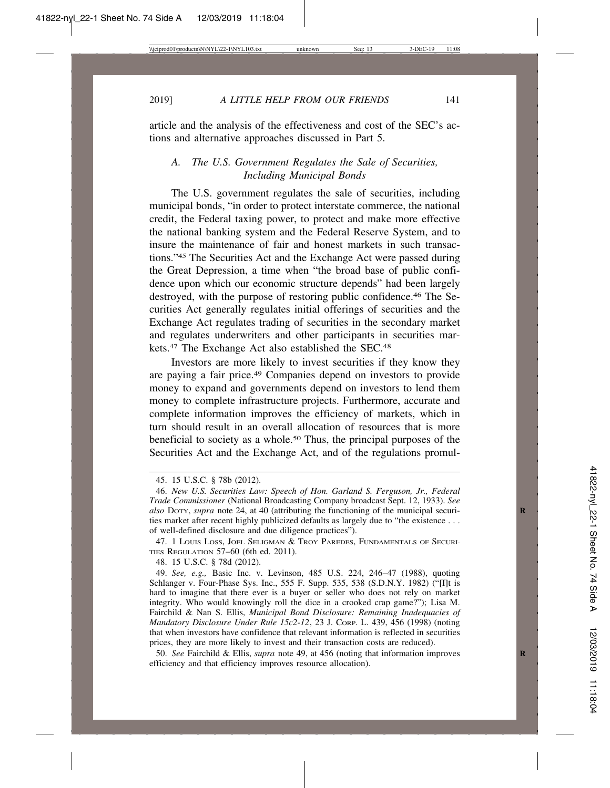2019] *A LITTLE HELP FROM OUR FRIENDS* 141

article and the analysis of the effectiveness and cost of the SEC's actions and alternative approaches discussed in Part 5.

# *A. The U.S. Government Regulates the Sale of Securities, Including Municipal Bonds*

The U.S. government regulates the sale of securities, including municipal bonds, "in order to protect interstate commerce, the national credit, the Federal taxing power, to protect and make more effective the national banking system and the Federal Reserve System, and to insure the maintenance of fair and honest markets in such transactions."45 The Securities Act and the Exchange Act were passed during the Great Depression, a time when "the broad base of public confidence upon which our economic structure depends" had been largely destroyed, with the purpose of restoring public confidence.46 The Securities Act generally regulates initial offerings of securities and the Exchange Act regulates trading of securities in the secondary market and regulates underwriters and other participants in securities markets.<sup>47</sup> The Exchange Act also established the SEC.<sup>48</sup>

Investors are more likely to invest securities if they know they are paying a fair price.49 Companies depend on investors to provide money to expand and governments depend on investors to lend them money to complete infrastructure projects. Furthermore, accurate and complete information improves the efficiency of markets, which in turn should result in an overall allocation of resources that is more beneficial to society as a whole.50 Thus, the principal purposes of the Securities Act and the Exchange Act, and of the regulations promul-

47. 1 LOUIS LOSS, JOEL SELIGMAN & TROY PAREDES, FUNDAMENTALS OF SECURI-TIES REGULATION 57–60 (6th ed. 2011).

48. 15 U.S.C. § 78d (2012).

49. *See, e.g.,* Basic Inc. v. Levinson, 485 U.S. 224, 246–47 (1988), quoting Schlanger v. Four-Phase Sys. Inc., 555 F. Supp. 535, 538 (S.D.N.Y. 1982) ("[I]t is hard to imagine that there ever is a buyer or seller who does not rely on market integrity. Who would knowingly roll the dice in a crooked crap game?"); Lisa M. Fairchild & Nan S. Ellis, *Municipal Bond Disclosure: Remaining Inadequacies of Mandatory Disclosure Under Rule 15c2-12*, 23 J. CORP. L. 439, 456 (1998) (noting that when investors have confidence that relevant information is reflected in securities prices, they are more likely to invest and their transaction costs are reduced).

50. *See* Fairchild & Ellis, *supra* note 49, at 456 (noting that information improves **R** efficiency and that efficiency improves resource allocation).

<sup>45. 15</sup> U.S.C. § 78b (2012).

<sup>46.</sup> *New U.S. Securities Law: Speech of Hon. Garland S. Ferguson, Jr., Federal Trade Commissioner* (National Broadcasting Company broadcast Sept. 12, 1933). *See also* DOTY, *supra* note 24, at 40 (attributing the functioning of the municipal securi- **R** ties market after recent highly publicized defaults as largely due to "the existence . . . of well-defined disclosure and due diligence practices").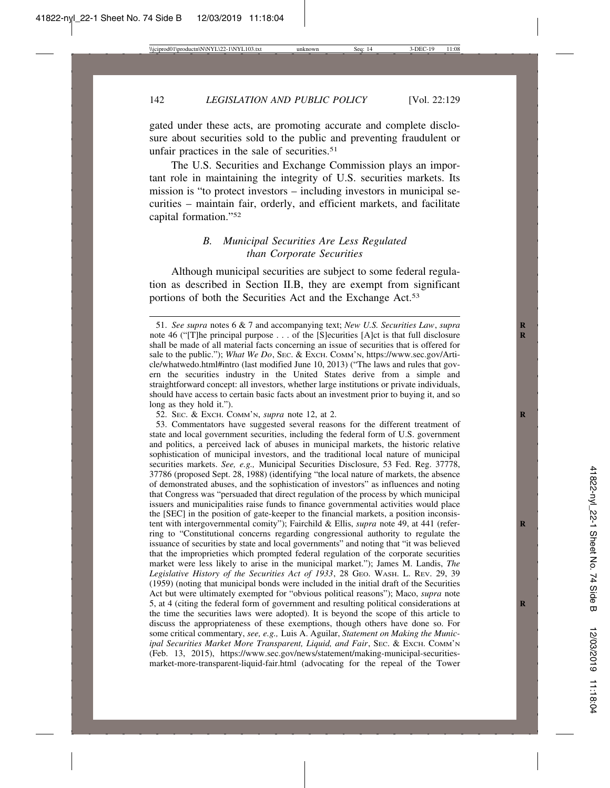gated under these acts, are promoting accurate and complete disclosure about securities sold to the public and preventing fraudulent or unfair practices in the sale of securities.<sup>51</sup>

The U.S. Securities and Exchange Commission plays an important role in maintaining the integrity of U.S. securities markets. Its mission is "to protect investors – including investors in municipal securities – maintain fair, orderly, and efficient markets, and facilitate capital formation."52

# *B. Municipal Securities Are Less Regulated than Corporate Securities*

Although municipal securities are subject to some federal regulation as described in Section II.B, they are exempt from significant portions of both the Securities Act and the Exchange Act.<sup>53</sup>

52. SEC. & EXCH. COMM'N, *supra* note 12, at 2. **R**

<sup>51.</sup> *See supra* notes 6 & 7 and accompanying text; *New U.S. Securities Law*, *supra* **R** note 46 ("[T]he principal purpose . . . of the [S]ecurities [A]ct is that full disclosure shall be made of all material facts concerning an issue of securities that is offered for sale to the public."); *What We Do*, Sec. & Exch. COMM'N, https://www.sec.gov/Article/whatwedo.html#intro (last modified June 10, 2013) ("The laws and rules that govern the securities industry in the United States derive from a simple and straightforward concept: all investors, whether large institutions or private individuals, should have access to certain basic facts about an investment prior to buying it, and so long as they hold it.").

<sup>53.</sup> Commentators have suggested several reasons for the different treatment of state and local government securities, including the federal form of U.S. government and politics, a perceived lack of abuses in municipal markets, the historic relative sophistication of municipal investors, and the traditional local nature of municipal securities markets. *See, e.g.,* Municipal Securities Disclosure, 53 Fed. Reg. 37778, 37786 (proposed Sept. 28, 1988) (identifying "the local nature of markets, the absence of demonstrated abuses, and the sophistication of investors" as influences and noting that Congress was "persuaded that direct regulation of the process by which municipal issuers and municipalities raise funds to finance governmental activities would place the [SEC] in the position of gate-keeper to the financial markets, a position inconsistent with intergovernmental comity"); Fairchild & Ellis, *supra* note 49, at 441 (referring to "Constitutional concerns regarding congressional authority to regulate the issuance of securities by state and local governments" and noting that "it was believed that the improprieties which prompted federal regulation of the corporate securities market were less likely to arise in the municipal market."); James M. Landis, *The Legislative History of the Securities Act of 1933*, 28 GEO. WASH. L. REV. 29, 39 (1959) (noting that municipal bonds were included in the initial draft of the Securities Act but were ultimately exempted for "obvious political reasons"); Maco, *supra* note 5, at 4 (citing the federal form of government and resulting political considerations at **R** the time the securities laws were adopted). It is beyond the scope of this article to discuss the appropriateness of these exemptions, though others have done so. For some critical commentary, *see, e.g.,* Luis A. Aguilar, *Statement on Making the Municipal Securities Market More Transparent, Liquid, and Fair*, SEC. & EXCH. COMM'N (Feb. 13, 2015), https://www.sec.gov/news/statement/making-municipal-securitiesmarket-more-transparent-liquid-fair.html (advocating for the repeal of the Tower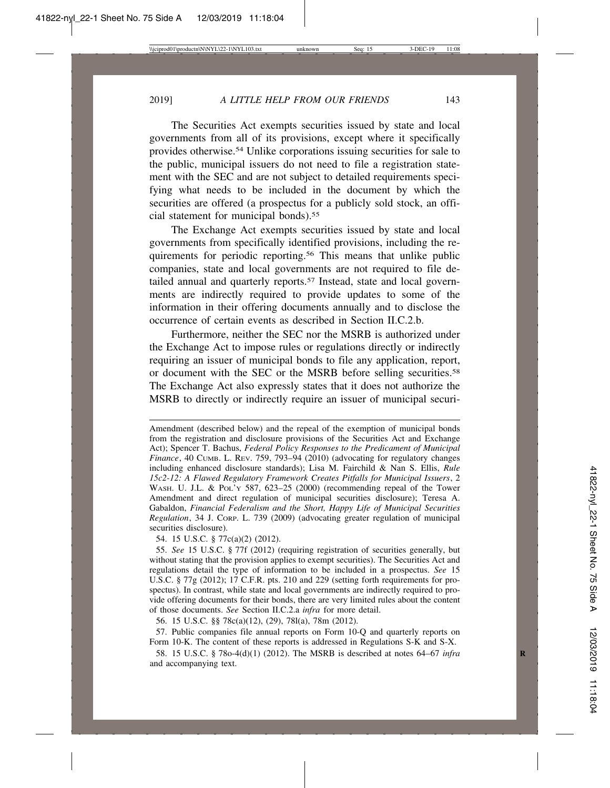The Securities Act exempts securities issued by state and local governments from all of its provisions, except where it specifically provides otherwise.54 Unlike corporations issuing securities for sale to the public, municipal issuers do not need to file a registration statement with the SEC and are not subject to detailed requirements specifying what needs to be included in the document by which the securities are offered (a prospectus for a publicly sold stock, an official statement for municipal bonds).<sup>55</sup>

The Exchange Act exempts securities issued by state and local governments from specifically identified provisions, including the requirements for periodic reporting.56 This means that unlike public companies, state and local governments are not required to file detailed annual and quarterly reports.<sup>57</sup> Instead, state and local governments are indirectly required to provide updates to some of the information in their offering documents annually and to disclose the occurrence of certain events as described in Section II.C.2.b.

Furthermore, neither the SEC nor the MSRB is authorized under the Exchange Act to impose rules or regulations directly or indirectly requiring an issuer of municipal bonds to file any application, report, or document with the SEC or the MSRB before selling securities.<sup>58</sup> The Exchange Act also expressly states that it does not authorize the MSRB to directly or indirectly require an issuer of municipal securi-

54. 15 U.S.C. § 77c(a)(2) (2012).

55. *See* 15 U.S.C. § 77f (2012) (requiring registration of securities generally, but without stating that the provision applies to exempt securities). The Securities Act and regulations detail the type of information to be included in a prospectus. *See* 15 U.S.C. § 77g (2012); 17 C.F.R. pts. 210 and 229 (setting forth requirements for prospectus). In contrast, while state and local governments are indirectly required to provide offering documents for their bonds, there are very limited rules about the content of those documents. *See* Section II.C.2.a *infra* for more detail.

56. 15 U.S.C. §§ 78c(a)(12), (29), 78l(a), 78m (2012).

57. Public companies file annual reports on Form 10-Q and quarterly reports on Form 10-K. The content of these reports is addressed in Regulations S-K and S-X.

58. 15 U.S.C. § 78o-4(d)(1) (2012). The MSRB is described at notes 64–67 *infra* **R** and accompanying text.

Amendment (described below) and the repeal of the exemption of municipal bonds from the registration and disclosure provisions of the Securities Act and Exchange Act); Spencer T. Bachus, *Federal Policy Responses to the Predicament of Municipal Finance*, 40 CUMB. L. REV. 759, 793–94 (2010) (advocating for regulatory changes including enhanced disclosure standards); Lisa M. Fairchild & Nan S. Ellis, *Rule 15c2-12: A Flawed Regulatory Framework Creates Pitfalls for Municipal Issuers*, 2 WASH. U. J.L. & POL'Y 587, 623-25 (2000) (recommending repeal of the Tower Amendment and direct regulation of municipal securities disclosure); Teresa A. Gabaldon, *Financial Federalism and the Short, Happy Life of Municipal Securities Regulation*, 34 J. CORP. L. 739 (2009) (advocating greater regulation of municipal securities disclosure).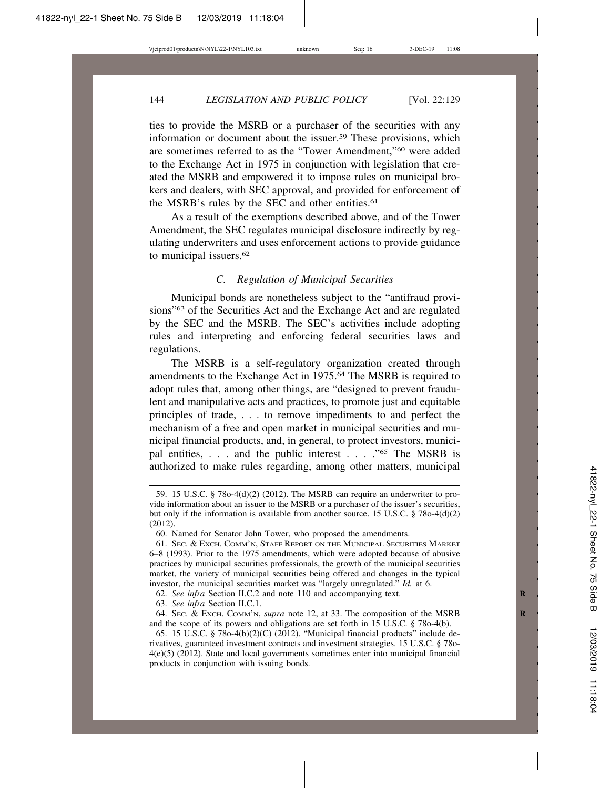ties to provide the MSRB or a purchaser of the securities with any information or document about the issuer.59 These provisions, which are sometimes referred to as the "Tower Amendment,"60 were added to the Exchange Act in 1975 in conjunction with legislation that created the MSRB and empowered it to impose rules on municipal brokers and dealers, with SEC approval, and provided for enforcement of the MSRB's rules by the SEC and other entities.<sup>61</sup>

As a result of the exemptions described above, and of the Tower Amendment, the SEC regulates municipal disclosure indirectly by regulating underwriters and uses enforcement actions to provide guidance to municipal issuers.62

## *C. Regulation of Municipal Securities*

Municipal bonds are nonetheless subject to the "antifraud provisions"63 of the Securities Act and the Exchange Act and are regulated by the SEC and the MSRB. The SEC's activities include adopting rules and interpreting and enforcing federal securities laws and regulations.

The MSRB is a self-regulatory organization created through amendments to the Exchange Act in 1975.64 The MSRB is required to adopt rules that, among other things, are "designed to prevent fraudulent and manipulative acts and practices, to promote just and equitable principles of trade, . . . to remove impediments to and perfect the mechanism of a free and open market in municipal securities and municipal financial products, and, in general, to protect investors, municipal entities, . . . and the public interest . . . ."65 The MSRB is authorized to make rules regarding, among other matters, municipal

62. *See infra* Section II.C.2 and note 110 and accompanying text. **R**

<sup>59. 15</sup> U.S.C. § 78o-4(d)(2) (2012). The MSRB can require an underwriter to provide information about an issuer to the MSRB or a purchaser of the issuer's securities, but only if the information is available from another source. 15 U.S.C.  $\S$  78o-4(d)(2) (2012).

<sup>60.</sup> Named for Senator John Tower, who proposed the amendments.

<sup>61.</sup> SEC. & EXCH. COMM'N, STAFF REPORT ON THE MUNICIPAL SECURITIES MARKET 6–8 (1993). Prior to the 1975 amendments, which were adopted because of abusive practices by municipal securities professionals, the growth of the municipal securities market, the variety of municipal securities being offered and changes in the typical investor, the municipal securities market was "largely unregulated." *Id.* at 6.

<sup>63.</sup> *See infra* Section II.C.1.

<sup>64.</sup> SEC. & EXCH. COMM'N, *supra* note 12, at 33. The composition of the MSRB **R** and the scope of its powers and obligations are set forth in  $15 \text{ U.S.C. }$  § 78o-4(b).

<sup>65. 15</sup> U.S.C. § 78o-4(b)(2)(C) (2012). "Municipal financial products" include derivatives, guaranteed investment contracts and investment strategies. 15 U.S.C. § 78o-4(e)(5) (2012). State and local governments sometimes enter into municipal financial products in conjunction with issuing bonds.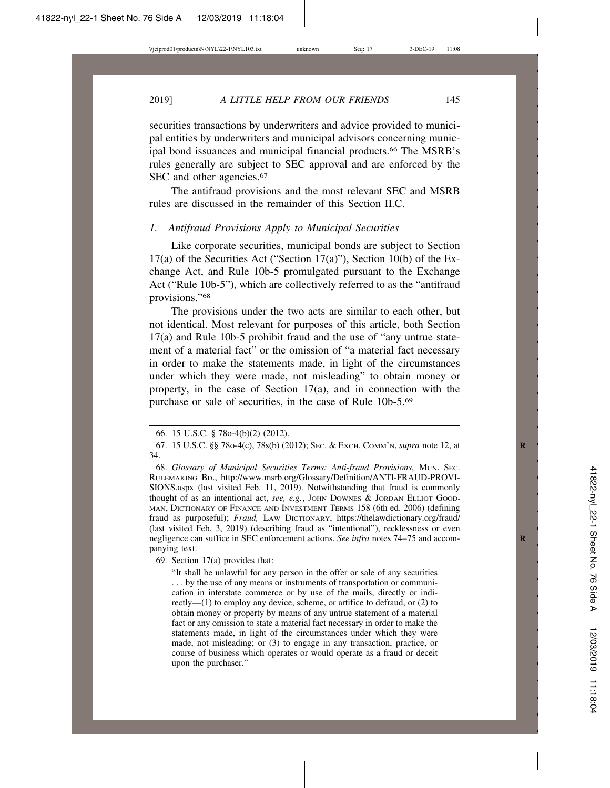securities transactions by underwriters and advice provided to municipal entities by underwriters and municipal advisors concerning municipal bond issuances and municipal financial products.<sup>66</sup> The MSRB's rules generally are subject to SEC approval and are enforced by the SEC and other agencies.<sup>67</sup>

The antifraud provisions and the most relevant SEC and MSRB rules are discussed in the remainder of this Section II.C.

## *1. Antifraud Provisions Apply to Municipal Securities*

Like corporate securities, municipal bonds are subject to Section 17(a) of the Securities Act ("Section 17(a)"), Section 10(b) of the Exchange Act, and Rule 10b-5 promulgated pursuant to the Exchange Act ("Rule 10b-5"), which are collectively referred to as the "antifraud provisions."68

The provisions under the two acts are similar to each other, but not identical. Most relevant for purposes of this article, both Section 17(a) and Rule 10b-5 prohibit fraud and the use of "any untrue statement of a material fact" or the omission of "a material fact necessary in order to make the statements made, in light of the circumstances under which they were made, not misleading" to obtain money or property, in the case of Section 17(a), and in connection with the purchase or sale of securities, in the case of Rule 10b-5.69

69. Section 17(a) provides that:

<sup>66. 15</sup> U.S.C. § 78o-4(b)(2) (2012).

<sup>67. 15</sup> U.S.C. §§ 78o-4(c), 78s(b) (2012); SEC. & EXCH. COMM'N, *supra* note 12, at **R** 34.

<sup>68.</sup> *Glossary of Municipal Securities Terms: Anti-fraud Provisions*, MUN. SEC. RULEMAKING BD., http://www.msrb.org/Glossary/Definition/ANTI-FRAUD-PROVI-SIONS.aspx (last visited Feb. 11, 2019). Notwithstanding that fraud is commonly thought of as an intentional act, see, e.g., JOHN DOWNES & JORDAN ELLIOT GOOD-MAN, DICTIONARY OF FINANCE AND INVESTMENT TERMS 158 (6th ed. 2006) (defining fraud as purposeful); *Fraud,* LAW DICTIONARY, https://thelawdictionary.org/fraud/ (last visited Feb. 3, 2019) (describing fraud as "intentional"), recklessness or even negligence can suffice in SEC enforcement actions. *See infra* notes 74–75 and accompanying text.

<sup>&</sup>quot;It shall be unlawful for any person in the offer or sale of any securities . . . by the use of any means or instruments of transportation or communication in interstate commerce or by use of the mails, directly or indirectly—(1) to employ any device, scheme, or artifice to defraud, or (2) to obtain money or property by means of any untrue statement of a material fact or any omission to state a material fact necessary in order to make the statements made, in light of the circumstances under which they were made, not misleading; or (3) to engage in any transaction, practice, or course of business which operates or would operate as a fraud or deceit upon the purchaser."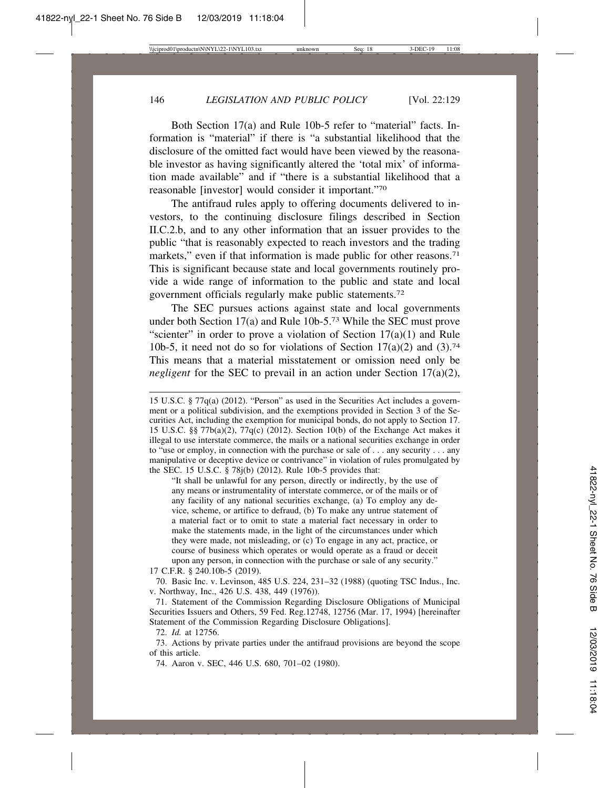Both Section 17(a) and Rule 10b-5 refer to "material" facts. Information is "material" if there is "a substantial likelihood that the disclosure of the omitted fact would have been viewed by the reasonable investor as having significantly altered the 'total mix' of information made available" and if "there is a substantial likelihood that a reasonable [investor] would consider it important."70

The antifraud rules apply to offering documents delivered to investors, to the continuing disclosure filings described in Section II.C.2.b, and to any other information that an issuer provides to the public "that is reasonably expected to reach investors and the trading markets," even if that information is made public for other reasons.<sup>71</sup> This is significant because state and local governments routinely provide a wide range of information to the public and state and local government officials regularly make public statements.72

The SEC pursues actions against state and local governments under both Section 17(a) and Rule 10b-5.73 While the SEC must prove "scienter" in order to prove a violation of Section  $17(a)(1)$  and Rule 10b-5, it need not do so for violations of Section  $17(a)(2)$  and  $(3)$ .<sup>74</sup> This means that a material misstatement or omission need only be *negligent* for the SEC to prevail in an action under Section 17(a)(2),

"It shall be unlawful for any person, directly or indirectly, by the use of any means or instrumentality of interstate commerce, or of the mails or of any facility of any national securities exchange, (a) To employ any device, scheme, or artifice to defraud, (b) To make any untrue statement of a material fact or to omit to state a material fact necessary in order to make the statements made, in the light of the circumstances under which they were made, not misleading, or (c) To engage in any act, practice, or course of business which operates or would operate as a fraud or deceit upon any person, in connection with the purchase or sale of any security."

17 C.F.R. § 240.10b-5 (2019).

70. Basic Inc. v. Levinson, 485 U.S. 224, 231–32 (1988) (quoting TSC Indus., Inc. v. Northway, Inc., 426 U.S. 438, 449 (1976)).

71. Statement of the Commission Regarding Disclosure Obligations of Municipal Securities Issuers and Others, 59 Fed. Reg.12748, 12756 (Mar. 17, 1994) [hereinafter Statement of the Commission Regarding Disclosure Obligations].

72. *Id.* at 12756.

73. Actions by private parties under the antifraud provisions are beyond the scope of this article.

74. Aaron v. SEC, 446 U.S. 680, 701–02 (1980).

<sup>15</sup> U.S.C. § 77q(a) (2012). "Person" as used in the Securities Act includes a government or a political subdivision, and the exemptions provided in Section 3 of the Securities Act, including the exemption for municipal bonds, do not apply to Section 17. 15 U.S.C. §§ 77b(a)(2), 77q(c) (2012). Section 10(b) of the Exchange Act makes it illegal to use interstate commerce, the mails or a national securities exchange in order to "use or employ, in connection with the purchase or sale of . . . any security . . . any manipulative or deceptive device or contrivance" in violation of rules promulgated by the SEC. 15 U.S.C. § 78j(b) (2012). Rule 10b-5 provides that: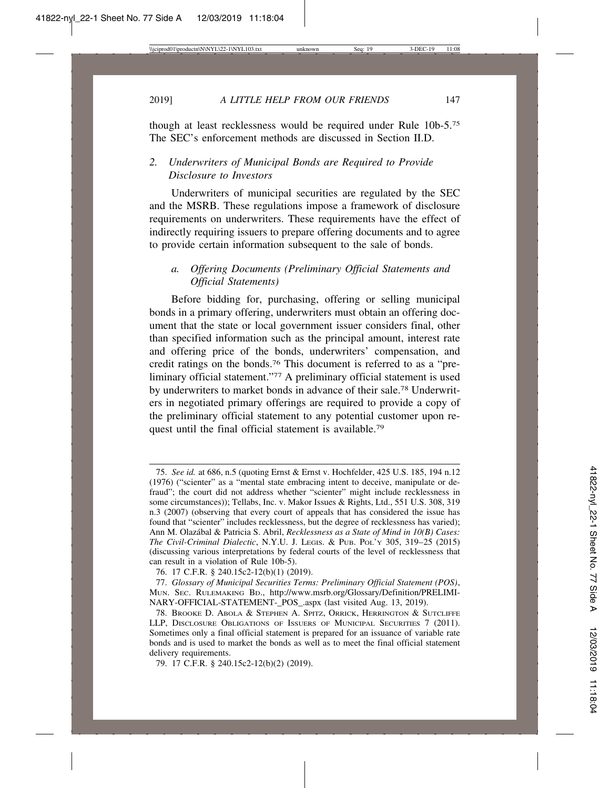though at least recklessness would be required under Rule 10b-5.75 The SEC's enforcement methods are discussed in Section II.D.

# *2. Underwriters of Municipal Bonds are Required to Provide Disclosure to Investors*

Underwriters of municipal securities are regulated by the SEC and the MSRB. These regulations impose a framework of disclosure requirements on underwriters. These requirements have the effect of indirectly requiring issuers to prepare offering documents and to agree to provide certain information subsequent to the sale of bonds.

# *a. Offering Documents (Preliminary Official Statements and Official Statements)*

Before bidding for, purchasing, offering or selling municipal bonds in a primary offering, underwriters must obtain an offering document that the state or local government issuer considers final, other than specified information such as the principal amount, interest rate and offering price of the bonds, underwriters' compensation, and credit ratings on the bonds.76 This document is referred to as a "preliminary official statement."77 A preliminary official statement is used by underwriters to market bonds in advance of their sale.78 Underwriters in negotiated primary offerings are required to provide a copy of the preliminary official statement to any potential customer upon request until the final official statement is available.79

79. 17 C.F.R. § 240.15c2-12(b)(2) (2019).

<sup>75.</sup> *See id.* at 686, n.5 (quoting Ernst & Ernst v. Hochfelder, 425 U.S. 185, 194 n.12 (1976) ("scienter" as a "mental state embracing intent to deceive, manipulate or defraud"; the court did not address whether "scienter" might include recklessness in some circumstances)); Tellabs, Inc. v. Makor Issues & Rights, Ltd., 551 U.S. 308, 319 n.3 (2007) (observing that every court of appeals that has considered the issue has found that "scienter" includes recklessness, but the degree of recklessness has varied); Ann M. Olaz´abal & Patricia S. Abril, *Recklessness as a State of Mind in 10(B) Cases: The Civil-Criminal Dialectic*, N.Y.U. J. LEGIS. & PUB. POL'Y 305, 319–25 (2015) (discussing various interpretations by federal courts of the level of recklessness that can result in a violation of Rule 10b-5).

<sup>76. 17</sup> C.F.R. § 240.15c2-12(b)(1) (2019).

<sup>77.</sup> *Glossary of Municipal Securities Terms: Preliminary Official Statement (POS)*, MUN. SEC. RULEMAKING BD., http://www.msrb.org/Glossary/Definition/PRELIMI-NARY-OFFICIAL-STATEMENT-\_POS\_.aspx (last visited Aug. 13, 2019).

<sup>78.</sup> BROOKE D. ABOLA & STEPHEN A. SPITZ, ORRICK, HERRINGTON & SUTCLIFFE LLP, DISCLOSURE OBLIGATIONS OF ISSUERS OF MUNICIPAL SECURITIES 7 (2011). Sometimes only a final official statement is prepared for an issuance of variable rate bonds and is used to market the bonds as well as to meet the final official statement delivery requirements.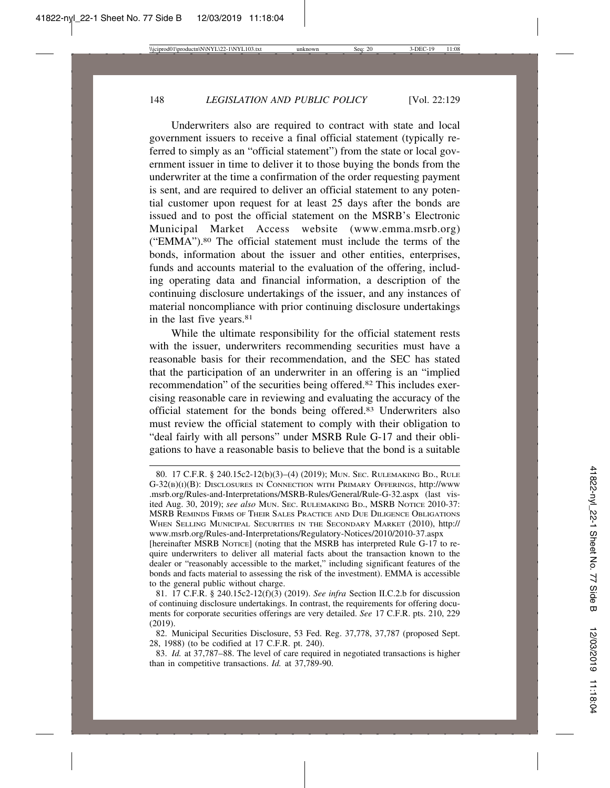Underwriters also are required to contract with state and local government issuers to receive a final official statement (typically referred to simply as an "official statement") from the state or local government issuer in time to deliver it to those buying the bonds from the underwriter at the time a confirmation of the order requesting payment is sent, and are required to deliver an official statement to any potential customer upon request for at least 25 days after the bonds are issued and to post the official statement on the MSRB's Electronic Municipal Market Access website (www.emma.msrb.org) ("EMMA").80 The official statement must include the terms of the bonds, information about the issuer and other entities, enterprises, funds and accounts material to the evaluation of the offering, including operating data and financial information, a description of the continuing disclosure undertakings of the issuer, and any instances of material noncompliance with prior continuing disclosure undertakings in the last five years.81

While the ultimate responsibility for the official statement rests with the issuer, underwriters recommending securities must have a reasonable basis for their recommendation, and the SEC has stated that the participation of an underwriter in an offering is an "implied recommendation" of the securities being offered.82 This includes exercising reasonable care in reviewing and evaluating the accuracy of the official statement for the bonds being offered.83 Underwriters also must review the official statement to comply with their obligation to "deal fairly with all persons" under MSRB Rule G-17 and their obligations to have a reasonable basis to believe that the bond is a suitable

<sup>80. 17</sup> C.F.R. § 240.15c2-12(b)(3)–(4) (2019); MUN. SEC. RULEMAKING BD., RULE G-32(B)(I)(B): DISCLOSURES IN CONNECTION WITH PRIMARY OFFERINGS, http://www .msrb.org/Rules-and-Interpretations/MSRB-Rules/General/Rule-G-32.aspx (last visited Aug. 30, 2019); *see also* MUN. SEC. RULEMAKING BD., MSRB NOTICE 2010-37: MSRB REMINDS FIRMS OF THEIR SALES PRACTICE AND DUE DILIGENCE OBLIGATIONS WHEN SELLING MUNICIPAL SECURITIES IN THE SECONDARY MARKET (2010), http:// www.msrb.org/Rules-and-Interpretations/Regulatory-Notices/2010/2010-37.aspx [hereinafter MSRB Norice] (noting that the MSRB has interpreted Rule G-17 to require underwriters to deliver all material facts about the transaction known to the dealer or "reasonably accessible to the market," including significant features of the bonds and facts material to assessing the risk of the investment). EMMA is accessible to the general public without charge.

<sup>81. 17</sup> C.F.R. § 240.15c2-12(f)(3) (2019). *See infra* Section II.C.2.b for discussion of continuing disclosure undertakings. In contrast, the requirements for offering documents for corporate securities offerings are very detailed. *See* 17 C.F.R. pts. 210, 229 (2019).

<sup>82.</sup> Municipal Securities Disclosure, 53 Fed. Reg. 37,778, 37,787 (proposed Sept. 28, 1988) (to be codified at 17 C.F.R. pt. 240).

<sup>83.</sup> *Id.* at 37,787–88. The level of care required in negotiated transactions is higher than in competitive transactions. *Id.* at 37,789-90.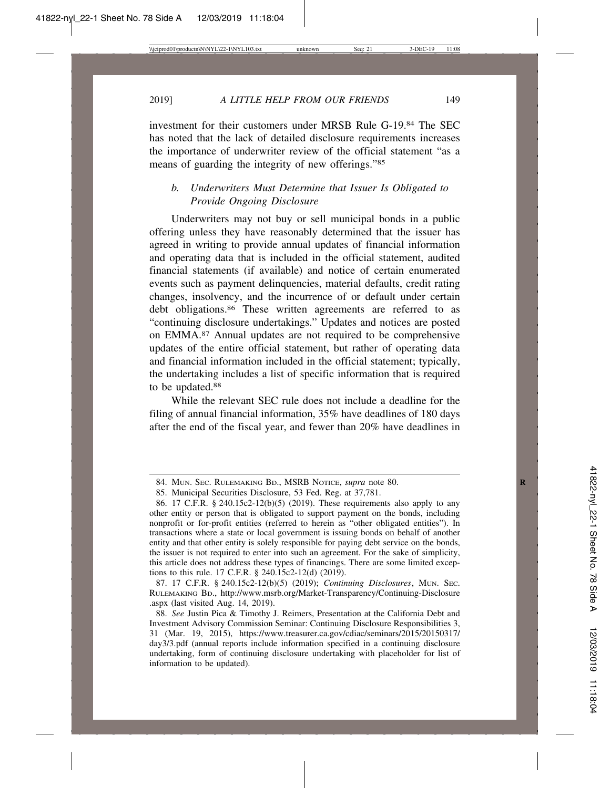investment for their customers under MRSB Rule G-19.84 The SEC has noted that the lack of detailed disclosure requirements increases the importance of underwriter review of the official statement "as a means of guarding the integrity of new offerings."85

# *b. Underwriters Must Determine that Issuer Is Obligated to Provide Ongoing Disclosure*

Underwriters may not buy or sell municipal bonds in a public offering unless they have reasonably determined that the issuer has agreed in writing to provide annual updates of financial information and operating data that is included in the official statement, audited financial statements (if available) and notice of certain enumerated events such as payment delinquencies, material defaults, credit rating changes, insolvency, and the incurrence of or default under certain debt obligations.<sup>86</sup> These written agreements are referred to as "continuing disclosure undertakings." Updates and notices are posted on EMMA.87 Annual updates are not required to be comprehensive updates of the entire official statement, but rather of operating data and financial information included in the official statement; typically, the undertaking includes a list of specific information that is required to be updated.88

While the relevant SEC rule does not include a deadline for the filing of annual financial information, 35% have deadlines of 180 days after the end of the fiscal year, and fewer than 20% have deadlines in

87. 17 C.F.R. § 240.15c2-12(b)(5) (2019); *Continuing Disclosures*, MUN. SEC. RULEMAKING BD., http://www.msrb.org/Market-Transparency/Continuing-Disclosure .aspx (last visited Aug. 14, 2019).

<sup>84.</sup> MUN. SEC. RULEMAKING BD., MSRB NOTICE, *supra* note 80. **R**

<sup>85.</sup> Municipal Securities Disclosure, 53 Fed. Reg. at 37,781.

<sup>86. 17</sup> C.F.R. § 240.15c2-12(b)(5) (2019). These requirements also apply to any other entity or person that is obligated to support payment on the bonds, including nonprofit or for-profit entities (referred to herein as "other obligated entities"). In transactions where a state or local government is issuing bonds on behalf of another entity and that other entity is solely responsible for paying debt service on the bonds, the issuer is not required to enter into such an agreement. For the sake of simplicity, this article does not address these types of financings. There are some limited exceptions to this rule. 17 C.F.R. § 240.15c2-12(d) (2019).

<sup>88.</sup> *See* Justin Pica & Timothy J. Reimers, Presentation at the California Debt and Investment Advisory Commission Seminar: Continuing Disclosure Responsibilities 3, 31 (Mar. 19, 2015), https://www.treasurer.ca.gov/cdiac/seminars/2015/20150317/ day3/3.pdf (annual reports include information specified in a continuing disclosure undertaking, form of continuing disclosure undertaking with placeholder for list of information to be updated).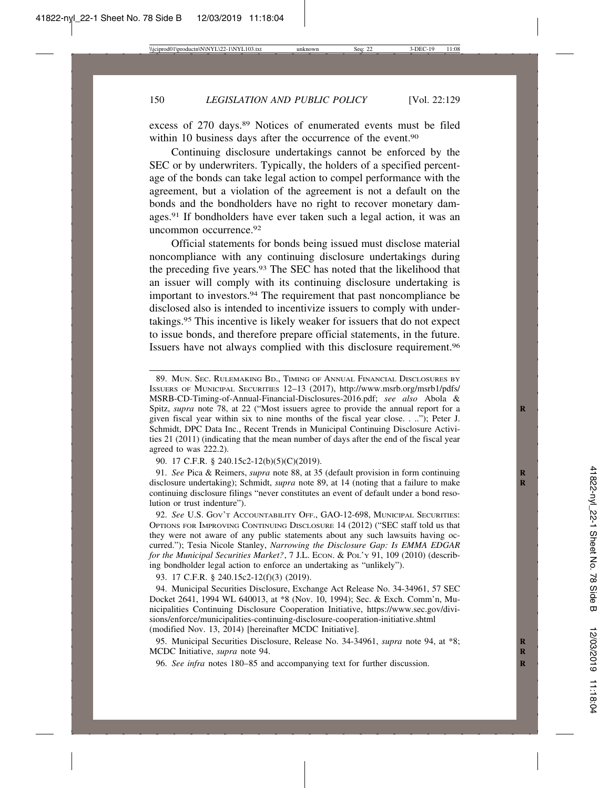excess of 270 days.<sup>89</sup> Notices of enumerated events must be filed within 10 business days after the occurrence of the event.<sup>90</sup>

Continuing disclosure undertakings cannot be enforced by the SEC or by underwriters. Typically, the holders of a specified percentage of the bonds can take legal action to compel performance with the agreement, but a violation of the agreement is not a default on the bonds and the bondholders have no right to recover monetary damages.91 If bondholders have ever taken such a legal action, it was an uncommon occurrence.92

Official statements for bonds being issued must disclose material noncompliance with any continuing disclosure undertakings during the preceding five years.93 The SEC has noted that the likelihood that an issuer will comply with its continuing disclosure undertaking is important to investors.<sup>94</sup> The requirement that past noncompliance be disclosed also is intended to incentivize issuers to comply with undertakings.95 This incentive is likely weaker for issuers that do not expect to issue bonds, and therefore prepare official statements, in the future. Issuers have not always complied with this disclosure requirement.96

90. 17 C.F.R. § 240.15c2-12(b)(5)(C)(2019).

91. *See* Pica & Reimers, *supra* note 88, at 35 (default provision in form continuing **R** disclosure undertaking); Schmidt, *supra* note 89, at 14 (noting that a failure to make continuing disclosure filings "never constitutes an event of default under a bond resolution or trust indenture").

92. *See* U.S. GOV'T ACCOUNTABILITY OFF., GAO-12-698, MUNICIPAL SECURITIES: OPTIONS FOR IMPROVING CONTINUING DISCLOSURE 14 (2012) ("SEC staff told us that they were not aware of any public statements about any such lawsuits having occurred."); Tesia Nicole Stanley, *Narrowing the Disclosure Gap: Is EMMA EDGAR for the Municipal Securities Market?, 7 J.L. ECON. & POL'Y 91, 109 (2010) (describ*ing bondholder legal action to enforce an undertaking as "unlikely").

93. 17 C.F.R. § 240.15c2-12(f)(3) (2019).

94. Municipal Securities Disclosure, Exchange Act Release No. 34-34961, 57 SEC Docket 2641, 1994 WL 640013, at \*8 (Nov. 10, 1994); Sec. & Exch. Comm'n, Municipalities Continuing Disclosure Cooperation Initiative, https://www.sec.gov/divisions/enforce/municipalities-continuing-disclosure-cooperation-initiative.shtml (modified Nov. 13, 2014) [hereinafter MCDC Initiative].

95. Municipal Securities Disclosure, Release No. 34-34961, *supra* note 94, at \*8; **R** MCDC Initiative, *supra* note 94. **R**

96. *See infra* notes 180–85 and accompanying text for further discussion. **R**

<sup>89.</sup> MUN. SEC. RULEMAKING BD., TIMING OF ANNUAL FINANCIAL DISCLOSURES BY ISSUERS OF MUNICIPAL SECURITIES 12–13 (2017), http://www.msrb.org/msrb1/pdfs/ MSRB-CD-Timing-of-Annual-Financial-Disclosures-2016.pdf; *see also* Abola & Spitz, *supra* note 78, at 22 ("Most issuers agree to provide the annual report for a given fiscal year within six to nine months of the fiscal year close. . .."); Peter J. Schmidt, DPC Data Inc., Recent Trends in Municipal Continuing Disclosure Activities 21 (2011) (indicating that the mean number of days after the end of the fiscal year agreed to was 222.2).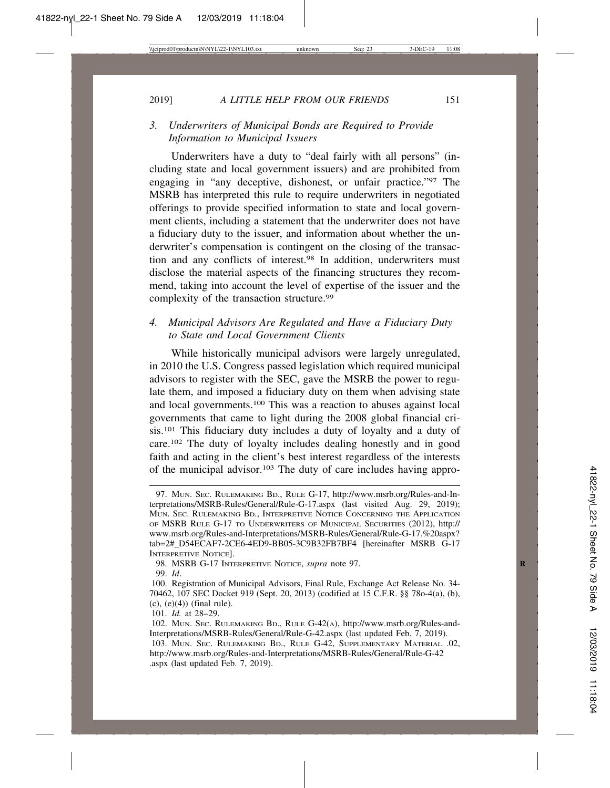# *3. Underwriters of Municipal Bonds are Required to Provide Information to Municipal Issuers*

Underwriters have a duty to "deal fairly with all persons" (including state and local government issuers) and are prohibited from engaging in "any deceptive, dishonest, or unfair practice."97 The MSRB has interpreted this rule to require underwriters in negotiated offerings to provide specified information to state and local government clients, including a statement that the underwriter does not have a fiduciary duty to the issuer, and information about whether the underwriter's compensation is contingent on the closing of the transaction and any conflicts of interest.98 In addition, underwriters must disclose the material aspects of the financing structures they recommend, taking into account the level of expertise of the issuer and the complexity of the transaction structure.<sup>99</sup>

# *4. Municipal Advisors Are Regulated and Have a Fiduciary Duty to State and Local Government Clients*

While historically municipal advisors were largely unregulated, in 2010 the U.S. Congress passed legislation which required municipal advisors to register with the SEC, gave the MSRB the power to regulate them, and imposed a fiduciary duty on them when advising state and local governments.100 This was a reaction to abuses against local governments that came to light during the 2008 global financial crisis.101 This fiduciary duty includes a duty of loyalty and a duty of care.102 The duty of loyalty includes dealing honestly and in good faith and acting in the client's best interest regardless of the interests of the municipal advisor.103 The duty of care includes having appro-

<sup>97.</sup> MUN. SEC. RULEMAKING BD., RULE G-17, http://www.msrb.org/Rules-and-Interpretations/MSRB-Rules/General/Rule-G-17.aspx (last visited Aug. 29, 2019); MUN. SEC. RULEMAKING BD., INTERPRETIVE NOTICE CONCERNING THE APPLICATION OF MSRB RULE G-17 TO UNDERWRITERS OF MUNICIPAL SECURITIES (2012), http:// www.msrb.org/Rules-and-Interpretations/MSRB-Rules/General/Rule-G-17.%20aspx? tab=2#\_D54ECAF7-2CE6-4ED9-BB05-3C9B32FB7BF4 [hereinafter MSRB G-17 INTERPRETIVE NOTICE].

<sup>98.</sup> MSRB G-17 INTERPRETIVE NOTICE, *supra* note 97. **R**

<sup>99.</sup> *Id*.

<sup>100.</sup> Registration of Municipal Advisors, Final Rule, Exchange Act Release No. 34- 70462, 107 SEC Docket 919 (Sept. 20, 2013) (codified at 15 C.F.R. §§ 78o-4(a), (b),  $(c)$ ,  $(e)(4)$ ) (final rule).

<sup>101.</sup> *Id.* at 28–29.

<sup>102.</sup> MUN. SEC. RULEMAKING BD., RULE G-42(A), http://www.msrb.org/Rules-and-Interpretations/MSRB-Rules/General/Rule-G-42.aspx (last updated Feb. 7, 2019).

<sup>103.</sup> MUN. SEC. RULEMAKING BD., RULE G-42, SUPPLEMENTARY MATERIAL .02, http://www.msrb.org/Rules-and-Interpretations/MSRB-Rules/General/Rule-G-42 .aspx (last updated Feb. 7, 2019).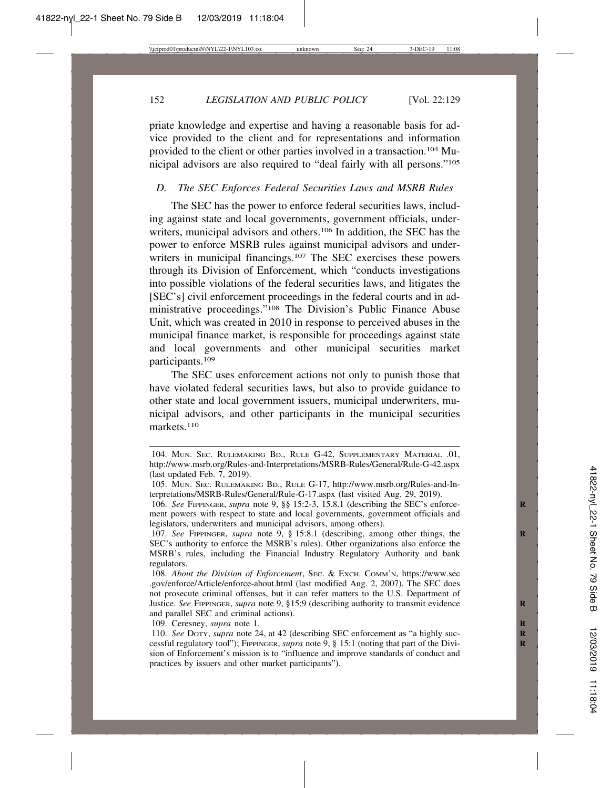152 *LEGISLATION AND PUBLIC POLICY* [Vol. 22:129

priate knowledge and expertise and having a reasonable basis for advice provided to the client and for representations and information provided to the client or other parties involved in a transaction.104 Municipal advisors are also required to "deal fairly with all persons."105

## *D. The SEC Enforces Federal Securities Laws and MSRB Rules*

The SEC has the power to enforce federal securities laws, including against state and local governments, government officials, underwriters, municipal advisors and others.<sup>106</sup> In addition, the SEC has the power to enforce MSRB rules against municipal advisors and underwriters in municipal financings.<sup>107</sup> The SEC exercises these powers through its Division of Enforcement, which "conducts investigations into possible violations of the federal securities laws, and litigates the [SEC's] civil enforcement proceedings in the federal courts and in administrative proceedings."108 The Division's Public Finance Abuse Unit, which was created in 2010 in response to perceived abuses in the municipal finance market, is responsible for proceedings against state and local governments and other municipal securities market participants.109

The SEC uses enforcement actions not only to punish those that have violated federal securities laws, but also to provide guidance to other state and local government issuers, municipal underwriters, municipal advisors, and other participants in the municipal securities markets.110

109. Ceresney, *supra* note 1.

<sup>104.</sup> MUN. SEC. RULEMAKING BD., RULE G-42, SUPPLEMENTARY MATERIAL .01, http://www.msrb.org/Rules-and-Interpretations/MSRB-Rules/General/Rule-G-42.aspx (last updated Feb. 7, 2019).

<sup>105.</sup> MUN. SEC. RULEMAKING BD., RULE G-17, http://www.msrb.org/Rules-and-Interpretations/MSRB-Rules/General/Rule-G-17.aspx (last visited Aug. 29, 2019).

<sup>106.</sup> *See* FIPPINGER, *supra* note 9, §§ 15:2-3, 15.8.1 (describing the SEC's enforce- **R** ment powers with respect to state and local governments, government officials and legislators, underwriters and municipal advisors, among others).

<sup>107.</sup> *See* FIPPINGER, *supra* note 9, § 15:8.1 (describing, among other things, the **R** SEC's authority to enforce the MSRB's rules). Other organizations also enforce the MSRB's rules, including the Financial Industry Regulatory Authority and bank regulators.

<sup>108.</sup> *About the Division of Enforcement*, SEC. & EXCH. COMM'N, https://www.sec .gov/enforce/Article/enforce-about.html (last modified Aug. 2, 2007). The SEC does not prosecute criminal offenses, but it can refer matters to the U.S. Department of Justice. See FIPPINGER, *supra* note 9, §15:9 (describing authority to transmit evidence and parallel SEC and criminal actions).

<sup>110.</sup> *See* DOTY, *supra* note 24, at 42 (describing SEC enforcement as "a highly suc- **R** cessful regulatory tool"); FIPPINGER, *supra* note 9, § 15:1 (noting that part of the Division of Enforcement's mission is to "influence and improve standards of conduct and practices by issuers and other market participants").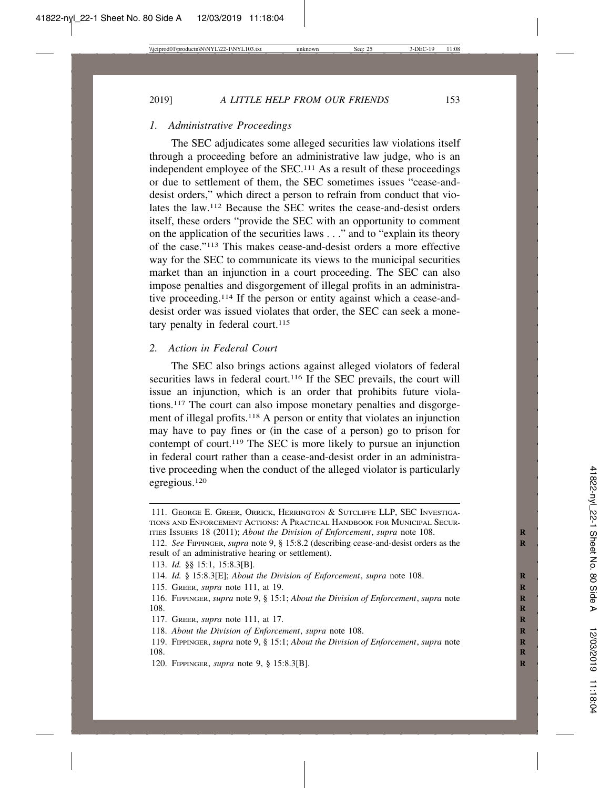#### *1. Administrative Proceedings*

The SEC adjudicates some alleged securities law violations itself through a proceeding before an administrative law judge, who is an independent employee of the SEC.111 As a result of these proceedings or due to settlement of them, the SEC sometimes issues "cease-anddesist orders," which direct a person to refrain from conduct that violates the law.112 Because the SEC writes the cease-and-desist orders itself, these orders "provide the SEC with an opportunity to comment on the application of the securities laws . . ." and to "explain its theory of the case."113 This makes cease-and-desist orders a more effective way for the SEC to communicate its views to the municipal securities market than an injunction in a court proceeding. The SEC can also impose penalties and disgorgement of illegal profits in an administrative proceeding.114 If the person or entity against which a cease-anddesist order was issued violates that order, the SEC can seek a monetary penalty in federal court. $115$ 

#### *2. Action in Federal Court*

The SEC also brings actions against alleged violators of federal securities laws in federal court.<sup>116</sup> If the SEC prevails, the court will issue an injunction, which is an order that prohibits future violations.117 The court can also impose monetary penalties and disgorgement of illegal profits.<sup>118</sup> A person or entity that violates an injunction may have to pay fines or (in the case of a person) go to prison for contempt of court.119 The SEC is more likely to pursue an injunction in federal court rather than a cease-and-desist order in an administrative proceeding when the conduct of the alleged violator is particularly egregious.120

<sup>111.</sup> GEORGE E. GREER, ORRICK, HERRINGTON & SUTCLIFFE LLP, SEC INVESTIGA-TIONS AND ENFORCEMENT ACTIONS: A PRACTICAL HANDBOOK FOR MUNICIPAL SECUR-ITIES ISSUERS 18 (2011); *About the Division of Enforcement*, *supra* note 108.

<sup>112.</sup> *See* FIPPINGER, *supra* note 9, § 15:8.2 (describing cease-and-desist orders as the **R** result of an administrative hearing or settlement).

<sup>113.</sup> *Id.* §§ 15:1, 15:8.3[B].

<sup>114.</sup> *Id.* § 15:8.3[E]; *About the Division of Enforcement*, *supra* note 108. **R**

<sup>115.</sup> GREER, *supra* note 111, at 19. **R**

<sup>116.</sup> FIPPINGER, *supra* note 9, § 15:1; *About the Division of Enforcement*, *supra* note **R** 108. **R** 

<sup>117.</sup> GREER, *supra* note 111, at 17. **R**

<sup>118.</sup> *About the Division of Enforcement*, *supra* note 108.

<sup>119.</sup> FIPPINGER, *supra* note 9, § 15:1; *About the Division of Enforcement*, *supra* note **R** 108. **R** 

<sup>120.</sup> FIPPINGER, *supra* note 9, § 15:8.3[B]. **R**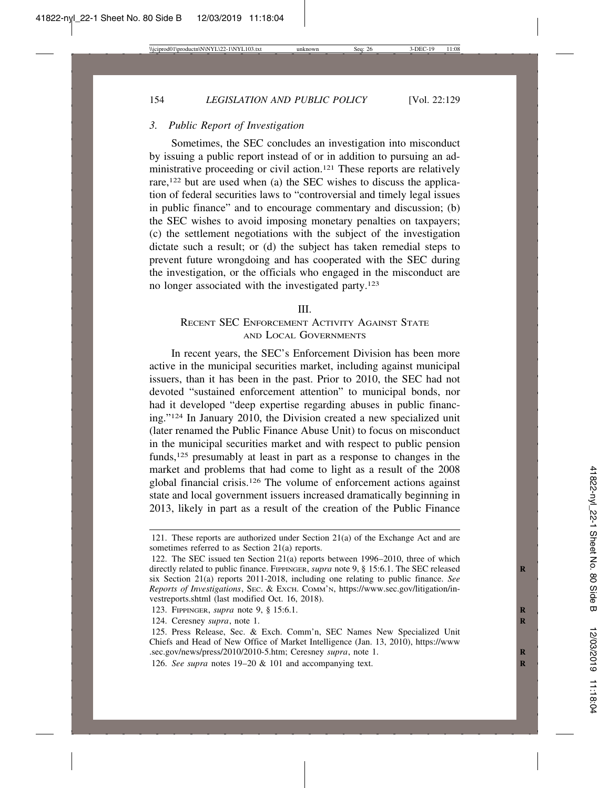## *3. Public Report of Investigation*

Sometimes, the SEC concludes an investigation into misconduct by issuing a public report instead of or in addition to pursuing an administrative proceeding or civil action.<sup>121</sup> These reports are relatively rare,122 but are used when (a) the SEC wishes to discuss the application of federal securities laws to "controversial and timely legal issues in public finance" and to encourage commentary and discussion; (b) the SEC wishes to avoid imposing monetary penalties on taxpayers; (c) the settlement negotiations with the subject of the investigation dictate such a result; or (d) the subject has taken remedial steps to prevent future wrongdoing and has cooperated with the SEC during the investigation, or the officials who engaged in the misconduct are no longer associated with the investigated party.123

#### III.

# RECENT SEC ENFORCEMENT ACTIVITY AGAINST STATE AND LOCAL GOVERNMENTS

In recent years, the SEC's Enforcement Division has been more active in the municipal securities market, including against municipal issuers, than it has been in the past. Prior to 2010, the SEC had not devoted "sustained enforcement attention" to municipal bonds, nor had it developed "deep expertise regarding abuses in public financing."124 In January 2010, the Division created a new specialized unit (later renamed the Public Finance Abuse Unit) to focus on misconduct in the municipal securities market and with respect to public pension funds,125 presumably at least in part as a response to changes in the market and problems that had come to light as a result of the 2008 global financial crisis.126 The volume of enforcement actions against state and local government issuers increased dramatically beginning in 2013, likely in part as a result of the creation of the Public Finance

<sup>121.</sup> These reports are authorized under Section 21(a) of the Exchange Act and are sometimes referred to as Section 21(a) reports.

<sup>122.</sup> The SEC issued ten Section 21(a) reports between 1996–2010, three of which directly related to public finance. FIPPINGER, *supra* note 9, § 15:6.1. The SEC released six Section 21(a) reports 2011-2018, including one relating to public finance. *See Reports of Investigations*, SEC. & EXCH. COMM'N, https://www.sec.gov/litigation/investreports.shtml (last modified Oct. 16, 2018).

<sup>123.</sup> FIPPINGER, *supra* note 9, § 15:6.1. **R**

<sup>124.</sup> Ceresney *supra*, note 1. **R**

<sup>125.</sup> Press Release, Sec. & Exch. Comm'n, SEC Names New Specialized Unit Chiefs and Head of New Office of Market Intelligence (Jan. 13, 2010), https://www .sec.gov/news/press/2010/2010-5.htm; Ceresney *supra*, note 1. **R**

<sup>126.</sup> See supra notes 19-20 & 101 and accompanying text.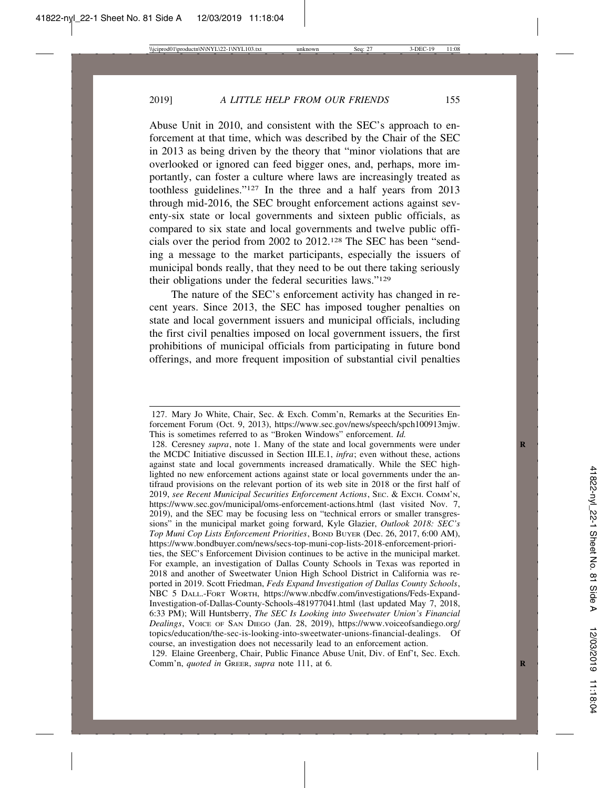Abuse Unit in 2010, and consistent with the SEC's approach to enforcement at that time, which was described by the Chair of the SEC in 2013 as being driven by the theory that "minor violations that are overlooked or ignored can feed bigger ones, and, perhaps, more importantly, can foster a culture where laws are increasingly treated as toothless guidelines."127 In the three and a half years from 2013 through mid-2016, the SEC brought enforcement actions against seventy-six state or local governments and sixteen public officials, as compared to six state and local governments and twelve public officials over the period from 2002 to 2012.128 The SEC has been "sending a message to the market participants, especially the issuers of municipal bonds really, that they need to be out there taking seriously their obligations under the federal securities laws."129

The nature of the SEC's enforcement activity has changed in recent years. Since 2013, the SEC has imposed tougher penalties on state and local government issuers and municipal officials, including the first civil penalties imposed on local government issuers, the first prohibitions of municipal officials from participating in future bond offerings, and more frequent imposition of substantial civil penalties

<sup>127.</sup> Mary Jo White, Chair, Sec. & Exch. Comm'n, Remarks at the Securities Enforcement Forum (Oct. 9, 2013), https://www.sec.gov/news/speech/spch100913mjw. This is sometimes referred to as "Broken Windows" enforcement. *Id.*

<sup>128.</sup> Ceresney *supra*, note 1. Many of the state and local governments were under the MCDC Initiative discussed in Section III.E.1, *infra*; even without these, actions against state and local governments increased dramatically. While the SEC highlighted no new enforcement actions against state or local governments under the antifraud provisions on the relevant portion of its web site in 2018 or the first half of 2019, *see Recent Municipal Securities Enforcement Actions*, SEC. & EXCH. COMM'N, https://www.sec.gov/municipal/oms-enforcement-actions.html (last visited Nov. 7, 2019), and the SEC may be focusing less on "technical errors or smaller transgressions" in the municipal market going forward, Kyle Glazier, *Outlook 2018: SEC's Top Muni Cop Lists Enforcement Priorities*, BOND BUYER (Dec. 26, 2017, 6:00 AM), https://www.bondbuyer.com/news/secs-top-muni-cop-lists-2018-enforcement-priorities, the SEC's Enforcement Division continues to be active in the municipal market. For example, an investigation of Dallas County Schools in Texas was reported in 2018 and another of Sweetwater Union High School District in California was reported in 2019. Scott Friedman, *Feds Expand Investigation of Dallas County Schools*, NBC 5 DALL.-FORT WORTH, https://www.nbcdfw.com/investigations/Feds-Expand-Investigation-of-Dallas-County-Schools-481977041.html (last updated May 7, 2018, 6:33 PM); Will Huntsberry, *The SEC Is Looking into Sweetwater Union's Financial Dealings*, VOICE OF SAN DIEGO (Jan. 28, 2019), https://www.voiceofsandiego.org/ topics/education/the-sec-is-looking-into-sweetwater-unions-financial-dealings. Of course, an investigation does not necessarily lead to an enforcement action.

<sup>129.</sup> Elaine Greenberg, Chair, Public Finance Abuse Unit, Div. of Enf't, Sec. Exch. Comm'n, *quoted in* GREER, *supra* note 111, at 6.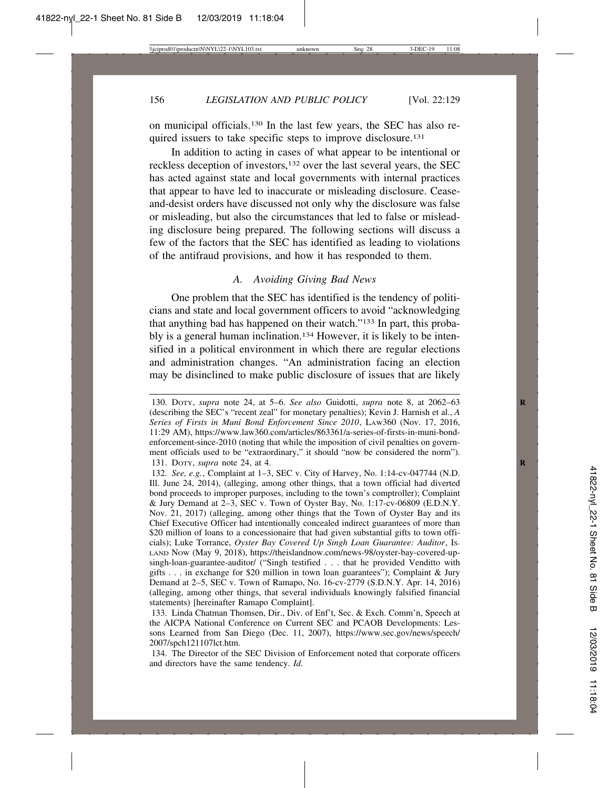on municipal officials.130 In the last few years, the SEC has also required issuers to take specific steps to improve disclosure.131

In addition to acting in cases of what appear to be intentional or reckless deception of investors,132 over the last several years, the SEC has acted against state and local governments with internal practices that appear to have led to inaccurate or misleading disclosure. Ceaseand-desist orders have discussed not only why the disclosure was false or misleading, but also the circumstances that led to false or misleading disclosure being prepared. The following sections will discuss a few of the factors that the SEC has identified as leading to violations of the antifraud provisions, and how it has responded to them.

## *A. Avoiding Giving Bad News*

One problem that the SEC has identified is the tendency of politicians and state and local government officers to avoid "acknowledging that anything bad has happened on their watch."133 In part, this probably is a general human inclination.134 However, it is likely to be intensified in a political environment in which there are regular elections and administration changes. "An administration facing an election may be disinclined to make public disclosure of issues that are likely

<sup>130.</sup> DOTY, *supra* note 24, at 5–6. *See also* Guidotti, *supra* note 8, at 2062–63 **R** (describing the SEC's "recent zeal" for monetary penalties); Kevin J. Harnish et al., *A Series of Firsts in Muni Bond Enforcement Since 2010*, LAW360 (Nov. 17, 2016, 11:29 AM), https://www.law360.com/articles/863361/a-series-of-firsts-in-muni-bondenforcement-since-2010 (noting that while the imposition of civil penalties on government officials used to be "extraordinary," it should "now be considered the norm"). 131. DOTY, *supra* note 24, at 4. **R**

<sup>132.</sup> *See, e.g.*, Complaint at 1–3, SEC v. City of Harvey, No. 1:14-cv-047744 (N.D. Ill. June 24, 2014), (alleging, among other things, that a town official had diverted bond proceeds to improper purposes, including to the town's comptroller); Complaint & Jury Demand at 2–3, SEC v. Town of Oyster Bay, No. 1:17-cv-06809 (E.D.N.Y. Nov. 21, 2017) (alleging, among other things that the Town of Oyster Bay and its Chief Executive Officer had intentionally concealed indirect guarantees of more than \$20 million of loans to a concessionaire that had given substantial gifts to town officials); Luke Torrance, *Oyster Bay Covered Up Singh Loan Guarantee: Auditor*, IS-LAND NOW (May 9, 2018), https://theislandnow.com/news-98/oyster-bay-covered-upsingh-loan-guarantee-auditor/ ("Singh testified . . . that he provided Venditto with gifts . . . in exchange for \$20 million in town loan guarantees"); Complaint & Jury Demand at 2–5, SEC v. Town of Ramapo, No. 16-cv-2779 (S.D.N.Y. Apr. 14, 2016) (alleging, among other things, that several individuals knowingly falsified financial statements) [hereinafter Ramapo Complaint].

<sup>133.</sup> Linda Chatman Thomsen, Dir., Div. of Enf't, Sec. & Exch. Comm'n, Speech at the AICPA National Conference on Current SEC and PCAOB Developments: Lessons Learned from San Diego (Dec. 11, 2007), https://www.sec.gov/news/speech/ 2007/spch121107lct.htm.

<sup>134.</sup> The Director of the SEC Division of Enforcement noted that corporate officers and directors have the same tendency. *Id.*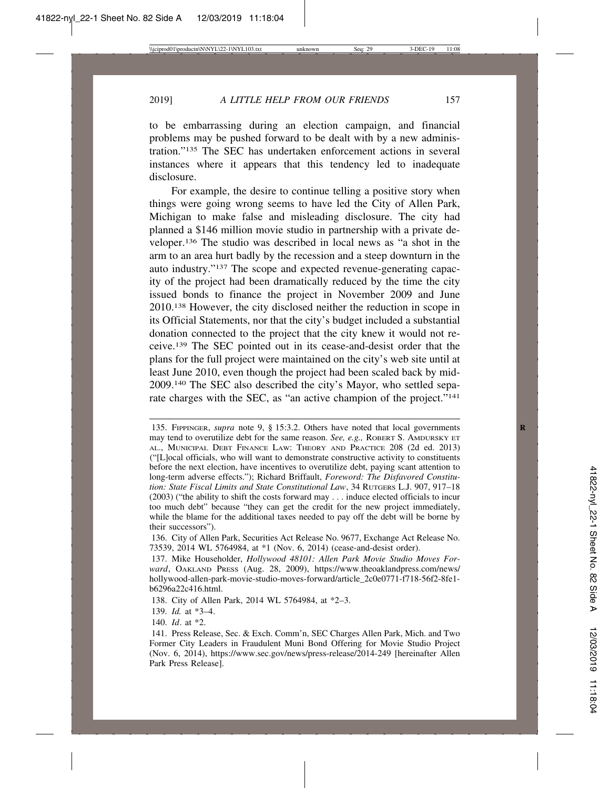to be embarrassing during an election campaign, and financial problems may be pushed forward to be dealt with by a new administration."135 The SEC has undertaken enforcement actions in several instances where it appears that this tendency led to inadequate disclosure.

For example, the desire to continue telling a positive story when things were going wrong seems to have led the City of Allen Park, Michigan to make false and misleading disclosure. The city had planned a \$146 million movie studio in partnership with a private developer.136 The studio was described in local news as "a shot in the arm to an area hurt badly by the recession and a steep downturn in the auto industry."137 The scope and expected revenue-generating capacity of the project had been dramatically reduced by the time the city issued bonds to finance the project in November 2009 and June 2010.138 However, the city disclosed neither the reduction in scope in its Official Statements, nor that the city's budget included a substantial donation connected to the project that the city knew it would not receive.139 The SEC pointed out in its cease-and-desist order that the plans for the full project were maintained on the city's web site until at least June 2010, even though the project had been scaled back by mid-2009.140 The SEC also described the city's Mayor, who settled separate charges with the SEC, as "an active champion of the project."<sup>141</sup>

<sup>135.</sup> FIPPINGER, *supra* note 9, § 15:3.2. Others have noted that local governments **R** may tend to overutilize debt for the same reason. *See, e.g.,* ROBERT S. AMDURSKY ET AL., MUNICIPAL DEBT FINANCE LAW: THEORY AND PRACTICE 208 (2d ed. 2013) ("[L]ocal officials, who will want to demonstrate constructive activity to constituents before the next election, have incentives to overutilize debt, paying scant attention to long-term adverse effects."); Richard Briffault, *Foreword: The Disfavored Constitution: State Fiscal Limits and State Constitutional Law*, 34 RUTGERS L.J. 907, 917–18 (2003) ("the ability to shift the costs forward may . . . induce elected officials to incur too much debt" because "they can get the credit for the new project immediately, while the blame for the additional taxes needed to pay off the debt will be borne by their successors").

<sup>136.</sup> City of Allen Park, Securities Act Release No. 9677, Exchange Act Release No. 73539, 2014 WL 5764984, at \*1 (Nov. 6, 2014) (cease-and-desist order).

<sup>137.</sup> Mike Householder, *Hollywood 48101: Allen Park Movie Studio Moves Forward*, OAKLAND PRESS (Aug. 28, 2009), https://www.theoaklandpress.com/news/ hollywood-allen-park-movie-studio-moves-forward/article\_2c0e0771-f718-56f2-8fe1 b6296a22c416.html.

<sup>138.</sup> City of Allen Park, 2014 WL 5764984, at \*2–3.

<sup>139.</sup> *Id.* at \*3–4.

<sup>140.</sup> *Id*. at \*2.

<sup>141.</sup> Press Release, Sec. & Exch. Comm'n, SEC Charges Allen Park, Mich. and Two Former City Leaders in Fraudulent Muni Bond Offering for Movie Studio Project (Nov. 6, 2014), https://www.sec.gov/news/press-release/2014-249 [hereinafter Allen Park Press Release].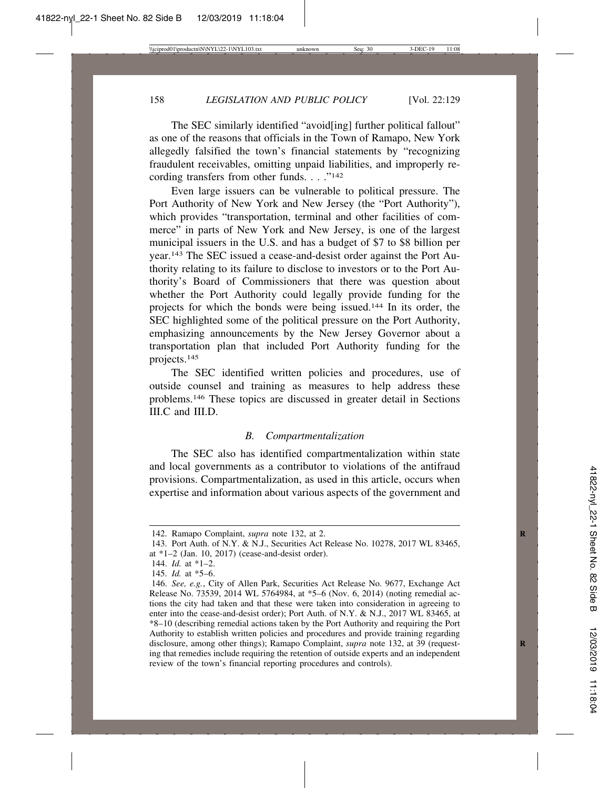The SEC similarly identified "avoid[ing] further political fallout" as one of the reasons that officials in the Town of Ramapo, New York allegedly falsified the town's financial statements by "recognizing fraudulent receivables, omitting unpaid liabilities, and improperly recording transfers from other funds. . . ."<sup>142</sup>

Even large issuers can be vulnerable to political pressure. The Port Authority of New York and New Jersey (the "Port Authority"), which provides "transportation, terminal and other facilities of commerce" in parts of New York and New Jersey, is one of the largest municipal issuers in the U.S. and has a budget of \$7 to \$8 billion per year.143 The SEC issued a cease-and-desist order against the Port Authority relating to its failure to disclose to investors or to the Port Authority's Board of Commissioners that there was question about whether the Port Authority could legally provide funding for the projects for which the bonds were being issued.144 In its order, the SEC highlighted some of the political pressure on the Port Authority, emphasizing announcements by the New Jersey Governor about a transportation plan that included Port Authority funding for the projects.145

The SEC identified written policies and procedures, use of outside counsel and training as measures to help address these problems.146 These topics are discussed in greater detail in Sections III.C and III.D.

## *B. Compartmentalization*

The SEC also has identified compartmentalization within state and local governments as a contributor to violations of the antifraud provisions. Compartmentalization, as used in this article, occurs when expertise and information about various aspects of the government and

<sup>142.</sup> Ramapo Complaint, *supra* note 132, at 2. **R**

<sup>143.</sup> Port Auth. of N.Y. & N.J., Securities Act Release No. 10278, 2017 WL 83465, at \*1–2 (Jan. 10, 2017) (cease-and-desist order).

<sup>144.</sup> *Id.* at \*1–2.

<sup>145.</sup> *Id.* at \*5–6.

<sup>146.</sup> *See, e.g.*, City of Allen Park, Securities Act Release No. 9677, Exchange Act Release No. 73539, 2014 WL 5764984, at \*5–6 (Nov. 6, 2014) (noting remedial actions the city had taken and that these were taken into consideration in agreeing to enter into the cease-and-desist order); Port Auth. of N.Y. & N.J., 2017 WL 83465, at \*8–10 (describing remedial actions taken by the Port Authority and requiring the Port Authority to establish written policies and procedures and provide training regarding disclosure, among other things); Ramapo Complaint, *supra* note 132, at 39 (requesting that remedies include requiring the retention of outside experts and an independent review of the town's financial reporting procedures and controls).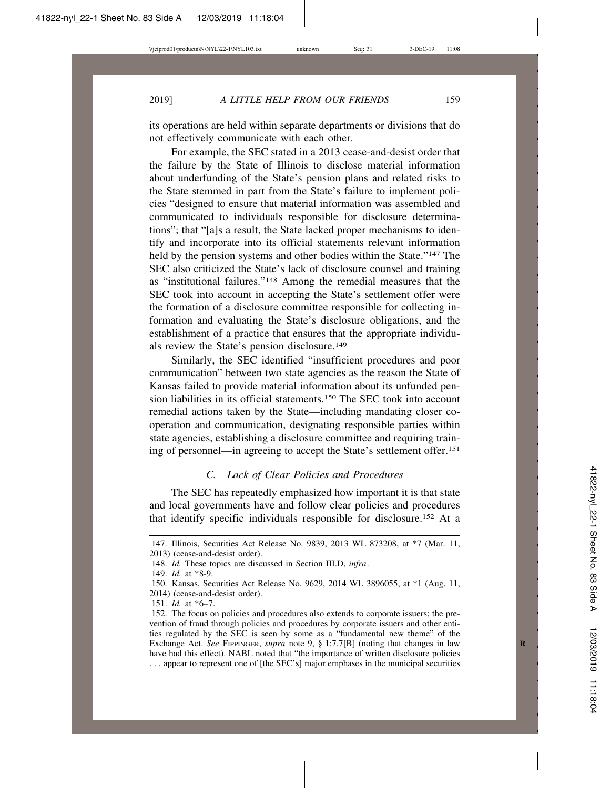its operations are held within separate departments or divisions that do not effectively communicate with each other.

For example, the SEC stated in a 2013 cease-and-desist order that the failure by the State of Illinois to disclose material information about underfunding of the State's pension plans and related risks to the State stemmed in part from the State's failure to implement policies "designed to ensure that material information was assembled and communicated to individuals responsible for disclosure determinations"; that "[a]s a result, the State lacked proper mechanisms to identify and incorporate into its official statements relevant information held by the pension systems and other bodies within the State."147 The SEC also criticized the State's lack of disclosure counsel and training as "institutional failures."148 Among the remedial measures that the SEC took into account in accepting the State's settlement offer were the formation of a disclosure committee responsible for collecting information and evaluating the State's disclosure obligations, and the establishment of a practice that ensures that the appropriate individuals review the State's pension disclosure.149

Similarly, the SEC identified "insufficient procedures and poor communication" between two state agencies as the reason the State of Kansas failed to provide material information about its unfunded pension liabilities in its official statements.150 The SEC took into account remedial actions taken by the State—including mandating closer cooperation and communication, designating responsible parties within state agencies, establishing a disclosure committee and requiring training of personnel—in agreeing to accept the State's settlement offer.151

## *C. Lack of Clear Policies and Procedures*

The SEC has repeatedly emphasized how important it is that state and local governments have and follow clear policies and procedures that identify specific individuals responsible for disclosure.152 At a

<sup>147.</sup> Illinois, Securities Act Release No. 9839, 2013 WL 873208, at \*7 (Mar. 11, 2013) (cease-and-desist order).

<sup>148.</sup> *Id.* These topics are discussed in Section III.D, *infra*.

<sup>149.</sup> *Id.* at \*8-9.

<sup>150.</sup> Kansas, Securities Act Release No. 9629, 2014 WL 3896055, at \*1 (Aug. 11, 2014) (cease-and-desist order).

<sup>151.</sup> *Id.* at \*6–7.

<sup>152.</sup> The focus on policies and procedures also extends to corporate issuers; the prevention of fraud through policies and procedures by corporate issuers and other entities regulated by the SEC is seen by some as a "fundamental new theme" of the Exchange Act. *See* FIPPINGER, *supra* note 9, § 1:7.7[B] (noting that changes in law have had this effect). NABL noted that "the importance of written disclosure policies . . . appear to represent one of [the SEC's] major emphases in the municipal securities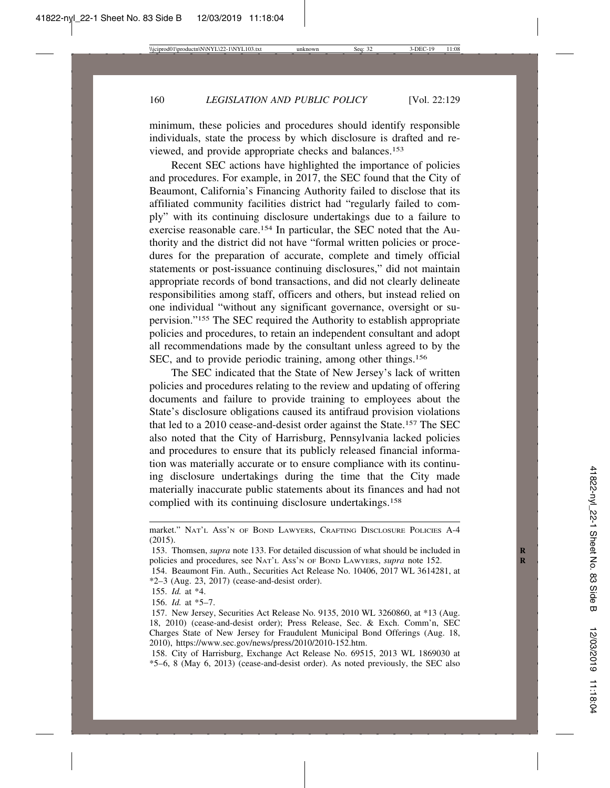minimum, these policies and procedures should identify responsible individuals, state the process by which disclosure is drafted and reviewed, and provide appropriate checks and balances.153

Recent SEC actions have highlighted the importance of policies and procedures. For example, in 2017, the SEC found that the City of Beaumont, California's Financing Authority failed to disclose that its affiliated community facilities district had "regularly failed to comply" with its continuing disclosure undertakings due to a failure to exercise reasonable care.154 In particular, the SEC noted that the Authority and the district did not have "formal written policies or procedures for the preparation of accurate, complete and timely official statements or post-issuance continuing disclosures," did not maintain appropriate records of bond transactions, and did not clearly delineate responsibilities among staff, officers and others, but instead relied on one individual "without any significant governance, oversight or supervision."155 The SEC required the Authority to establish appropriate policies and procedures, to retain an independent consultant and adopt all recommendations made by the consultant unless agreed to by the SEC, and to provide periodic training, among other things.<sup>156</sup>

The SEC indicated that the State of New Jersey's lack of written policies and procedures relating to the review and updating of offering documents and failure to provide training to employees about the State's disclosure obligations caused its antifraud provision violations that led to a 2010 cease-and-desist order against the State.157 The SEC also noted that the City of Harrisburg, Pennsylvania lacked policies and procedures to ensure that its publicly released financial information was materially accurate or to ensure compliance with its continuing disclosure undertakings during the time that the City made materially inaccurate public statements about its finances and had not complied with its continuing disclosure undertakings.158

market." NAT'L ASS'N OF BOND LAWYERS, CRAFTING DISCLOSURE POLICIES A-4 (2015).

<sup>153.</sup> Thomsen, *supra* note 133. For detailed discussion of what should be included in **R** policies and procedures, see NAT'L ASS'N OF BOND LAWYERS, *supra* note 152. **R**

<sup>154.</sup> Beaumont Fin. Auth., Securities Act Release No. 10406, 2017 WL 3614281, at \*2–3 (Aug. 23, 2017) (cease-and-desist order).

<sup>155.</sup> *Id.* at \*4.

<sup>156.</sup> *Id.* at \*5–7.

<sup>157.</sup> New Jersey, Securities Act Release No. 9135, 2010 WL 3260860, at \*13 (Aug. 18, 2010) (cease-and-desist order); Press Release, Sec. & Exch. Comm'n, SEC Charges State of New Jersey for Fraudulent Municipal Bond Offerings (Aug. 18, 2010), https://www.sec.gov/news/press/2010/2010-152.htm.

<sup>158.</sup> City of Harrisburg, Exchange Act Release No. 69515, 2013 WL 1869030 at \*5–6, 8 (May 6, 2013) (cease-and-desist order). As noted previously, the SEC also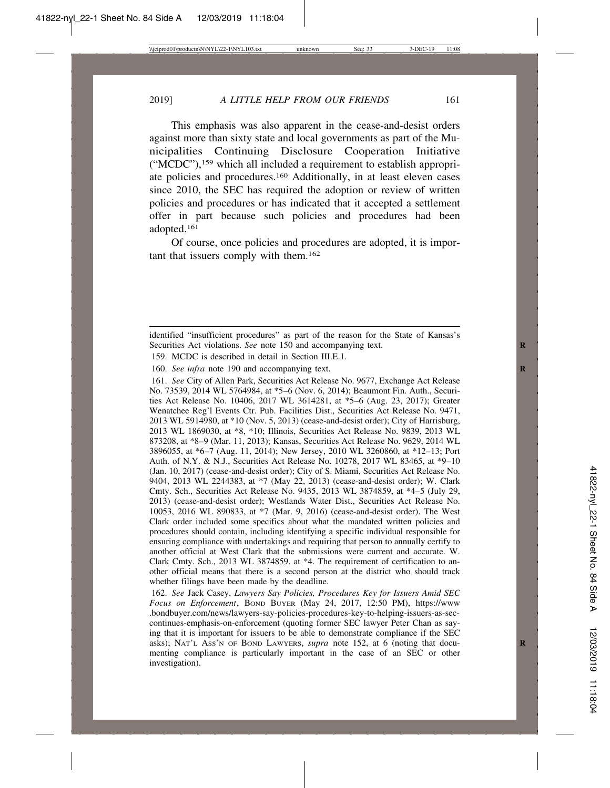2019] *A LITTLE HELP FROM OUR FRIENDS* 161

This emphasis was also apparent in the cease-and-desist orders against more than sixty state and local governments as part of the Municipalities Continuing Disclosure Cooperation Initiative ("MCDC"),159 which all included a requirement to establish appropriate policies and procedures.160 Additionally, in at least eleven cases since 2010, the SEC has required the adoption or review of written policies and procedures or has indicated that it accepted a settlement offer in part because such policies and procedures had been adopted.161

Of course, once policies and procedures are adopted, it is important that issuers comply with them.162

159. MCDC is described in detail in Section III.E.1.

160. *See infra* note 190 and accompanying text.

161. *See* City of Allen Park, Securities Act Release No. 9677, Exchange Act Release No. 73539, 2014 WL 5764984, at \*5–6 (Nov. 6, 2014); Beaumont Fin. Auth., Securities Act Release No. 10406, 2017 WL 3614281, at \*5–6 (Aug. 23, 2017); Greater Wenatchee Reg'l Events Ctr. Pub. Facilities Dist., Securities Act Release No. 9471, 2013 WL 5914980, at \*10 (Nov. 5, 2013) (cease-and-desist order); City of Harrisburg, 2013 WL 1869030, at \*8, \*10; Illinois, Securities Act Release No. 9839, 2013 WL 873208, at \*8–9 (Mar. 11, 2013); Kansas, Securities Act Release No. 9629, 2014 WL 3896055, at \*6–7 (Aug. 11, 2014); New Jersey, 2010 WL 3260860, at \*12–13; Port Auth. of N.Y. & N.J., Securities Act Release No. 10278, 2017 WL 83465, at \*9–10 (Jan. 10, 2017) (cease-and-desist order); City of S. Miami, Securities Act Release No. 9404, 2013 WL 2244383, at \*7 (May 22, 2013) (cease-and-desist order); W. Clark Cmty. Sch., Securities Act Release No. 9435, 2013 WL 3874859, at \*4–5 (July 29, 2013) (cease-and-desist order); Westlands Water Dist., Securities Act Release No. 10053, 2016 WL 890833, at \*7 (Mar. 9, 2016) (cease-and-desist order). The West Clark order included some specifics about what the mandated written policies and procedures should contain, including identifying a specific individual responsible for ensuring compliance with undertakings and requiring that person to annually certify to another official at West Clark that the submissions were current and accurate. W. Clark Cmty. Sch., 2013 WL 3874859, at \*4. The requirement of certification to another official means that there is a second person at the district who should track whether filings have been made by the deadline.

162. *See* Jack Casey, *Lawyers Say Policies, Procedures Key for Issuers Amid SEC Focus on Enforcement*, BOND BUYER (May 24, 2017, 12:50 PM), https://www .bondbuyer.com/news/lawyers-say-policies-procedures-key-to-helping-issuers-as-seccontinues-emphasis-on-enforcement (quoting former SEC lawyer Peter Chan as saying that it is important for issuers to be able to demonstrate compliance if the SEC asks); NAT'L Ass'N OF BOND LAWYERS, *supra* note 152, at 6 (noting that documenting compliance is particularly important in the case of an SEC or other investigation).

identified "insufficient procedures" as part of the reason for the State of Kansas's Securities Act violations. See note 150 and accompanying text.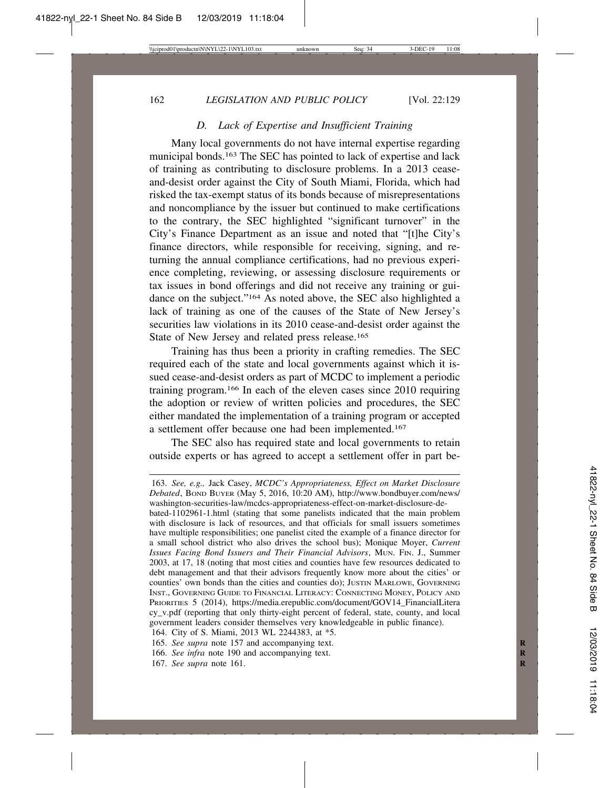## *D. Lack of Expertise and Insufficient Training*

Many local governments do not have internal expertise regarding municipal bonds.163 The SEC has pointed to lack of expertise and lack of training as contributing to disclosure problems. In a 2013 ceaseand-desist order against the City of South Miami, Florida, which had risked the tax-exempt status of its bonds because of misrepresentations and noncompliance by the issuer but continued to make certifications to the contrary, the SEC highlighted "significant turnover" in the City's Finance Department as an issue and noted that "[t]he City's finance directors, while responsible for receiving, signing, and returning the annual compliance certifications, had no previous experience completing, reviewing, or assessing disclosure requirements or tax issues in bond offerings and did not receive any training or guidance on the subject."164 As noted above, the SEC also highlighted a lack of training as one of the causes of the State of New Jersey's securities law violations in its 2010 cease-and-desist order against the State of New Jersey and related press release.<sup>165</sup>

Training has thus been a priority in crafting remedies. The SEC required each of the state and local governments against which it issued cease-and-desist orders as part of MCDC to implement a periodic training program.166 In each of the eleven cases since 2010 requiring the adoption or review of written policies and procedures, the SEC either mandated the implementation of a training program or accepted a settlement offer because one had been implemented.167

The SEC also has required state and local governments to retain outside experts or has agreed to accept a settlement offer in part be-

<sup>163.</sup> *See, e.g.,* Jack Casey, *MCDC's Appropriateness, Effect on Market Disclosure Debated*, BOND BUYER (May 5, 2016, 10:20 AM), http://www.bondbuyer.com/news/ washington-securities-law/mcdcs-appropriateness-effect-on-market-disclosure-de-

bated-1102961-1.html (stating that some panelists indicated that the main problem with disclosure is lack of resources, and that officials for small issuers sometimes have multiple responsibilities; one panelist cited the example of a finance director for a small school district who also drives the school bus); Monique Moyer, *Current Issues Facing Bond Issuers and Their Financial Advisors*, MUN. FIN. J., Summer 2003, at 17, 18 (noting that most cities and counties have few resources dedicated to debt management and that their advisors frequently know more about the cities' or counties' own bonds than the cities and counties do); JUSTIN MARLOWE, GOVERNING INST., GOVERNING GUIDE TO FINANCIAL LITERACY: CONNECTING MONEY, POLICY AND PRIORITIES 5 (2014), https://media.erepublic.com/document/GOV14\_FinancialLitera cy\_v.pdf (reporting that only thirty-eight percent of federal, state, county, and local government leaders consider themselves very knowledgeable in public finance).

<sup>164.</sup> City of S. Miami, 2013 WL 2244383, at \*5.

<sup>165.</sup> *See supra* note 157 and accompanying text.

<sup>166.</sup> *See infra* note 190 and accompanying text.

<sup>167.</sup> *See supra* note 161. **R**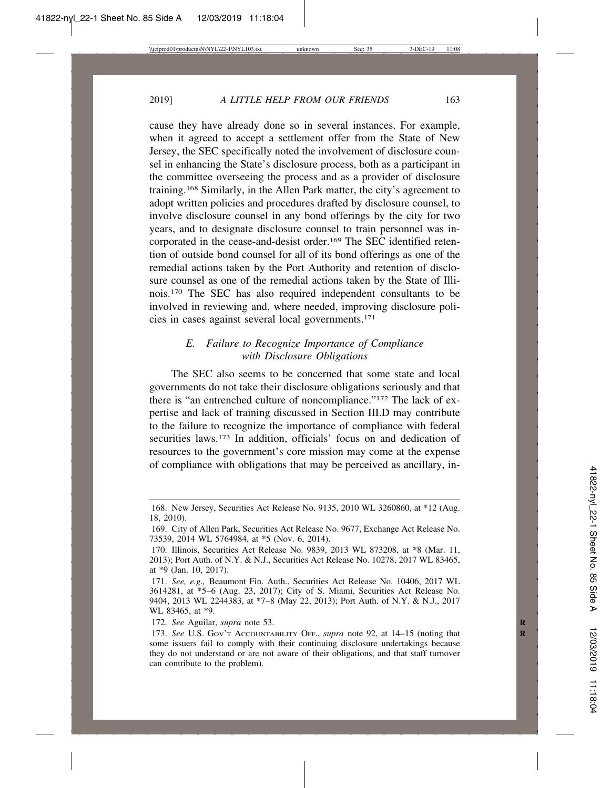cause they have already done so in several instances. For example, when it agreed to accept a settlement offer from the State of New Jersey, the SEC specifically noted the involvement of disclosure counsel in enhancing the State's disclosure process, both as a participant in the committee overseeing the process and as a provider of disclosure training.168 Similarly, in the Allen Park matter, the city's agreement to adopt written policies and procedures drafted by disclosure counsel, to involve disclosure counsel in any bond offerings by the city for two years, and to designate disclosure counsel to train personnel was incorporated in the cease-and-desist order.<sup>169</sup> The SEC identified retention of outside bond counsel for all of its bond offerings as one of the remedial actions taken by the Port Authority and retention of disclosure counsel as one of the remedial actions taken by the State of Illinois.170 The SEC has also required independent consultants to be involved in reviewing and, where needed, improving disclosure policies in cases against several local governments.171

# *E. Failure to Recognize Importance of Compliance with Disclosure Obligations*

The SEC also seems to be concerned that some state and local governments do not take their disclosure obligations seriously and that there is "an entrenched culture of noncompliance."172 The lack of expertise and lack of training discussed in Section III.D may contribute to the failure to recognize the importance of compliance with federal securities laws.<sup>173</sup> In addition, officials' focus on and dedication of resources to the government's core mission may come at the expense of compliance with obligations that may be perceived as ancillary, in-

172. *See* Aguilar, *supra* note 53. **R**

<sup>168.</sup> New Jersey, Securities Act Release No. 9135, 2010 WL 3260860, at \*12 (Aug. 18, 2010).

<sup>169.</sup> City of Allen Park, Securities Act Release No. 9677, Exchange Act Release No. 73539, 2014 WL 5764984, at \*5 (Nov. 6, 2014).

<sup>170.</sup> Illinois, Securities Act Release No. 9839, 2013 WL 873208, at \*8 (Mar. 11, 2013); Port Auth. of N.Y. & N.J., Securities Act Release No. 10278, 2017 WL 83465, at \*9 (Jan. 10, 2017).

<sup>171.</sup> *See, e.g.,* Beaumont Fin. Auth., Securities Act Release No. 10406, 2017 WL 3614281, at \*5–6 (Aug. 23, 2017); City of S. Miami, Securities Act Release No. 9404, 2013 WL 2244383, at \*7–8 (May 22, 2013); Port Auth. of N.Y. & N.J., 2017 WL 83465, at \*9.

<sup>173.</sup> *See* U.S. GOV'T ACCOUNTABILITY OFF., *supra* note 92, at 14–15 (noting that **R** some issuers fail to comply with their continuing disclosure undertakings because they do not understand or are not aware of their obligations, and that staff turnover can contribute to the problem).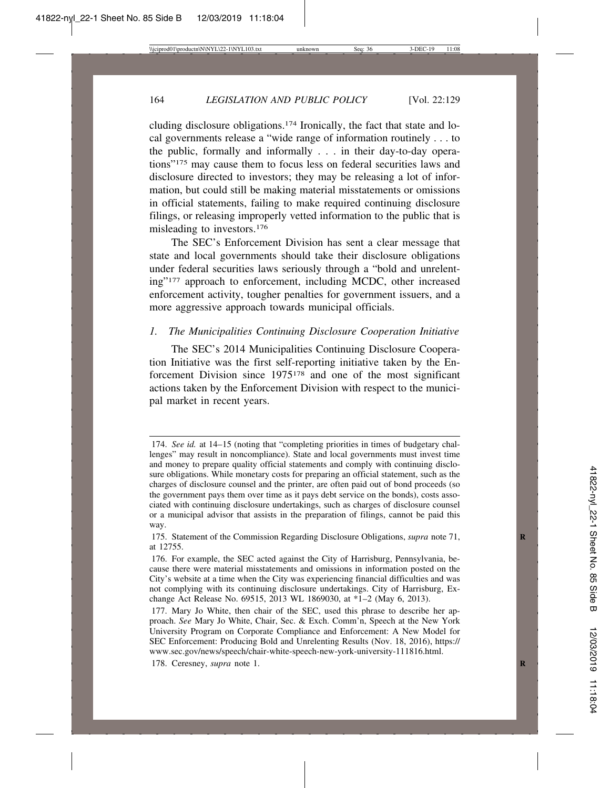cluding disclosure obligations.174 Ironically, the fact that state and local governments release a "wide range of information routinely . . . to the public, formally and informally . . . in their day-to-day operations"175 may cause them to focus less on federal securities laws and disclosure directed to investors; they may be releasing a lot of information, but could still be making material misstatements or omissions in official statements, failing to make required continuing disclosure filings, or releasing improperly vetted information to the public that is misleading to investors.176

The SEC's Enforcement Division has sent a clear message that state and local governments should take their disclosure obligations under federal securities laws seriously through a "bold and unrelenting"177 approach to enforcement, including MCDC, other increased enforcement activity, tougher penalties for government issuers, and a more aggressive approach towards municipal officials.

## *1. The Municipalities Continuing Disclosure Cooperation Initiative*

The SEC's 2014 Municipalities Continuing Disclosure Cooperation Initiative was the first self-reporting initiative taken by the Enforcement Division since 1975178 and one of the most significant actions taken by the Enforcement Division with respect to the municipal market in recent years.

<sup>174.</sup> *See id.* at 14–15 (noting that "completing priorities in times of budgetary challenges" may result in noncompliance). State and local governments must invest time and money to prepare quality official statements and comply with continuing disclosure obligations. While monetary costs for preparing an official statement, such as the charges of disclosure counsel and the printer, are often paid out of bond proceeds (so the government pays them over time as it pays debt service on the bonds), costs associated with continuing disclosure undertakings, such as charges of disclosure counsel or a municipal advisor that assists in the preparation of filings, cannot be paid this way.

<sup>175.</sup> Statement of the Commission Regarding Disclosure Obligations, *supra* note 71, **R** at 12755.

<sup>176.</sup> For example, the SEC acted against the City of Harrisburg, Pennsylvania, because there were material misstatements and omissions in information posted on the City's website at a time when the City was experiencing financial difficulties and was not complying with its continuing disclosure undertakings. City of Harrisburg, Exchange Act Release No. 69515, 2013 WL 1869030, at \*1–2 (May 6, 2013).

<sup>177.</sup> Mary Jo White, then chair of the SEC, used this phrase to describe her approach. *See* Mary Jo White, Chair, Sec. & Exch. Comm'n, Speech at the New York University Program on Corporate Compliance and Enforcement: A New Model for SEC Enforcement: Producing Bold and Unrelenting Results (Nov. 18, 2016), https:// www.sec.gov/news/speech/chair-white-speech-new-york-university-111816.html.

<sup>178.</sup> Ceresney, *supra* note 1. **R**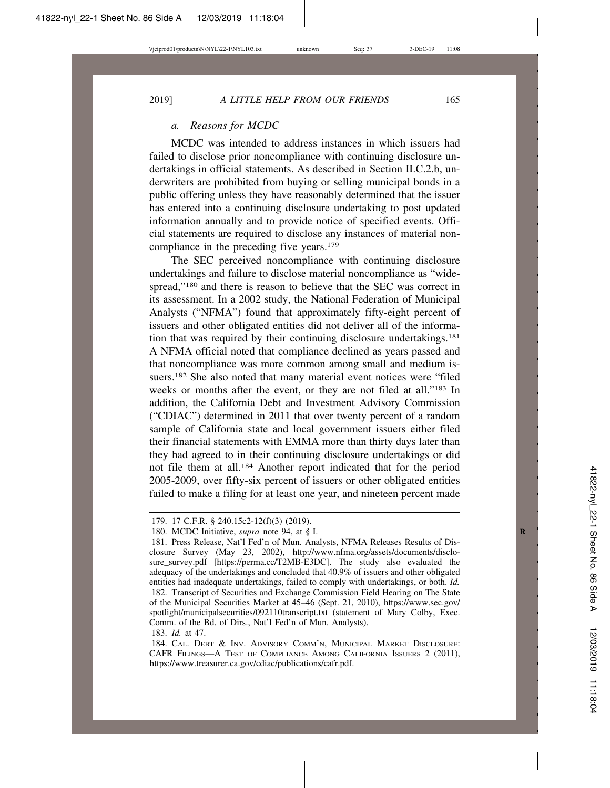## *a. Reasons for MCDC*

MCDC was intended to address instances in which issuers had failed to disclose prior noncompliance with continuing disclosure undertakings in official statements. As described in Section II.C.2.b, underwriters are prohibited from buying or selling municipal bonds in a public offering unless they have reasonably determined that the issuer has entered into a continuing disclosure undertaking to post updated information annually and to provide notice of specified events. Official statements are required to disclose any instances of material noncompliance in the preceding five years.179

The SEC perceived noncompliance with continuing disclosure undertakings and failure to disclose material noncompliance as "widespread,"<sup>180</sup> and there is reason to believe that the SEC was correct in its assessment. In a 2002 study, the National Federation of Municipal Analysts ("NFMA") found that approximately fifty-eight percent of issuers and other obligated entities did not deliver all of the information that was required by their continuing disclosure undertakings.181 A NFMA official noted that compliance declined as years passed and that noncompliance was more common among small and medium issuers.182 She also noted that many material event notices were "filed weeks or months after the event, or they are not filed at all."183 In addition, the California Debt and Investment Advisory Commission ("CDIAC") determined in 2011 that over twenty percent of a random sample of California state and local government issuers either filed their financial statements with EMMA more than thirty days later than they had agreed to in their continuing disclosure undertakings or did not file them at all.184 Another report indicated that for the period 2005-2009, over fifty-six percent of issuers or other obligated entities failed to make a filing for at least one year, and nineteen percent made

<sup>179. 17</sup> C.F.R. § 240.15c2-12(f)(3) (2019).

<sup>180.</sup> MCDC Initiative, *supra* note 94, at § I. **R**

<sup>181.</sup> Press Release, Nat'l Fed'n of Mun. Analysts, NFMA Releases Results of Disclosure Survey (May 23, 2002), http://www.nfma.org/assets/documents/disclosure\_survey.pdf [https://perma.cc/T2MB-E3DC]. The study also evaluated the adequacy of the undertakings and concluded that 40.9% of issuers and other obligated entities had inadequate undertakings, failed to comply with undertakings, or both. *Id.* 182. Transcript of Securities and Exchange Commission Field Hearing on The State of the Municipal Securities Market at 45–46 (Sept. 21, 2010), https://www.sec.gov/ spotlight/municipalsecurities/092110transcript.txt (statement of Mary Colby, Exec. Comm. of the Bd. of Dirs., Nat'l Fed'n of Mun. Analysts).

<sup>183.</sup> *Id.* at 47.

<sup>184.</sup> CAL. DEBT & INV. ADVISORY COMM'N, MUNICIPAL MARKET DISCLOSURE: CAFR FILINGS—A TEST OF COMPLIANCE AMONG CALIFORNIA ISSUERS 2 (2011), https://www.treasurer.ca.gov/cdiac/publications/cafr.pdf.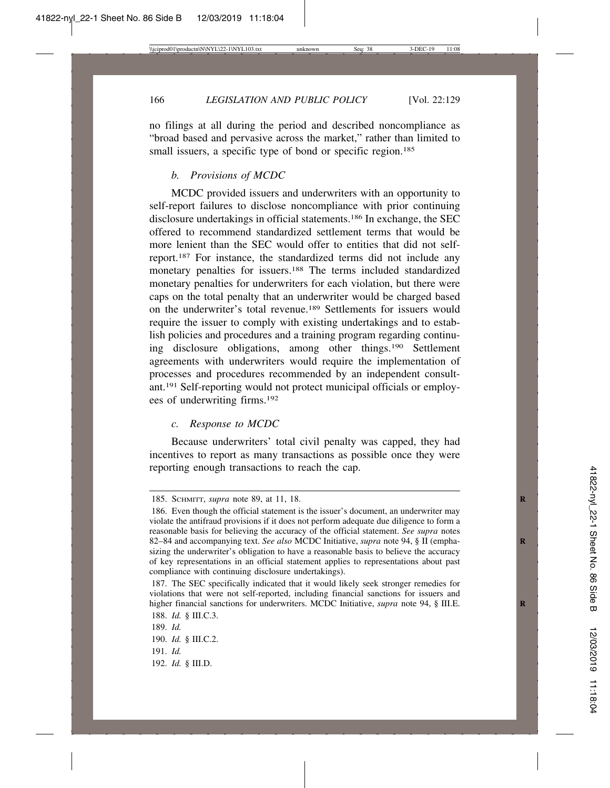no filings at all during the period and described noncompliance as "broad based and pervasive across the market," rather than limited to small issuers, a specific type of bond or specific region.<sup>185</sup>

#### *b. Provisions of MCDC*

MCDC provided issuers and underwriters with an opportunity to self-report failures to disclose noncompliance with prior continuing disclosure undertakings in official statements.186 In exchange, the SEC offered to recommend standardized settlement terms that would be more lenient than the SEC would offer to entities that did not selfreport.187 For instance, the standardized terms did not include any monetary penalties for issuers.<sup>188</sup> The terms included standardized monetary penalties for underwriters for each violation, but there were caps on the total penalty that an underwriter would be charged based on the underwriter's total revenue.189 Settlements for issuers would require the issuer to comply with existing undertakings and to establish policies and procedures and a training program regarding continuing disclosure obligations, among other things.190 Settlement agreements with underwriters would require the implementation of processes and procedures recommended by an independent consultant.191 Self-reporting would not protect municipal officials or employees of underwriting firms.192

#### *c. Response to MCDC*

Because underwriters' total civil penalty was capped, they had incentives to report as many transactions as possible once they were reporting enough transactions to reach the cap.

192. *Id.* § III.D.

<sup>185.</sup> SCHMITT, *supra* note 89, at 11, 18. **R**

<sup>186.</sup> Even though the official statement is the issuer's document, an underwriter may violate the antifraud provisions if it does not perform adequate due diligence to form a reasonable basis for believing the accuracy of the official statement. *See supra* notes 82–84 and accompanying text. See also MCDC Initiative, *supra* note 94, § II (emphasizing the underwriter's obligation to have a reasonable basis to believe the accuracy of key representations in an official statement applies to representations about past compliance with continuing disclosure undertakings).

<sup>187.</sup> The SEC specifically indicated that it would likely seek stronger remedies for violations that were not self-reported, including financial sanctions for issuers and higher financial sanctions for underwriters. MCDC Initiative, *supra* note 94, § III.E.

<sup>188.</sup> *Id.* § III.C.3.

<sup>189.</sup> *Id.*

<sup>190.</sup> *Id.* § III.C.2.

<sup>191.</sup> *Id.*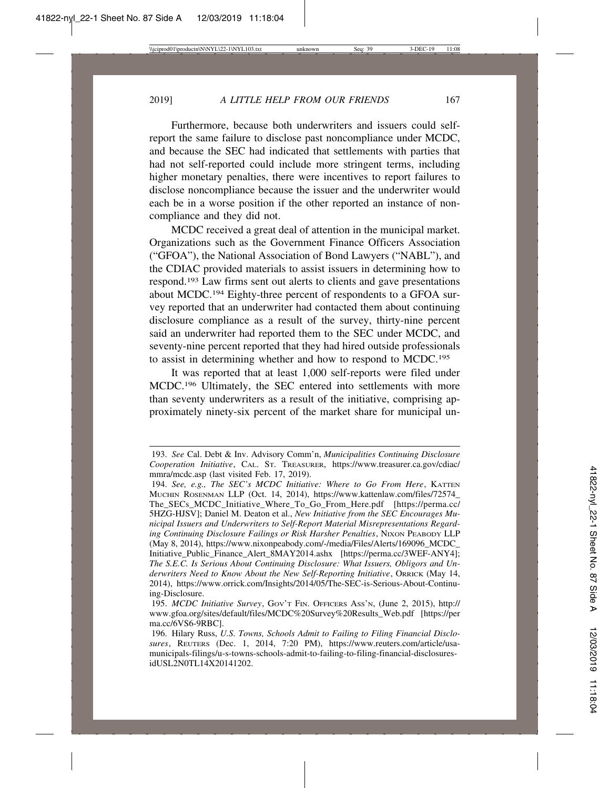Furthermore, because both underwriters and issuers could selfreport the same failure to disclose past noncompliance under MCDC, and because the SEC had indicated that settlements with parties that had not self-reported could include more stringent terms, including higher monetary penalties, there were incentives to report failures to disclose noncompliance because the issuer and the underwriter would each be in a worse position if the other reported an instance of noncompliance and they did not.

MCDC received a great deal of attention in the municipal market. Organizations such as the Government Finance Officers Association ("GFOA"), the National Association of Bond Lawyers ("NABL"), and the CDIAC provided materials to assist issuers in determining how to respond.193 Law firms sent out alerts to clients and gave presentations about MCDC.194 Eighty-three percent of respondents to a GFOA survey reported that an underwriter had contacted them about continuing disclosure compliance as a result of the survey, thirty-nine percent said an underwriter had reported them to the SEC under MCDC, and seventy-nine percent reported that they had hired outside professionals to assist in determining whether and how to respond to MCDC.195

It was reported that at least 1,000 self-reports were filed under MCDC.196 Ultimately, the SEC entered into settlements with more than seventy underwriters as a result of the initiative, comprising approximately ninety-six percent of the market share for municipal un-

194. *See, e.g., The SEC's MCDC Initiative: Where to Go From Here*, KATTEN MUCHIN ROSENMAN LLP (Oct. 14, 2014), https://www.kattenlaw.com/files/72574\_ The\_SECs\_MCDC\_Initiative\_Where\_To\_Go\_From\_Here.pdf [https://perma.cc/ 5HZG-HJSV]; Daniel M. Deaton et al., *New Initiative from the SEC Encourages Municipal Issuers and Underwriters to Self-Report Material Misrepresentations Regarding Continuing Disclosure Failings or Risk Harsher Penalties*, NIXON PEABODY LLP (May 8, 2014), https://www.nixonpeabody.com/-/media/Files/Alerts/169096\_MCDC\_ Initiative\_Public\_Finance\_Alert\_8MAY2014.ashx [https://perma.cc/3WEF-ANY4]; *The S.E.C. Is Serious About Continuing Disclosure: What Issuers, Obligors and Underwriters Need to Know About the New Self-Reporting Initiative*, ORRICK (May 14, 2014), https://www.orrick.com/Insights/2014/05/The-SEC-is-Serious-About-Continuing-Disclosure.

<sup>193.</sup> *See* Cal. Debt & Inv. Advisory Comm'n, *Municipalities Continuing Disclosure Cooperation Initiative*, CAL. ST. TREASURER, https://www.treasurer.ca.gov/cdiac/ mmra/mcdc.asp (last visited Feb. 17, 2019).

<sup>195.</sup> *MCDC Initiative Survey*, GOV'T FIN. OFFICERS ASS'N, (June 2, 2015), http:// www.gfoa.org/sites/default/files/MCDC%20Survey%20Results\_Web.pdf [https://per ma.cc/6VS6-9RBC].

<sup>196.</sup> Hilary Russ, *U.S. Towns, Schools Admit to Failing to Filing Financial Disclosures*, REUTERS (Dec. 1, 2014, 7:20 PM), https://www.reuters.com/article/usamunicipals-filings/u-s-towns-schools-admit-to-failing-to-filing-financial-disclosuresidUSL2N0TL14X20141202.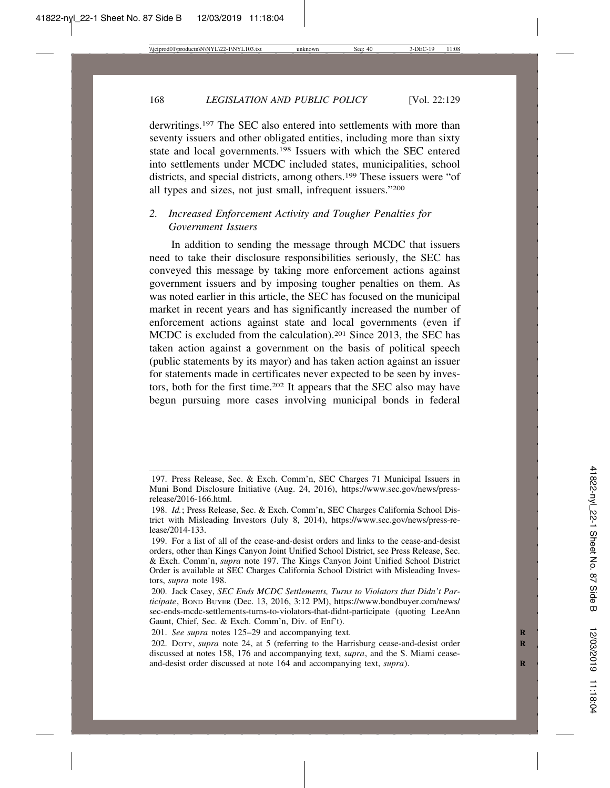derwritings.197 The SEC also entered into settlements with more than seventy issuers and other obligated entities, including more than sixty state and local governments.198 Issuers with which the SEC entered into settlements under MCDC included states, municipalities, school districts, and special districts, among others.<sup>199</sup> These issuers were "of all types and sizes, not just small, infrequent issuers."200

# *2. Increased Enforcement Activity and Tougher Penalties for Government Issuers*

In addition to sending the message through MCDC that issuers need to take their disclosure responsibilities seriously, the SEC has conveyed this message by taking more enforcement actions against government issuers and by imposing tougher penalties on them. As was noted earlier in this article, the SEC has focused on the municipal market in recent years and has significantly increased the number of enforcement actions against state and local governments (even if MCDC is excluded from the calculation).201 Since 2013, the SEC has taken action against a government on the basis of political speech (public statements by its mayor) and has taken action against an issuer for statements made in certificates never expected to be seen by investors, both for the first time.202 It appears that the SEC also may have begun pursuing more cases involving municipal bonds in federal

<sup>197.</sup> Press Release, Sec. & Exch. Comm'n, SEC Charges 71 Municipal Issuers in Muni Bond Disclosure Initiative (Aug. 24, 2016), https://www.sec.gov/news/pressrelease/2016-166.html.

<sup>198.</sup> *Id.*; Press Release, Sec. & Exch. Comm'n, SEC Charges California School District with Misleading Investors (July 8, 2014), https://www.sec.gov/news/press-release/2014-133.

<sup>199.</sup> For a list of all of the cease-and-desist orders and links to the cease-and-desist orders, other than Kings Canyon Joint Unified School District, see Press Release, Sec. & Exch. Comm'n, *supra* note 197. The Kings Canyon Joint Unified School District Order is available at SEC Charges California School District with Misleading Investors, *supra* note 198.

<sup>200.</sup> Jack Casey, *SEC Ends MCDC Settlements, Turns to Violators that Didn't Participate*, BOND BUYER (Dec. 13, 2016, 3:12 PM), https://www.bondbuyer.com/news/ sec-ends-mcdc-settlements-turns-to-violators-that-didnt-participate (quoting LeeAnn Gaunt, Chief, Sec. & Exch. Comm'n, Div. of Enf't).

<sup>201.</sup> *See supra* notes 125–29 and accompanying text.

<sup>202.</sup> DOTY, *supra* note 24, at 5 (referring to the Harrisburg cease-and-desist order **R** discussed at notes 158, 176 and accompanying text, *supra*, and the S. Miami ceaseand-desist order discussed at note 164 and accompanying text, *supra*).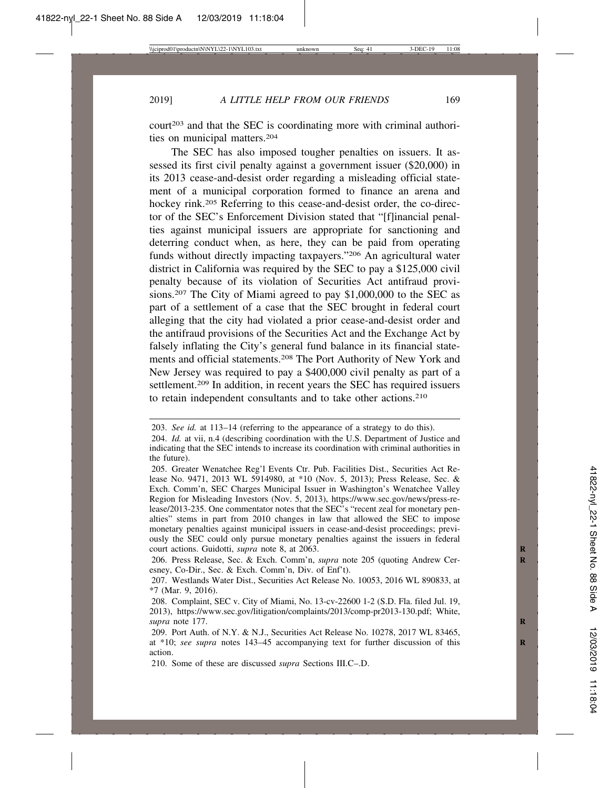court<sup>203</sup> and that the SEC is coordinating more with criminal authorities on municipal matters.204

The SEC has also imposed tougher penalties on issuers. It assessed its first civil penalty against a government issuer (\$20,000) in its 2013 cease-and-desist order regarding a misleading official statement of a municipal corporation formed to finance an arena and hockey rink.205 Referring to this cease-and-desist order, the co-director of the SEC's Enforcement Division stated that "[f]inancial penalties against municipal issuers are appropriate for sanctioning and deterring conduct when, as here, they can be paid from operating funds without directly impacting taxpayers."206 An agricultural water district in California was required by the SEC to pay a \$125,000 civil penalty because of its violation of Securities Act antifraud provisions.207 The City of Miami agreed to pay \$1,000,000 to the SEC as part of a settlement of a case that the SEC brought in federal court alleging that the city had violated a prior cease-and-desist order and the antifraud provisions of the Securities Act and the Exchange Act by falsely inflating the City's general fund balance in its financial statements and official statements.208 The Port Authority of New York and New Jersey was required to pay a \$400,000 civil penalty as part of a settlement.209 In addition, in recent years the SEC has required issuers to retain independent consultants and to take other actions.210

<sup>203.</sup> *See id.* at 113–14 (referring to the appearance of a strategy to do this).

<sup>204.</sup> *Id.* at vii, n.4 (describing coordination with the U.S. Department of Justice and indicating that the SEC intends to increase its coordination with criminal authorities in the future).

<sup>205.</sup> Greater Wenatchee Reg'l Events Ctr. Pub. Facilities Dist., Securities Act Release No. 9471, 2013 WL 5914980, at \*10 (Nov. 5, 2013); Press Release, Sec. & Exch. Comm'n, SEC Charges Municipal Issuer in Washington's Wenatchee Valley Region for Misleading Investors (Nov. 5, 2013), https://www.sec.gov/news/press-release/2013-235. One commentator notes that the SEC's "recent zeal for monetary penalties" stems in part from 2010 changes in law that allowed the SEC to impose monetary penalties against municipal issuers in cease-and-desist proceedings; previously the SEC could only pursue monetary penalties against the issuers in federal court actions. Guidotti, *supra* note 8, at 2063. **R**

<sup>206.</sup> Press Release, Sec. & Exch. Comm'n, *supra* note 205 (quoting Andrew Ceresney, Co-Dir., Sec. & Exch. Comm'n, Div. of Enf't).

<sup>207.</sup> Westlands Water Dist., Securities Act Release No. 10053, 2016 WL 890833, at \*7 (Mar. 9, 2016).

<sup>208.</sup> Complaint, SEC v. City of Miami, No. 13-cv-22600 1-2 (S.D. Fla. filed Jul. 19, 2013), https://www.sec.gov/litigation/complaints/2013/comp-pr2013-130.pdf; White, *supra* note 177. **R**

<sup>209.</sup> Port Auth. of N.Y. & N.J., Securities Act Release No. 10278, 2017 WL 83465, at \*10; see supra notes 143–45 accompanying text for further discussion of this action.

<sup>210.</sup> Some of these are discussed *supra* Sections III.C–.D.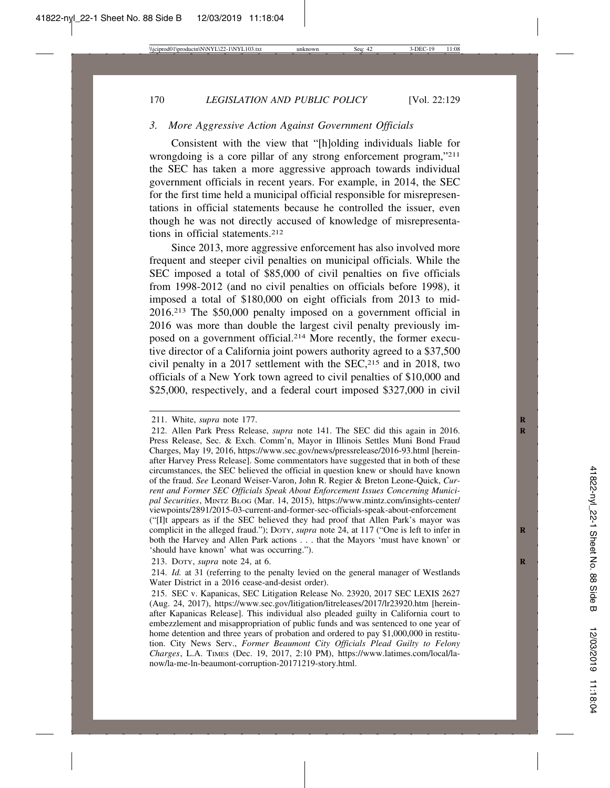## *3. More Aggressive Action Against Government Officials*

Consistent with the view that "[h]olding individuals liable for wrongdoing is a core pillar of any strong enforcement program,"<sup>211</sup> the SEC has taken a more aggressive approach towards individual government officials in recent years. For example, in 2014, the SEC for the first time held a municipal official responsible for misrepresentations in official statements because he controlled the issuer, even though he was not directly accused of knowledge of misrepresentations in official statements.212

Since 2013, more aggressive enforcement has also involved more frequent and steeper civil penalties on municipal officials. While the SEC imposed a total of \$85,000 of civil penalties on five officials from 1998-2012 (and no civil penalties on officials before 1998), it imposed a total of \$180,000 on eight officials from 2013 to mid-2016.213 The \$50,000 penalty imposed on a government official in 2016 was more than double the largest civil penalty previously imposed on a government official.214 More recently, the former executive director of a California joint powers authority agreed to a \$37,500 civil penalty in a 2017 settlement with the  $SEC.215$  and in 2018, two officials of a New York town agreed to civil penalties of \$10,000 and \$25,000, respectively, and a federal court imposed \$327,000 in civil

213. DOTY, *supra* note 24, at 6. **R**

<sup>211.</sup> White, *supra* note 177. **R**

<sup>212.</sup> Allen Park Press Release, *supra* note 141. The SEC did this again in 2016. **R** Press Release, Sec. & Exch. Comm'n, Mayor in Illinois Settles Muni Bond Fraud Charges, May 19, 2016, https://www.sec.gov/news/pressrelease/2016-93.html [hereinafter Harvey Press Release]. Some commentators have suggested that in both of these circumstances, the SEC believed the official in question knew or should have known of the fraud. *See* Leonard Weiser-Varon, John R. Regier & Breton Leone-Quick, *Current and Former SEC Officials Speak About Enforcement Issues Concerning Municipal Securities*, MINTZ BLOG (Mar. 14, 2015), https://www.mintz.com/insights-center/ viewpoints/2891/2015-03-current-and-former-sec-officials-speak-about-enforcement ("[I]t appears as if the SEC believed they had proof that Allen Park's mayor was complicit in the alleged fraud."); DOTY, *supra* note 24, at 117 ("One is left to infer in **R** both the Harvey and Allen Park actions . . . that the Mayors 'must have known' or 'should have known' what was occurring.").

<sup>214.</sup> *Id.* at 31 (referring to the penalty levied on the general manager of Westlands Water District in a 2016 cease-and-desist order).

<sup>215.</sup> SEC v. Kapanicas, SEC Litigation Release No. 23920, 2017 SEC LEXIS 2627 (Aug. 24, 2017), https://www.sec.gov/litigation/litreleases/2017/lr23920.htm [hereinafter Kapanicas Release]. This individual also pleaded guilty in California court to embezzlement and misappropriation of public funds and was sentenced to one year of home detention and three years of probation and ordered to pay \$1,000,000 in restitution. City News Serv., *Former Beaumont City Officials Plead Guilty to Felony Charges*, L.A. TIMES (Dec. 19, 2017, 2:10 PM), https://www.latimes.com/local/lanow/la-me-ln-beaumont-corruption-20171219-story.html.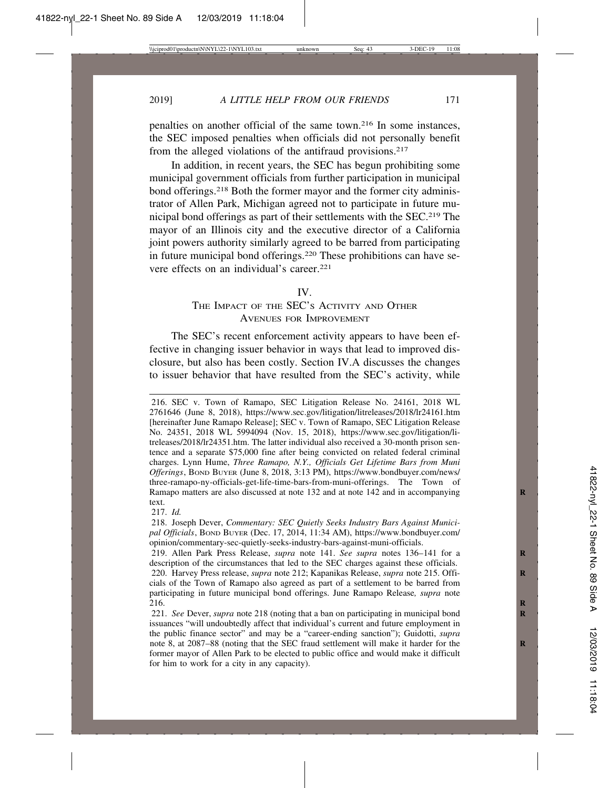penalties on another official of the same town.216 In some instances, the SEC imposed penalties when officials did not personally benefit from the alleged violations of the antifraud provisions.<sup>217</sup>

In addition, in recent years, the SEC has begun prohibiting some municipal government officials from further participation in municipal bond offerings.<sup>218</sup> Both the former mayor and the former city administrator of Allen Park, Michigan agreed not to participate in future municipal bond offerings as part of their settlements with the SEC.219 The mayor of an Illinois city and the executive director of a California joint powers authority similarly agreed to be barred from participating in future municipal bond offerings.220 These prohibitions can have severe effects on an individual's career.<sup>221</sup>

#### IV.

# THE IMPACT OF THE SEC'S ACTIVITY AND OTHER AVENUES FOR IMPROVEMENT

The SEC's recent enforcement activity appears to have been effective in changing issuer behavior in ways that lead to improved disclosure, but also has been costly. Section IV.A discusses the changes to issuer behavior that have resulted from the SEC's activity, while

216. SEC v. Town of Ramapo, SEC Litigation Release No. 24161, 2018 WL 2761646 (June 8, 2018), https://www.sec.gov/litigation/litreleases/2018/lr24161.htm [hereinafter June Ramapo Release]; SEC v. Town of Ramapo, SEC Litigation Release No. 24351, 2018 WL 5994094 (Nov. 15, 2018), https://www.sec.gov/litigation/litreleases/2018/lr24351.htm. The latter individual also received a 30-month prison sentence and a separate \$75,000 fine after being convicted on related federal criminal charges. Lynn Hume, *Three Ramapo, N.Y., Officials Get Lifetime Bars from Muni Offerings*, BOND BUYER (June 8, 2018, 3:13 PM), https://www.bondbuyer.com/news/ three-ramapo-ny-officials-get-life-time-bars-from-muni-offerings. The Town of Ramapo matters are also discussed at note 132 and at note 142 and in accompanying **R** text.

217. *Id.*

218. Joseph Dever, *Commentary: SEC Quietly Seeks Industry Bars Against Municipal Officials*, BOND BUYER (Dec. 17, 2014, 11:34 AM), https://www.bondbuyer.com/ opinion/commentary-sec-quietly-seeks-industry-bars-against-muni-officials.

219. Allen Park Press Release, *supra* note 141. *See supra* notes 136–141 for a **R** description of the circumstances that led to the SEC charges against these officials.

<sup>220.</sup> Harvey Press release, *supra* note 212; Kapanikas Release, *supra* note 215. Offi- **R** cials of the Town of Ramapo also agreed as part of a settlement to be barred from participating in future municipal bond offerings. June Ramapo Release*, supra* note 216. **R**

<sup>221.</sup> *See* Dever, *supra* note 218 (noting that a ban on participating in municipal bond issuances "will undoubtedly affect that individual's current and future employment in the public finance sector" and may be a "career-ending sanction"); Guidotti, *supra* note 8, at 2087–88 (noting that the SEC fraud settlement will make it harder for the **R** former mayor of Allen Park to be elected to public office and would make it difficult for him to work for a city in any capacity).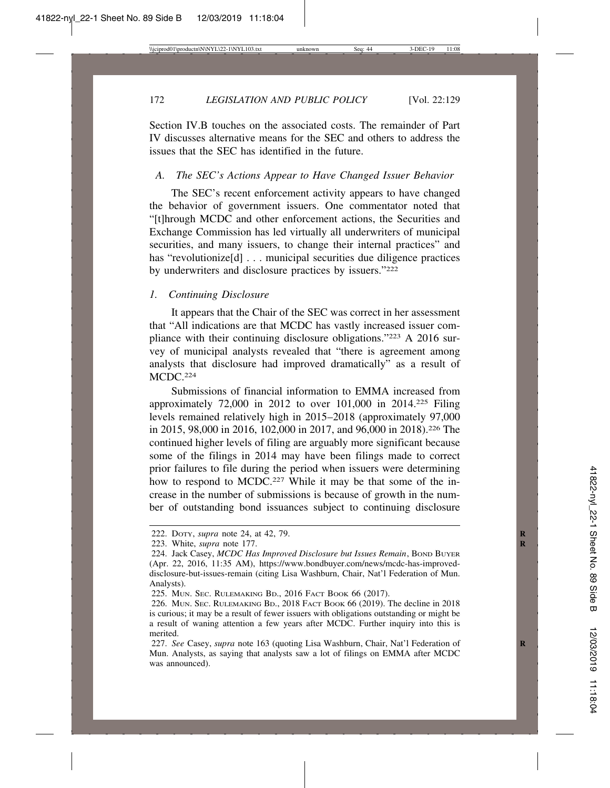Section IV.B touches on the associated costs. The remainder of Part IV discusses alternative means for the SEC and others to address the issues that the SEC has identified in the future.

#### *A. The SEC's Actions Appear to Have Changed Issuer Behavior*

The SEC's recent enforcement activity appears to have changed the behavior of government issuers. One commentator noted that "[t]hrough MCDC and other enforcement actions, the Securities and Exchange Commission has led virtually all underwriters of municipal securities, and many issuers, to change their internal practices" and has "revolutionize<sup>[d]</sup> . . . municipal securities due diligence practices by underwriters and disclosure practices by issuers."222

## *1. Continuing Disclosure*

It appears that the Chair of the SEC was correct in her assessment that "All indications are that MCDC has vastly increased issuer compliance with their continuing disclosure obligations."223 A 2016 survey of municipal analysts revealed that "there is agreement among analysts that disclosure had improved dramatically" as a result of MCDC.224

Submissions of financial information to EMMA increased from approximately 72,000 in 2012 to over 101,000 in 2014.225 Filing levels remained relatively high in 2015–2018 (approximately 97,000 in 2015, 98,000 in 2016, 102,000 in 2017, and 96,000 in 2018).226 The continued higher levels of filing are arguably more significant because some of the filings in 2014 may have been filings made to correct prior failures to file during the period when issuers were determining how to respond to MCDC.<sup>227</sup> While it may be that some of the increase in the number of submissions is because of growth in the number of outstanding bond issuances subject to continuing disclosure

<sup>222.</sup> DOTY, *supra* note 24, at 42, 79. **R**

<sup>223.</sup> White, *supra* note 177. **R**

<sup>224.</sup> Jack Casey, *MCDC Has Improved Disclosure but Issues Remain*, Bond BUYER (Apr. 22, 2016, 11:35 AM), https://www.bondbuyer.com/news/mcdc-has-improveddisclosure-but-issues-remain (citing Lisa Washburn, Chair, Nat'l Federation of Mun. Analysts).

<sup>225.</sup> MUN. SEC. RULEMAKING BD., 2016 FACT BOOK 66 (2017).

<sup>226.</sup> MUN. SEC. RULEMAKING BD., 2018 FACT BOOK 66 (2019). The decline in 2018 is curious; it may be a result of fewer issuers with obligations outstanding or might be a result of waning attention a few years after MCDC. Further inquiry into this is merited.

<sup>227.</sup> *See* Casey, *supra* note 163 (quoting Lisa Washburn, Chair, Nat'l Federation of **R** Mun. Analysts, as saying that analysts saw a lot of filings on EMMA after MCDC was announced).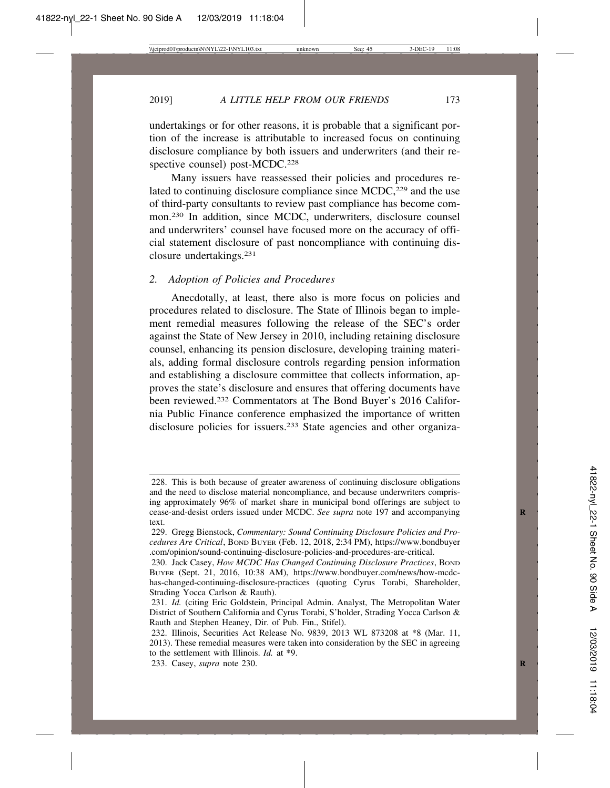2019] *A LITTLE HELP FROM OUR FRIENDS* 173

undertakings or for other reasons, it is probable that a significant portion of the increase is attributable to increased focus on continuing disclosure compliance by both issuers and underwriters (and their respective counsel) post-MCDC.<sup>228</sup>

Many issuers have reassessed their policies and procedures related to continuing disclosure compliance since MCDC,<sup>229</sup> and the use of third-party consultants to review past compliance has become common.230 In addition, since MCDC, underwriters, disclosure counsel and underwriters' counsel have focused more on the accuracy of official statement disclosure of past noncompliance with continuing disclosure undertakings.231

#### *2. Adoption of Policies and Procedures*

Anecdotally, at least, there also is more focus on policies and procedures related to disclosure. The State of Illinois began to implement remedial measures following the release of the SEC's order against the State of New Jersey in 2010, including retaining disclosure counsel, enhancing its pension disclosure, developing training materials, adding formal disclosure controls regarding pension information and establishing a disclosure committee that collects information, approves the state's disclosure and ensures that offering documents have been reviewed.232 Commentators at The Bond Buyer's 2016 California Public Finance conference emphasized the importance of written disclosure policies for issuers.233 State agencies and other organiza-

<sup>228.</sup> This is both because of greater awareness of continuing disclosure obligations and the need to disclose material noncompliance, and because underwriters comprising approximately 96% of market share in municipal bond offerings are subject to cease-and-desist orders issued under MCDC. See supra note 197 and accompanying text.

<sup>229.</sup> Gregg Bienstock, *Commentary: Sound Continuing Disclosure Policies and Procedures Are Critical*, BOND BUYER (Feb. 12, 2018, 2:34 PM), https://www.bondbuyer .com/opinion/sound-continuing-disclosure-policies-and-procedures-are-critical.

<sup>230.</sup> Jack Casey, *How MCDC Has Changed Continuing Disclosure Practices*, BOND BUYER (Sept. 21, 2016, 10:38 AM), https://www.bondbuyer.com/news/how-mcdchas-changed-continuing-disclosure-practices (quoting Cyrus Torabi, Shareholder, Strading Yocca Carlson & Rauth).

<sup>231.</sup> *Id.* (citing Eric Goldstein, Principal Admin. Analyst, The Metropolitan Water District of Southern California and Cyrus Torabi, S'holder, Strading Yocca Carlson & Rauth and Stephen Heaney, Dir. of Pub. Fin., Stifel).

<sup>232.</sup> Illinois, Securities Act Release No. 9839, 2013 WL 873208 at \*8 (Mar. 11, 2013). These remedial measures were taken into consideration by the SEC in agreeing to the settlement with Illinois. *Id.* at \*9.

<sup>233.</sup> Casey, *supra* note 230. **R**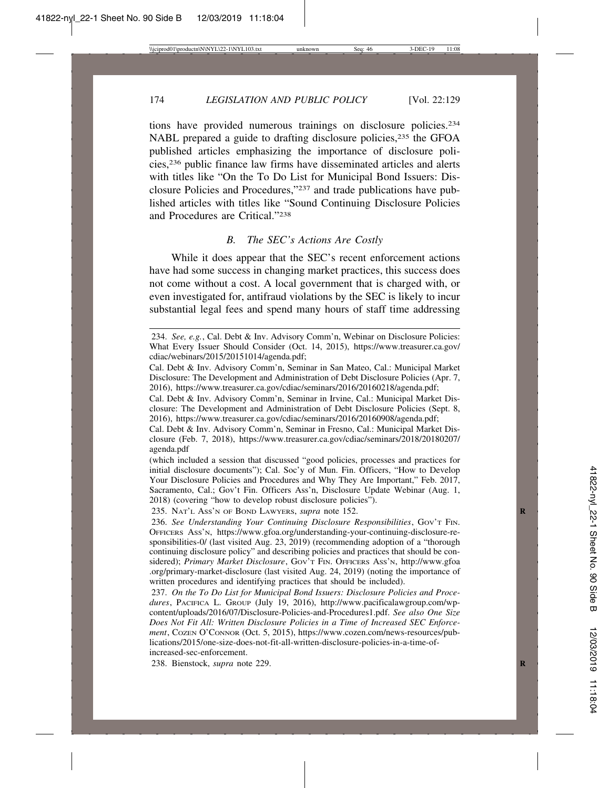tions have provided numerous trainings on disclosure policies.234 NABL prepared a guide to drafting disclosure policies,<sup>235</sup> the GFOA published articles emphasizing the importance of disclosure policies,236 public finance law firms have disseminated articles and alerts with titles like "On the To Do List for Municipal Bond Issuers: Disclosure Policies and Procedures,"237 and trade publications have published articles with titles like "Sound Continuing Disclosure Policies and Procedures are Critical."238

## *B. The SEC's Actions Are Costly*

While it does appear that the SEC's recent enforcement actions have had some success in changing market practices, this success does not come without a cost. A local government that is charged with, or even investigated for, antifraud violations by the SEC is likely to incur substantial legal fees and spend many hours of staff time addressing

235. NAT'L ASS'N OF BOND LAWYERS, *supra* note 152. **R**

238. Bienstock, *supra* note 229. **R**

<sup>234.</sup> *See, e.g.*, Cal. Debt & Inv. Advisory Comm'n, Webinar on Disclosure Policies: What Every Issuer Should Consider (Oct. 14, 2015), https://www.treasurer.ca.gov/ cdiac/webinars/2015/20151014/agenda.pdf;

Cal. Debt & Inv. Advisory Comm'n, Seminar in San Mateo, Cal.: Municipal Market Disclosure: The Development and Administration of Debt Disclosure Policies (Apr. 7, 2016), https://www.treasurer.ca.gov/cdiac/seminars/2016/20160218/agenda.pdf;

Cal. Debt & Inv. Advisory Comm'n, Seminar in Irvine, Cal.: Municipal Market Disclosure: The Development and Administration of Debt Disclosure Policies (Sept. 8, 2016), https://www.treasurer.ca.gov/cdiac/seminars/2016/20160908/agenda.pdf;

Cal. Debt & Inv. Advisory Comm'n, Seminar in Fresno, Cal.: Municipal Market Disclosure (Feb. 7, 2018), https://www.treasurer.ca.gov/cdiac/seminars/2018/20180207/ agenda.pdf

<sup>(</sup>which included a session that discussed "good policies, processes and practices for initial disclosure documents"); Cal. Soc'y of Mun. Fin. Officers, "How to Develop Your Disclosure Policies and Procedures and Why They Are Important," Feb. 2017, Sacramento, Cal.; Gov't Fin. Officers Ass'n, Disclosure Update Webinar (Aug. 1, 2018) (covering "how to develop robust disclosure policies").

<sup>236.</sup> *See Understanding Your Continuing Disclosure Responsibilities*, GOV'T FIN. OFFICERS ASS'N, https://www.gfoa.org/understanding-your-continuing-disclosure-responsibilities-0/ (last visited Aug. 23, 2019) (recommending adoption of a "thorough continuing disclosure policy" and describing policies and practices that should be considered); Primary Market Disclosure, Gov't FIN. OFFICERS Ass'N, http://www.gfoa .org/primary-market-disclosure (last visited Aug. 24, 2019) (noting the importance of written procedures and identifying practices that should be included).

<sup>237.</sup> *On the To Do List for Municipal Bond Issuers: Disclosure Policies and Procedures*, PACIFICA L. GROUP (July 19, 2016), http://www.pacificalawgroup.com/wpcontent/uploads/2016/07/Disclosure-Policies-and-Procedures1.pdf. *See also One Size Does Not Fit All: Written Disclosure Policies in a Time of Increased SEC Enforcement*, COZEN O'CONNOR (Oct. 5, 2015), https://www.cozen.com/news-resources/publications/2015/one-size-does-not-fit-all-written-disclosure-policies-in-a-time-ofincreased-sec-enforcement.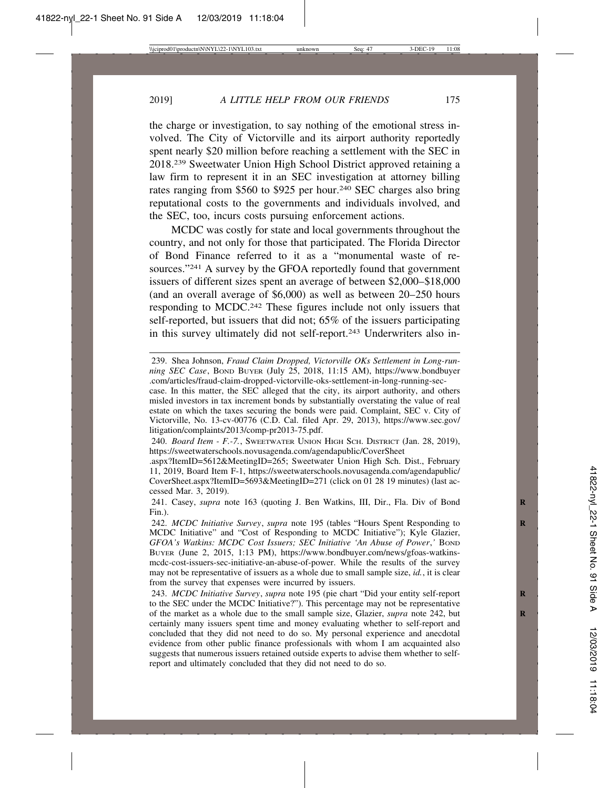the charge or investigation, to say nothing of the emotional stress involved. The City of Victorville and its airport authority reportedly spent nearly \$20 million before reaching a settlement with the SEC in 2018.239 Sweetwater Union High School District approved retaining a law firm to represent it in an SEC investigation at attorney billing rates ranging from \$560 to \$925 per hour.<sup>240</sup> SEC charges also bring reputational costs to the governments and individuals involved, and the SEC, too, incurs costs pursuing enforcement actions.

MCDC was costly for state and local governments throughout the country, and not only for those that participated. The Florida Director of Bond Finance referred to it as a "monumental waste of resources."241 A survey by the GFOA reportedly found that government issuers of different sizes spent an average of between \$2,000–\$18,000 (and an overall average of \$6,000) as well as between 20–250 hours responding to MCDC.242 These figures include not only issuers that self-reported, but issuers that did not; 65% of the issuers participating in this survey ultimately did not self-report.243 Underwriters also in-

<sup>239.</sup> Shea Johnson, *Fraud Claim Dropped, Victorville OKs Settlement in Long-running SEC Case*, BOND BUYER (July 25, 2018, 11:15 AM), https://www.bondbuyer .com/articles/fraud-claim-dropped-victorville-oks-settlement-in-long-running-sec-

case. In this matter, the SEC alleged that the city, its airport authority, and others misled investors in tax increment bonds by substantially overstating the value of real estate on which the taxes securing the bonds were paid. Complaint, SEC v. City of Victorville, No. 13-cv-00776 (C.D. Cal. filed Apr. 29, 2013), https://www.sec.gov/ litigation/complaints/2013/comp-pr2013-75.pdf.

<sup>240.</sup> *Board Item - F.-7.*, SWEETWATER UNION HIGH SCH. DISTRICT (Jan. 28, 2019), https://sweetwaterschools.novusagenda.com/agendapublic/CoverSheet

<sup>.</sup>aspx?ItemID=5612&MeetingID=265; Sweetwater Union High Sch. Dist., February 11, 2019, Board Item F-1, https://sweetwaterschools.novusagenda.com/agendapublic/ CoverSheet.aspx?ItemID=5693&MeetingID=271 (click on 01 28 19 minutes) (last accessed Mar. 3, 2019).

<sup>241.</sup> Casey, *supra* note 163 (quoting J. Ben Watkins, III, Dir., Fla. Div of Bond Fin.).

<sup>242.</sup> *MCDC Initiative Survey, supra* note 195 (tables "Hours Spent Responding to MCDC Initiative" and "Cost of Responding to MCDC Initiative"); Kyle Glazier, *GFOA's Watkins: MCDC Cost Issuers; SEC Initiative 'An Abuse of Power,' BOND* BUYER (June 2, 2015, 1:13 PM), https://www.bondbuyer.com/news/gfoas-watkinsmcdc-cost-issuers-sec-initiative-an-abuse-of-power. While the results of the survey may not be representative of issuers as a whole due to small sample size, *id.*, it is clear from the survey that expenses were incurred by issuers.

<sup>243.</sup> *MCDC Initiative Survey*, *supra* note 195 (pie chart "Did your entity self-report **R** to the SEC under the MCDC Initiative?"). This percentage may not be representative of the market as a whole due to the small sample size, Glazier, *supra* note 242, but certainly many issuers spent time and money evaluating whether to self-report and concluded that they did not need to do so. My personal experience and anecdotal evidence from other public finance professionals with whom I am acquainted also suggests that numerous issuers retained outside experts to advise them whether to selfreport and ultimately concluded that they did not need to do so.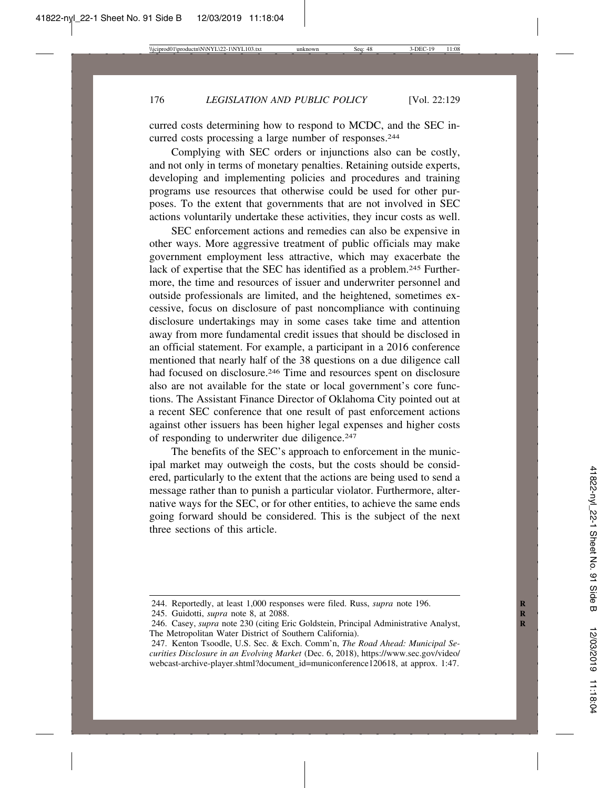curred costs determining how to respond to MCDC, and the SEC incurred costs processing a large number of responses.<sup>244</sup>

Complying with SEC orders or injunctions also can be costly, and not only in terms of monetary penalties. Retaining outside experts, developing and implementing policies and procedures and training programs use resources that otherwise could be used for other purposes. To the extent that governments that are not involved in SEC actions voluntarily undertake these activities, they incur costs as well.

SEC enforcement actions and remedies can also be expensive in other ways. More aggressive treatment of public officials may make government employment less attractive, which may exacerbate the lack of expertise that the SEC has identified as a problem.<sup>245</sup> Furthermore, the time and resources of issuer and underwriter personnel and outside professionals are limited, and the heightened, sometimes excessive, focus on disclosure of past noncompliance with continuing disclosure undertakings may in some cases take time and attention away from more fundamental credit issues that should be disclosed in an official statement. For example, a participant in a 2016 conference mentioned that nearly half of the 38 questions on a due diligence call had focused on disclosure.<sup>246</sup> Time and resources spent on disclosure also are not available for the state or local government's core functions. The Assistant Finance Director of Oklahoma City pointed out at a recent SEC conference that one result of past enforcement actions against other issuers has been higher legal expenses and higher costs of responding to underwriter due diligence.247

The benefits of the SEC's approach to enforcement in the municipal market may outweigh the costs, but the costs should be considered, particularly to the extent that the actions are being used to send a message rather than to punish a particular violator. Furthermore, alternative ways for the SEC, or for other entities, to achieve the same ends going forward should be considered. This is the subject of the next three sections of this article.

<sup>244.</sup> Reportedly, at least 1,000 responses were filed. Russ, *supra* note 196.

<sup>245.</sup> Guidotti, *supra* note 8, at 2088. **R**

<sup>246.</sup> Casey, *supra* note 230 (citing Eric Goldstein, Principal Administrative Analyst, The Metropolitan Water District of Southern California).

<sup>247.</sup> Kenton Tsoodle, U.S. Sec. & Exch. Comm'n, *The Road Ahead: Municipal Securities Disclosure in an Evolving Market* (Dec. 6, 2018), https://www.sec.gov/video/ webcast-archive-player.shtml?document\_id=municonference120618, at approx. 1:47.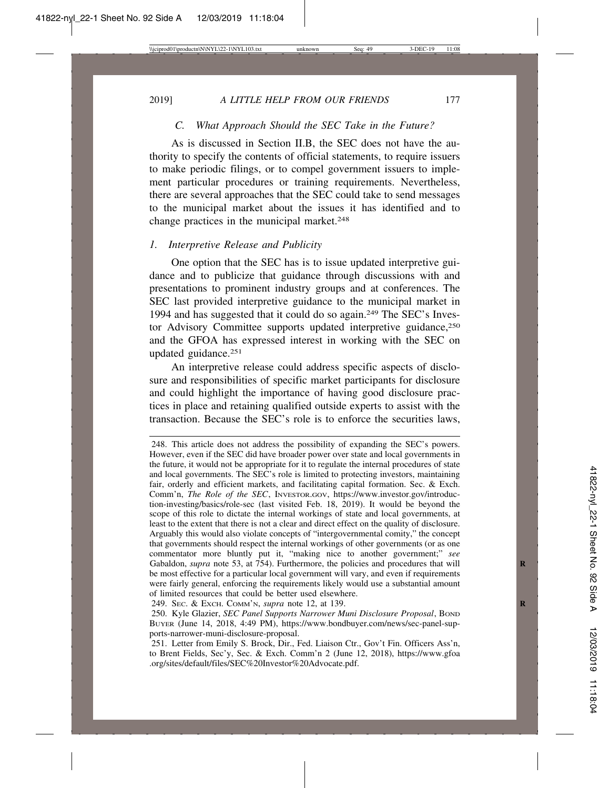## *C. What Approach Should the SEC Take in the Future?*

As is discussed in Section II.B, the SEC does not have the authority to specify the contents of official statements, to require issuers to make periodic filings, or to compel government issuers to implement particular procedures or training requirements. Nevertheless, there are several approaches that the SEC could take to send messages to the municipal market about the issues it has identified and to change practices in the municipal market.<sup>248</sup>

#### *1. Interpretive Release and Publicity*

One option that the SEC has is to issue updated interpretive guidance and to publicize that guidance through discussions with and presentations to prominent industry groups and at conferences. The SEC last provided interpretive guidance to the municipal market in 1994 and has suggested that it could do so again.249 The SEC's Investor Advisory Committee supports updated interpretive guidance,<sup>250</sup> and the GFOA has expressed interest in working with the SEC on updated guidance.251

An interpretive release could address specific aspects of disclosure and responsibilities of specific market participants for disclosure and could highlight the importance of having good disclosure practices in place and retaining qualified outside experts to assist with the transaction. Because the SEC's role is to enforce the securities laws,

<sup>248.</sup> This article does not address the possibility of expanding the SEC's powers. However, even if the SEC did have broader power over state and local governments in the future, it would not be appropriate for it to regulate the internal procedures of state and local governments. The SEC's role is limited to protecting investors, maintaining fair, orderly and efficient markets, and facilitating capital formation. Sec. & Exch. Comm'n, *The Role of the SEC*, INVESTOR.GOV, https://www.investor.gov/introduction-investing/basics/role-sec (last visited Feb. 18, 2019). It would be beyond the scope of this role to dictate the internal workings of state and local governments, at least to the extent that there is not a clear and direct effect on the quality of disclosure. Arguably this would also violate concepts of "intergovernmental comity," the concept that governments should respect the internal workings of other governments (or as one commentator more bluntly put it, "making nice to another government;" *see* Gabaldon, *supra* note 53, at 754). Furthermore, the policies and procedures that will be most effective for a particular local government will vary, and even if requirements were fairly general, enforcing the requirements likely would use a substantial amount of limited resources that could be better used elsewhere.

<sup>249.</sup> SEC. & EXCH. COMM'N, *supra* note 12, at 139. **R**

<sup>250.</sup> Kyle Glazier, *SEC Panel Supports Narrower Muni Disclosure Proposal*, Bond BUYER (June 14, 2018, 4:49 PM), https://www.bondbuyer.com/news/sec-panel-supports-narrower-muni-disclosure-proposal.

<sup>251.</sup> Letter from Emily S. Brock, Dir., Fed. Liaison Ctr., Gov't Fin. Officers Ass'n, to Brent Fields, Sec'y, Sec. & Exch. Comm'n 2 (June 12, 2018), https://www.gfoa .org/sites/default/files/SEC%20Investor%20Advocate.pdf.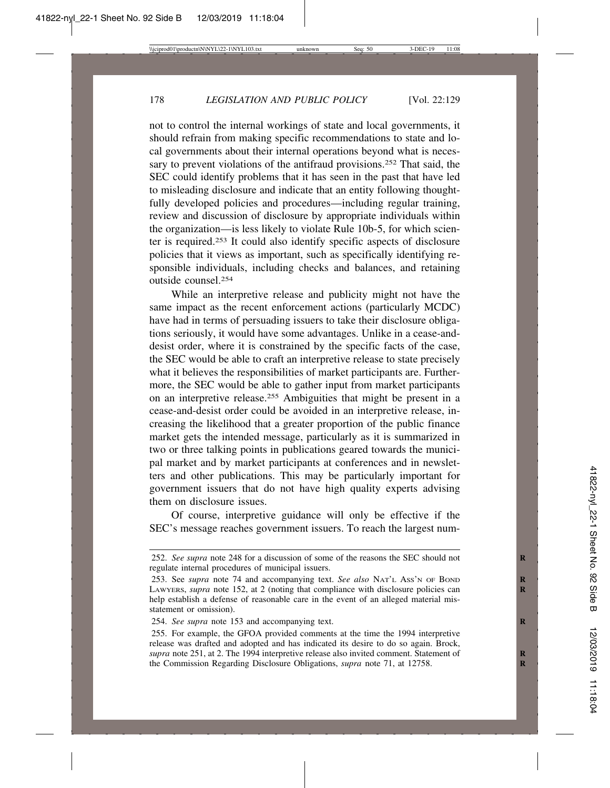not to control the internal workings of state and local governments, it should refrain from making specific recommendations to state and local governments about their internal operations beyond what is necessary to prevent violations of the antifraud provisions.<sup>252</sup> That said, the SEC could identify problems that it has seen in the past that have led to misleading disclosure and indicate that an entity following thoughtfully developed policies and procedures—including regular training, review and discussion of disclosure by appropriate individuals within the organization—is less likely to violate Rule 10b-5, for which scienter is required.253 It could also identify specific aspects of disclosure policies that it views as important, such as specifically identifying responsible individuals, including checks and balances, and retaining outside counsel.254

While an interpretive release and publicity might not have the same impact as the recent enforcement actions (particularly MCDC) have had in terms of persuading issuers to take their disclosure obligations seriously, it would have some advantages. Unlike in a cease-anddesist order, where it is constrained by the specific facts of the case, the SEC would be able to craft an interpretive release to state precisely what it believes the responsibilities of market participants are. Furthermore, the SEC would be able to gather input from market participants on an interpretive release.255 Ambiguities that might be present in a cease-and-desist order could be avoided in an interpretive release, increasing the likelihood that a greater proportion of the public finance market gets the intended message, particularly as it is summarized in two or three talking points in publications geared towards the municipal market and by market participants at conferences and in newsletters and other publications. This may be particularly important for government issuers that do not have high quality experts advising them on disclosure issues.

Of course, interpretive guidance will only be effective if the SEC's message reaches government issuers. To reach the largest num-

<sup>252.</sup> *See supra* note 248 for a discussion of some of the reasons the SEC should not **R** regulate internal procedures of municipal issuers.

<sup>253.</sup> See *supra* note 74 and accompanying text. See also NAT'L Ass'N OF BOND LAWYERS, *supra* note 152, at 2 (noting that compliance with disclosure policies can **R** help establish a defense of reasonable care in the event of an alleged material misstatement or omission).

<sup>254.</sup> See supra note 153 and accompanying text.

<sup>255.</sup> For example, the GFOA provided comments at the time the 1994 interpretive release was drafted and adopted and has indicated its desire to do so again. Brock, *supra* note 251, at 2. The 1994 interpretive release also invited comment. Statement of **R** the Commission Regarding Disclosure Obligations, *supra* note 71, at 12758.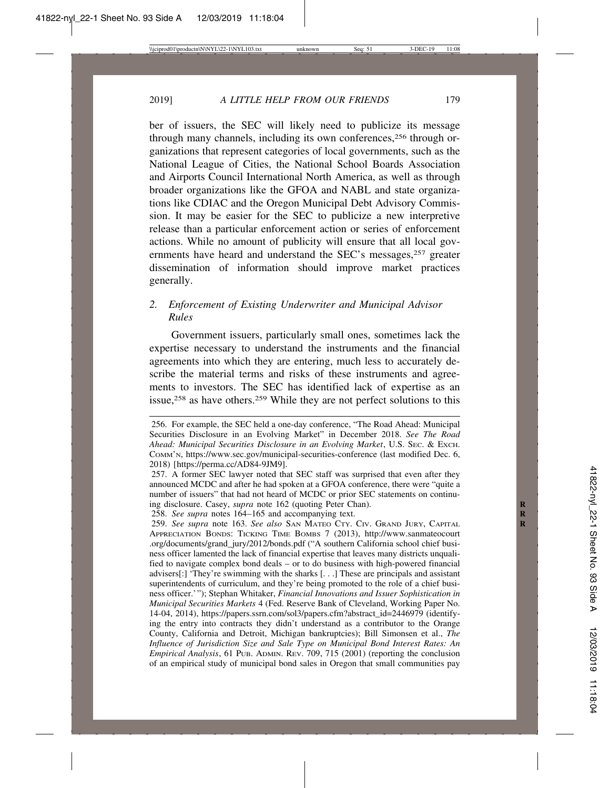ber of issuers, the SEC will likely need to publicize its message through many channels, including its own conferences,<sup>256</sup> through organizations that represent categories of local governments, such as the National League of Cities, the National School Boards Association and Airports Council International North America, as well as through broader organizations like the GFOA and NABL and state organizations like CDIAC and the Oregon Municipal Debt Advisory Commission. It may be easier for the SEC to publicize a new interpretive release than a particular enforcement action or series of enforcement actions. While no amount of publicity will ensure that all local governments have heard and understand the SEC's messages,<sup>257</sup> greater dissemination of information should improve market practices generally.

# *2. Enforcement of Existing Underwriter and Municipal Advisor Rules*

Government issuers, particularly small ones, sometimes lack the expertise necessary to understand the instruments and the financial agreements into which they are entering, much less to accurately describe the material terms and risks of these instruments and agreements to investors. The SEC has identified lack of expertise as an issue,<sup>258</sup> as have others.<sup>259</sup> While they are not perfect solutions to this

<sup>256.</sup> For example, the SEC held a one-day conference, "The Road Ahead: Municipal Securities Disclosure in an Evolving Market" in December 2018. *See The Road Ahead: Municipal Securities Disclosure in an Evolving Market*, U.S. SEC. & EXCH. COMM'N, https://www.sec.gov/municipal-securities-conference (last modified Dec. 6, 2018) [https://perma.cc/AD84-9JM9].

<sup>257.</sup> A former SEC lawyer noted that SEC staff was surprised that even after they announced MCDC and after he had spoken at a GFOA conference, there were "quite a number of issuers" that had not heard of MCDC or prior SEC statements on continuing disclosure. Casey, *supra* note 162 (quoting Peter Chan). **R**

<sup>258.</sup> *See supra* notes 164–165 and accompanying text. **R**

<sup>259.</sup> *See supra* note 163. *See also* SAN MATEO CTY. CIV. GRAND JURY, CAPITAL **R** APPRECIATION BONDS: TICKING TIME BOMBS 7 (2013), http://www.sanmateocourt .org/documents/grand\_jury/2012/bonds.pdf ("A southern California school chief business officer lamented the lack of financial expertise that leaves many districts unqualified to navigate complex bond deals – or to do business with high-powered financial advisers[:] 'They're swimming with the sharks [. . .] These are principals and assistant superintendents of curriculum, and they're being promoted to the role of a chief business officer.'"); Stephan Whitaker, *Financial Innovations and Issuer Sophistication in Municipal Securities Markets* 4 (Fed. Reserve Bank of Cleveland, Working Paper No. 14-04, 2014), https://papers.ssrn.com/sol3/papers.cfm?abstract\_id=2446979 (identifying the entry into contracts they didn't understand as a contributor to the Orange County, California and Detroit, Michigan bankruptcies); Bill Simonsen et al., *The Influence of Jurisdiction Size and Sale Type on Municipal Bond Interest Rates: An Empirical Analysis*, 61 PUB. ADMIN. REV. 709, 715 (2001) (reporting the conclusion of an empirical study of municipal bond sales in Oregon that small communities pay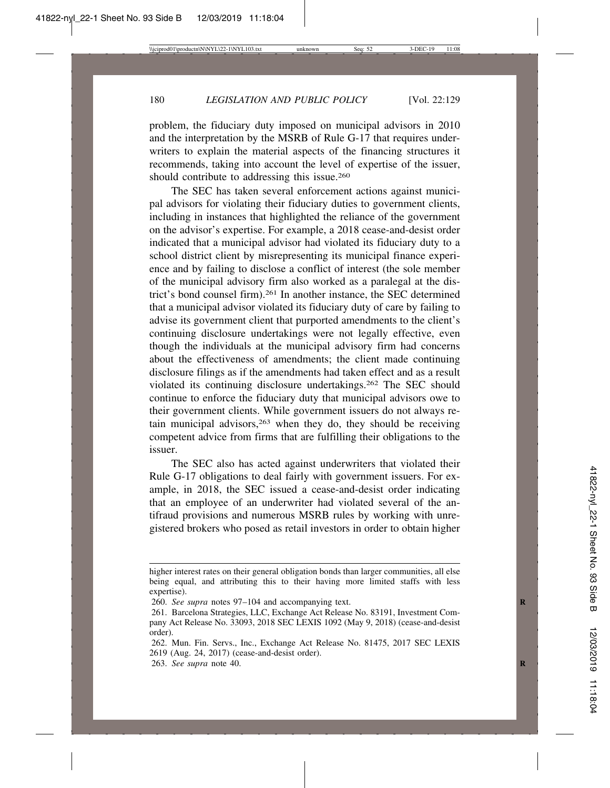problem, the fiduciary duty imposed on municipal advisors in 2010 and the interpretation by the MSRB of Rule G-17 that requires underwriters to explain the material aspects of the financing structures it recommends, taking into account the level of expertise of the issuer, should contribute to addressing this issue.260

The SEC has taken several enforcement actions against municipal advisors for violating their fiduciary duties to government clients, including in instances that highlighted the reliance of the government on the advisor's expertise. For example, a 2018 cease-and-desist order indicated that a municipal advisor had violated its fiduciary duty to a school district client by misrepresenting its municipal finance experience and by failing to disclose a conflict of interest (the sole member of the municipal advisory firm also worked as a paralegal at the district's bond counsel firm).261 In another instance, the SEC determined that a municipal advisor violated its fiduciary duty of care by failing to advise its government client that purported amendments to the client's continuing disclosure undertakings were not legally effective, even though the individuals at the municipal advisory firm had concerns about the effectiveness of amendments; the client made continuing disclosure filings as if the amendments had taken effect and as a result violated its continuing disclosure undertakings.262 The SEC should continue to enforce the fiduciary duty that municipal advisors owe to their government clients. While government issuers do not always retain municipal advisors, $263$  when they do, they should be receiving competent advice from firms that are fulfilling their obligations to the issuer.

The SEC also has acted against underwriters that violated their Rule G-17 obligations to deal fairly with government issuers. For example, in 2018, the SEC issued a cease-and-desist order indicating that an employee of an underwriter had violated several of the antifraud provisions and numerous MSRB rules by working with unregistered brokers who posed as retail investors in order to obtain higher

263. *See supra* note 40. **R**

higher interest rates on their general obligation bonds than larger communities, all else being equal, and attributing this to their having more limited staffs with less expertise).

<sup>260.</sup> *See supra* notes 97–104 and accompanying text. **R**

<sup>261.</sup> Barcelona Strategies, LLC, Exchange Act Release No. 83191, Investment Company Act Release No. 33093, 2018 SEC LEXIS 1092 (May 9, 2018) (cease-and-desist order).

<sup>262.</sup> Mun. Fin. Servs., Inc., Exchange Act Release No. 81475, 2017 SEC LEXIS 2619 (Aug. 24, 2017) (cease-and-desist order).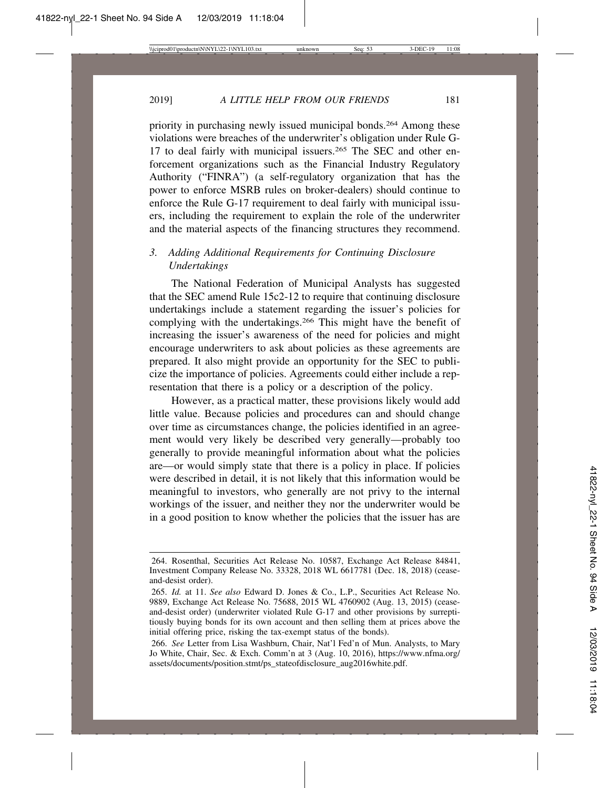priority in purchasing newly issued municipal bonds.264 Among these violations were breaches of the underwriter's obligation under Rule G-17 to deal fairly with municipal issuers.265 The SEC and other enforcement organizations such as the Financial Industry Regulatory Authority ("FINRA") (a self-regulatory organization that has the power to enforce MSRB rules on broker-dealers) should continue to enforce the Rule G-17 requirement to deal fairly with municipal issuers, including the requirement to explain the role of the underwriter and the material aspects of the financing structures they recommend.

# *3. Adding Additional Requirements for Continuing Disclosure Undertakings*

The National Federation of Municipal Analysts has suggested that the SEC amend Rule 15c2-12 to require that continuing disclosure undertakings include a statement regarding the issuer's policies for complying with the undertakings.266 This might have the benefit of increasing the issuer's awareness of the need for policies and might encourage underwriters to ask about policies as these agreements are prepared. It also might provide an opportunity for the SEC to publicize the importance of policies. Agreements could either include a representation that there is a policy or a description of the policy.

However, as a practical matter, these provisions likely would add little value. Because policies and procedures can and should change over time as circumstances change, the policies identified in an agreement would very likely be described very generally—probably too generally to provide meaningful information about what the policies are—or would simply state that there is a policy in place. If policies were described in detail, it is not likely that this information would be meaningful to investors, who generally are not privy to the internal workings of the issuer, and neither they nor the underwriter would be in a good position to know whether the policies that the issuer has are

<sup>264.</sup> Rosenthal, Securities Act Release No. 10587, Exchange Act Release 84841, Investment Company Release No. 33328, 2018 WL 6617781 (Dec. 18, 2018) (ceaseand-desist order).

<sup>265.</sup> *Id.* at 11. *See also* Edward D. Jones & Co., L.P., Securities Act Release No. 9889, Exchange Act Release No. 75688, 2015 WL 4760902 (Aug. 13, 2015) (ceaseand-desist order) (underwriter violated Rule G-17 and other provisions by surreptitiously buying bonds for its own account and then selling them at prices above the initial offering price, risking the tax-exempt status of the bonds).

<sup>266.</sup> *See* Letter from Lisa Washburn, Chair, Nat'l Fed'n of Mun. Analysts, to Mary Jo White, Chair, Sec. & Exch. Comm'n at 3 (Aug. 10, 2016), https://www.nfma.org/ assets/documents/position.stmt/ps\_stateofdisclosure\_aug2016white.pdf.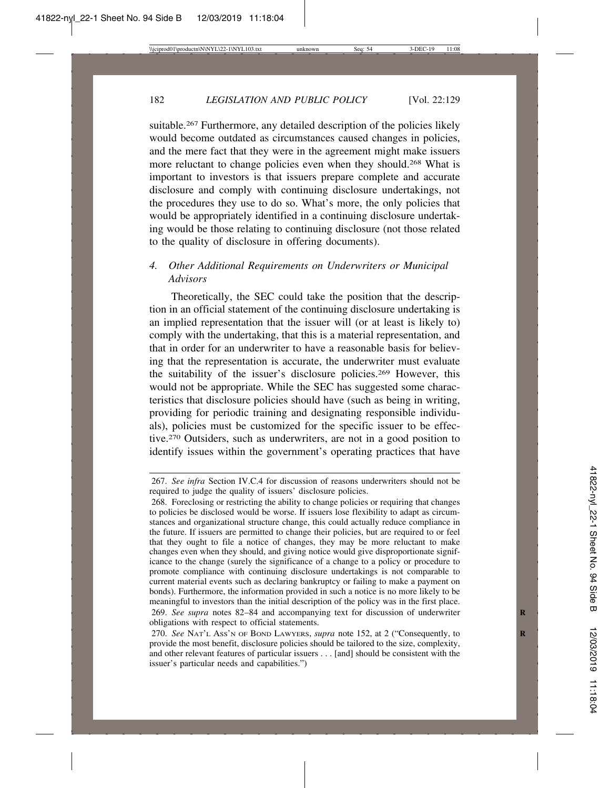suitable.<sup>267</sup> Furthermore, any detailed description of the policies likely would become outdated as circumstances caused changes in policies, and the mere fact that they were in the agreement might make issuers more reluctant to change policies even when they should.268 What is important to investors is that issuers prepare complete and accurate disclosure and comply with continuing disclosure undertakings, not the procedures they use to do so. What's more, the only policies that would be appropriately identified in a continuing disclosure undertaking would be those relating to continuing disclosure (not those related to the quality of disclosure in offering documents).

# *4. Other Additional Requirements on Underwriters or Municipal Advisors*

Theoretically, the SEC could take the position that the description in an official statement of the continuing disclosure undertaking is an implied representation that the issuer will (or at least is likely to) comply with the undertaking, that this is a material representation, and that in order for an underwriter to have a reasonable basis for believing that the representation is accurate, the underwriter must evaluate the suitability of the issuer's disclosure policies.269 However, this would not be appropriate. While the SEC has suggested some characteristics that disclosure policies should have (such as being in writing, providing for periodic training and designating responsible individuals), policies must be customized for the specific issuer to be effective.270 Outsiders, such as underwriters, are not in a good position to identify issues within the government's operating practices that have

<sup>267.</sup> *See infra* Section IV.C.4 for discussion of reasons underwriters should not be required to judge the quality of issuers' disclosure policies.

<sup>268.</sup> Foreclosing or restricting the ability to change policies or requiring that changes to policies be disclosed would be worse. If issuers lose flexibility to adapt as circumstances and organizational structure change, this could actually reduce compliance in the future. If issuers are permitted to change their policies, but are required to or feel that they ought to file a notice of changes, they may be more reluctant to make changes even when they should, and giving notice would give disproportionate significance to the change (surely the significance of a change to a policy or procedure to promote compliance with continuing disclosure undertakings is not comparable to current material events such as declaring bankruptcy or failing to make a payment on bonds). Furthermore, the information provided in such a notice is no more likely to be meaningful to investors than the initial description of the policy was in the first place. 269. *See supra* notes 82–84 and accompanying text for discussion of underwriter **R** obligations with respect to official statements.

<sup>270.</sup> *See* NAT'L ASS'N OF BOND LAWYERS, *supra* note 152, at 2 ("Consequently, to **R** provide the most benefit, disclosure policies should be tailored to the size, complexity, and other relevant features of particular issuers . . . [and] should be consistent with the issuer's particular needs and capabilities.")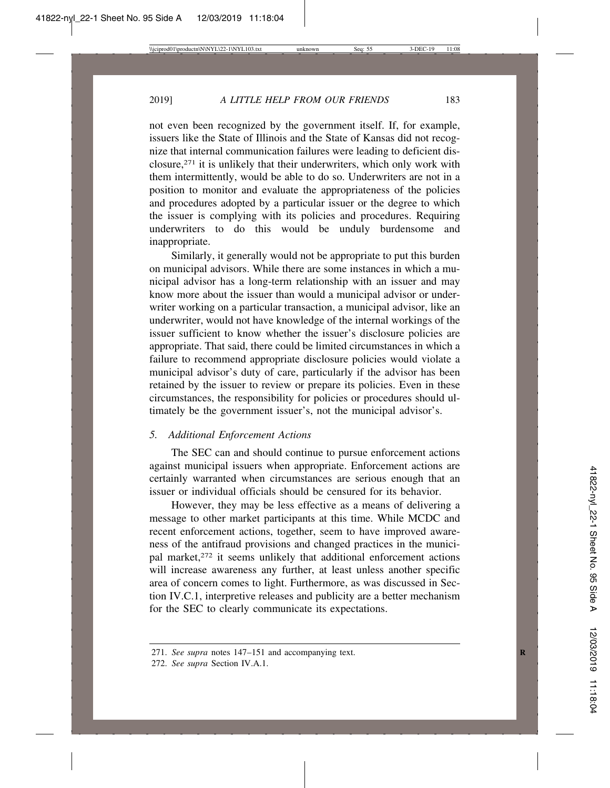not even been recognized by the government itself. If, for example, issuers like the State of Illinois and the State of Kansas did not recognize that internal communication failures were leading to deficient disclosure,271 it is unlikely that their underwriters, which only work with them intermittently, would be able to do so. Underwriters are not in a position to monitor and evaluate the appropriateness of the policies and procedures adopted by a particular issuer or the degree to which the issuer is complying with its policies and procedures. Requiring underwriters to do this would be unduly burdensome and inappropriate.

Similarly, it generally would not be appropriate to put this burden on municipal advisors. While there are some instances in which a municipal advisor has a long-term relationship with an issuer and may know more about the issuer than would a municipal advisor or underwriter working on a particular transaction, a municipal advisor, like an underwriter, would not have knowledge of the internal workings of the issuer sufficient to know whether the issuer's disclosure policies are appropriate. That said, there could be limited circumstances in which a failure to recommend appropriate disclosure policies would violate a municipal advisor's duty of care, particularly if the advisor has been retained by the issuer to review or prepare its policies. Even in these circumstances, the responsibility for policies or procedures should ultimately be the government issuer's, not the municipal advisor's.

#### *5. Additional Enforcement Actions*

The SEC can and should continue to pursue enforcement actions against municipal issuers when appropriate. Enforcement actions are certainly warranted when circumstances are serious enough that an issuer or individual officials should be censured for its behavior.

However, they may be less effective as a means of delivering a message to other market participants at this time. While MCDC and recent enforcement actions, together, seem to have improved awareness of the antifraud provisions and changed practices in the municipal market,<sup>272</sup> it seems unlikely that additional enforcement actions will increase awareness any further, at least unless another specific area of concern comes to light. Furthermore, as was discussed in Section IV.C.1, interpretive releases and publicity are a better mechanism for the SEC to clearly communicate its expectations.

<sup>271.</sup> *See supra* notes 147–151 and accompanying text.

<sup>272.</sup> *See supra* Section IV.A.1.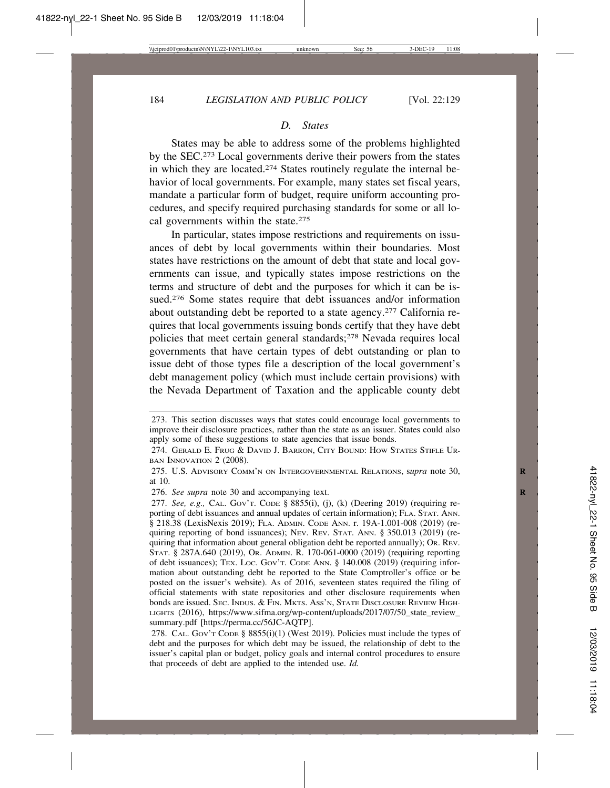#### *D. States*

States may be able to address some of the problems highlighted by the SEC.273 Local governments derive their powers from the states in which they are located.274 States routinely regulate the internal behavior of local governments. For example, many states set fiscal years, mandate a particular form of budget, require uniform accounting procedures, and specify required purchasing standards for some or all local governments within the state.<sup>275</sup>

In particular, states impose restrictions and requirements on issuances of debt by local governments within their boundaries. Most states have restrictions on the amount of debt that state and local governments can issue, and typically states impose restrictions on the terms and structure of debt and the purposes for which it can be issued.<sup>276</sup> Some states require that debt issuances and/or information about outstanding debt be reported to a state agency.277 California requires that local governments issuing bonds certify that they have debt policies that meet certain general standards;278 Nevada requires local governments that have certain types of debt outstanding or plan to issue debt of those types file a description of the local government's debt management policy (which must include certain provisions) with the Nevada Department of Taxation and the applicable county debt

<sup>273.</sup> This section discusses ways that states could encourage local governments to improve their disclosure practices, rather than the state as an issuer. States could also apply some of these suggestions to state agencies that issue bonds.

<sup>274.</sup> GERALD E. FRUG & DAVID J. BARRON, CITY BOUND: HOW STATES STIFLE UR-BAN INNOVATION 2 (2008).

<sup>275.</sup> U.S. ADVISORY COMM'N ON INTERGOVERNMENTAL RELATIONS, s*upra* note 30, **R** at 10.

<sup>276.</sup> *See supra* note 30 and accompanying text. **R**

<sup>277.</sup> *See, e.g.,* CAL. GOV'T. CODE § 8855(i), (j), (k) (Deering 2019) (requiring reporting of debt issuances and annual updates of certain information); FLA. STAT. ANN. § 218.38 (LexisNexis 2019); FLA. ADMIN. CODE ANN. r. 19A-1.001-008 (2019) (requiring reporting of bond issuances); NEV. REV. STAT. ANN. § 350.013 (2019) (requiring that information about general obligation debt be reported annually); OR. REV. STAT. § 287A.640 (2019), OR. ADMIN. R. 170-061-0000 (2019) (requiring reporting of debt issuances); TEX. LOC. GOV'T. CODE ANN. § 140.008 (2019) (requiring information about outstanding debt be reported to the State Comptroller's office or be posted on the issuer's website). As of 2016, seventeen states required the filing of official statements with state repositories and other disclosure requirements when bonds are issued. SEC. INDUS. & FIN. MKTS. ASS'N, STATE DISCLOSURE REVIEW HIGH-LIGHTS (2016), https://www.sifma.org/wp-content/uploads/2017/07/50\_state\_review\_ summary.pdf [https://perma.cc/56JC-AQTP].

<sup>278.</sup> CAL. Gov't Cope §  $8855(i)(1)$  (West 2019). Policies must include the types of debt and the purposes for which debt may be issued, the relationship of debt to the issuer's capital plan or budget, policy goals and internal control procedures to ensure that proceeds of debt are applied to the intended use. *Id.*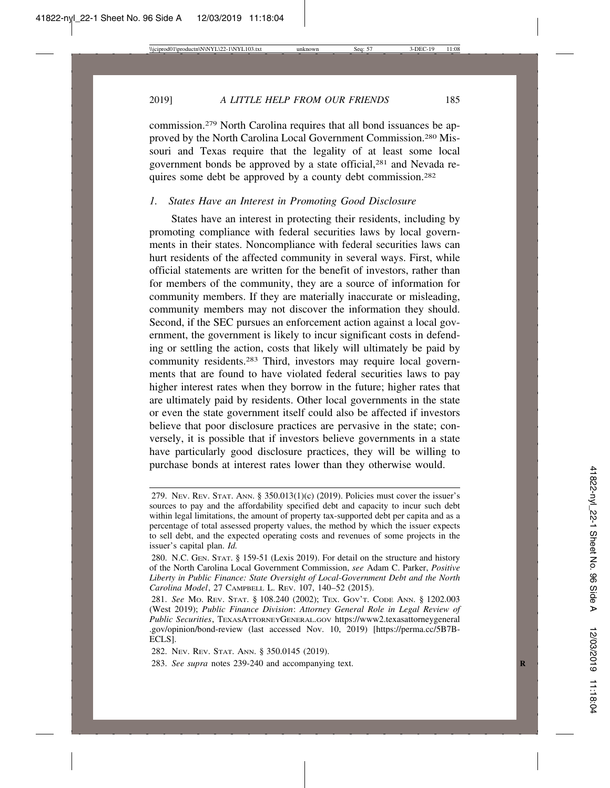2019] *A LITTLE HELP FROM OUR FRIENDS* 185

commission.279 North Carolina requires that all bond issuances be approved by the North Carolina Local Government Commission.280 Missouri and Texas require that the legality of at least some local government bonds be approved by a state official,281 and Nevada requires some debt be approved by a county debt commission.282

#### *1. States Have an Interest in Promoting Good Disclosure*

States have an interest in protecting their residents, including by promoting compliance with federal securities laws by local governments in their states. Noncompliance with federal securities laws can hurt residents of the affected community in several ways. First, while official statements are written for the benefit of investors, rather than for members of the community, they are a source of information for community members. If they are materially inaccurate or misleading, community members may not discover the information they should. Second, if the SEC pursues an enforcement action against a local government, the government is likely to incur significant costs in defending or settling the action, costs that likely will ultimately be paid by community residents.283 Third, investors may require local governments that are found to have violated federal securities laws to pay higher interest rates when they borrow in the future; higher rates that are ultimately paid by residents. Other local governments in the state or even the state government itself could also be affected if investors believe that poor disclosure practices are pervasive in the state; conversely, it is possible that if investors believe governments in a state have particularly good disclosure practices, they will be willing to purchase bonds at interest rates lower than they otherwise would.

<sup>279.</sup> NEV. REV. STAT. ANN. § 350.013(1)(c) (2019). Policies must cover the issuer's sources to pay and the affordability specified debt and capacity to incur such debt within legal limitations, the amount of property tax-supported debt per capita and as a percentage of total assessed property values, the method by which the issuer expects to sell debt, and the expected operating costs and revenues of some projects in the issuer's capital plan. *Id.*

<sup>280.</sup> N.C. GEN. STAT. § 159-51 (Lexis 2019). For detail on the structure and history of the North Carolina Local Government Commission, *see* Adam C. Parker, *Positive Liberty in Public Finance: State Oversight of Local-Government Debt and the North Carolina Model*, 27 CAMPBELL L. REV. 107, 140–52 (2015).

<sup>281.</sup> *See* MO. REV. STAT. § 108.240 (2002); TEX. GOV'T. CODE ANN. § 1202.003 (West 2019); *Public Finance Division*: *Attorney General Role in Legal Review of Public Securities*, TEXASATTORNEYGENERAL.GOV https://www2.texasattorneygeneral .gov/opinion/bond-review (last accessed Nov. 10, 2019) [https://perma.cc/5B7B-ECLS].

<sup>282.</sup> NEV. REV. STAT. ANN. § 350.0145 (2019).

<sup>283.</sup> See supra notes 239-240 and accompanying text.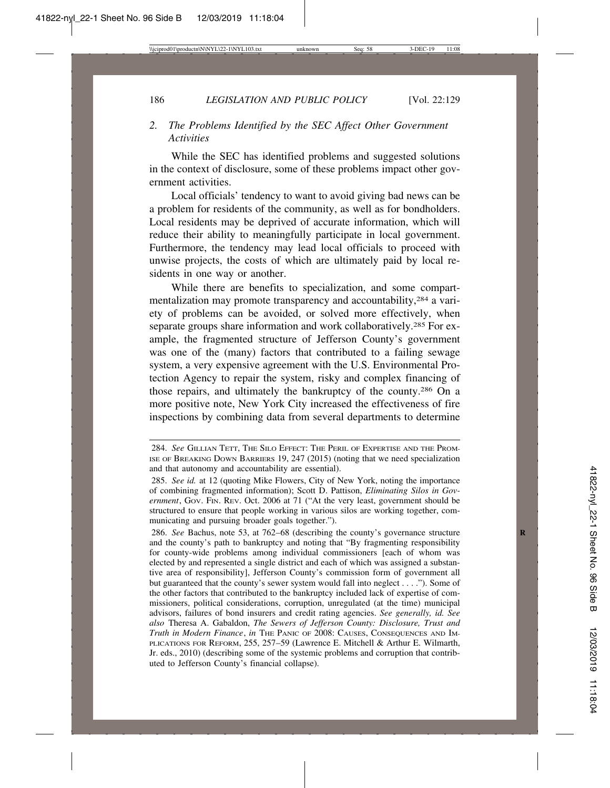# *2. The Problems Identified by the SEC Affect Other Government Activities*

While the SEC has identified problems and suggested solutions in the context of disclosure, some of these problems impact other government activities.

Local officials' tendency to want to avoid giving bad news can be a problem for residents of the community, as well as for bondholders. Local residents may be deprived of accurate information, which will reduce their ability to meaningfully participate in local government. Furthermore, the tendency may lead local officials to proceed with unwise projects, the costs of which are ultimately paid by local residents in one way or another.

While there are benefits to specialization, and some compartmentalization may promote transparency and accountability,284 a variety of problems can be avoided, or solved more effectively, when separate groups share information and work collaboratively.<sup>285</sup> For example, the fragmented structure of Jefferson County's government was one of the (many) factors that contributed to a failing sewage system, a very expensive agreement with the U.S. Environmental Protection Agency to repair the system, risky and complex financing of those repairs, and ultimately the bankruptcy of the county.286 On a more positive note, New York City increased the effectiveness of fire inspections by combining data from several departments to determine

<sup>284.</sup> *See* GILLIAN TETT, THE SILO EFFECT: THE PERIL OF EXPERTISE AND THE PROM-ISE OF BREAKING DOWN BARRIERS 19, 247 (2015) (noting that we need specialization and that autonomy and accountability are essential).

<sup>285.</sup> *See id.* at 12 (quoting Mike Flowers, City of New York, noting the importance of combining fragmented information); Scott D. Pattison, *Eliminating Silos in Gov*ernment, Gov. FIN. REV. Oct. 2006 at 71 ("At the very least, government should be structured to ensure that people working in various silos are working together, communicating and pursuing broader goals together.").

<sup>286.</sup> *See* Bachus, note 53, at 762–68 (describing the county's governance structure and the county's path to bankruptcy and noting that "By fragmenting responsibility for county-wide problems among individual commissioners [each of whom was elected by and represented a single district and each of which was assigned a substantive area of responsibility], Jefferson County's commission form of government all but guaranteed that the county's sewer system would fall into neglect . . . ."). Some of the other factors that contributed to the bankruptcy included lack of expertise of commissioners, political considerations, corruption, unregulated (at the time) municipal advisors, failures of bond insurers and credit rating agencies. *See generally, id. See also* Theresa A. Gabaldon, *The Sewers of Jefferson County: Disclosure, Trust and Truth in Modern Finance*, *in* THE PANIC OF 2008: CAUSES, CONSEQUENCES AND IM-PLICATIONS FOR REFORM, 255, 257–59 (Lawrence E. Mitchell & Arthur E. Wilmarth, Jr. eds., 2010) (describing some of the systemic problems and corruption that contributed to Jefferson County's financial collapse).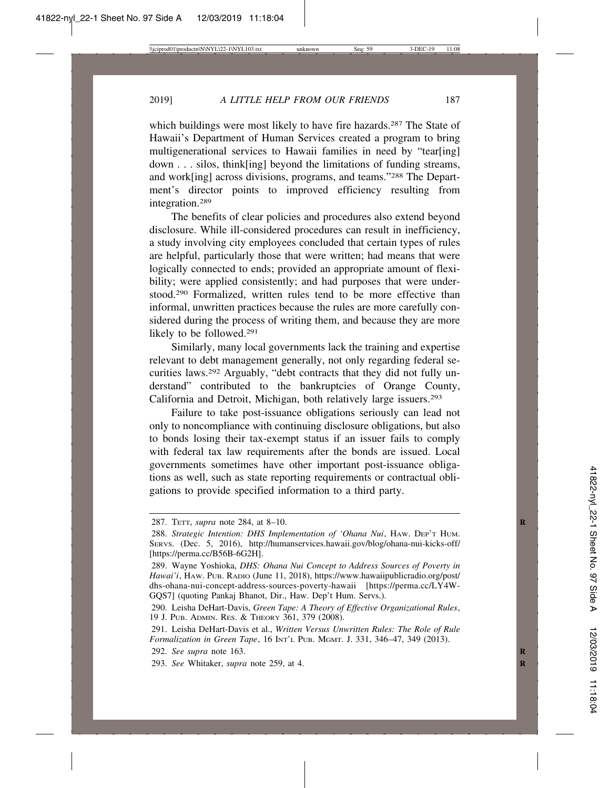which buildings were most likely to have fire hazards.<sup>287</sup> The State of Hawaii's Department of Human Services created a program to bring multigenerational services to Hawaii families in need by "tear[ing] down . . . silos, think[ing] beyond the limitations of funding streams, and work[ing] across divisions, programs, and teams."288 The Department's director points to improved efficiency resulting from integration.289

The benefits of clear policies and procedures also extend beyond disclosure. While ill-considered procedures can result in inefficiency, a study involving city employees concluded that certain types of rules are helpful, particularly those that were written; had means that were logically connected to ends; provided an appropriate amount of flexibility; were applied consistently; and had purposes that were understood.290 Formalized, written rules tend to be more effective than informal, unwritten practices because the rules are more carefully considered during the process of writing them, and because they are more likely to be followed.291

Similarly, many local governments lack the training and expertise relevant to debt management generally, not only regarding federal securities laws.292 Arguably, "debt contracts that they did not fully understand" contributed to the bankruptcies of Orange County, California and Detroit, Michigan, both relatively large issuers.293

Failure to take post-issuance obligations seriously can lead not only to noncompliance with continuing disclosure obligations, but also to bonds losing their tax-exempt status if an issuer fails to comply with federal tax law requirements after the bonds are issued. Local governments sometimes have other important post-issuance obligations as well, such as state reporting requirements or contractual obligations to provide specified information to a third party.

<sup>287.</sup> TETT, *supra* note 284, at 8–10. **R**

<sup>288.</sup> *Strategic Intention: DHS Implementation of 'Ohana Nui*, HAW. DEP'T HUM. SERVS. (Dec. 5, 2016), http://humanservices.hawaii.gov/blog/ohana-nui-kicks-off/ [https://perma.cc/B56B-6G2H].

<sup>289.</sup> Wayne Yoshioka, *DHS: Ohana Nui Concept to Address Sources of Poverty in Hawai'i*, HAW. PUB. RADIO (June 11, 2018), https://www.hawaiipublicradio.org/post/ dhs-ohana-nui-concept-address-sources-poverty-hawaii [https://perma.cc/LY4W-GQS7] (quoting Pankaj Bhanot, Dir., Haw. Dep't Hum. Servs.).

<sup>290.</sup> Leisha DeHart-Davis, *Green Tape: A Theory of Effective Organizational Rules*, 19 J. PUB. ADMIN. RES. & THEORY 361, 379 (2008).

<sup>291.</sup> Leisha DeHart-Davis et al., *Written Versus Unwritten Rules: The Role of Rule Formalization in Green Tape*, 16 INT'L PUB. MGMT. J. 331, 346–47, 349 (2013).

<sup>292.</sup> *See supra* note 163. **R**

<sup>293.</sup> *See* Whitaker, *supra* note 259, at 4. **R**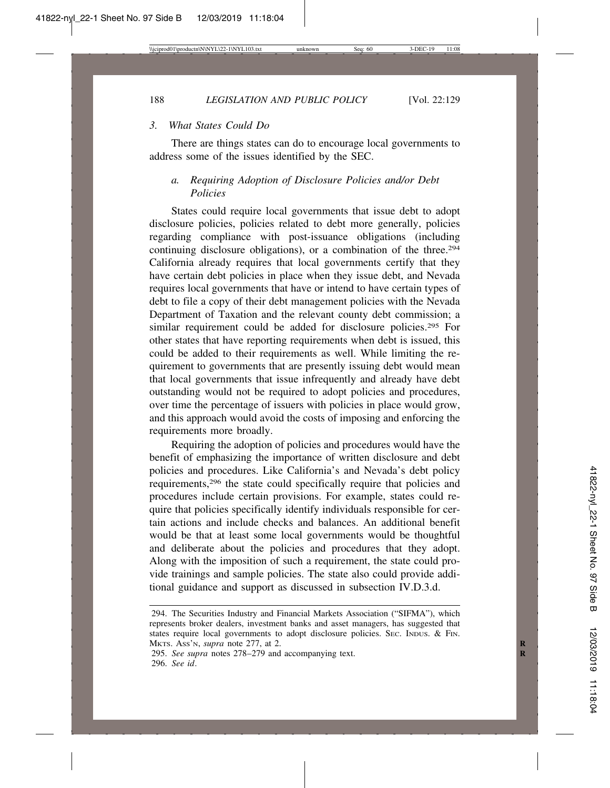## *3. What States Could Do*

There are things states can do to encourage local governments to address some of the issues identified by the SEC.

## *a. Requiring Adoption of Disclosure Policies and/or Debt Policies*

States could require local governments that issue debt to adopt disclosure policies, policies related to debt more generally, policies regarding compliance with post-issuance obligations (including continuing disclosure obligations), or a combination of the three.<sup>294</sup> California already requires that local governments certify that they have certain debt policies in place when they issue debt, and Nevada requires local governments that have or intend to have certain types of debt to file a copy of their debt management policies with the Nevada Department of Taxation and the relevant county debt commission; a similar requirement could be added for disclosure policies.295 For other states that have reporting requirements when debt is issued, this could be added to their requirements as well. While limiting the requirement to governments that are presently issuing debt would mean that local governments that issue infrequently and already have debt outstanding would not be required to adopt policies and procedures, over time the percentage of issuers with policies in place would grow, and this approach would avoid the costs of imposing and enforcing the requirements more broadly.

Requiring the adoption of policies and procedures would have the benefit of emphasizing the importance of written disclosure and debt policies and procedures. Like California's and Nevada's debt policy requirements,296 the state could specifically require that policies and procedures include certain provisions. For example, states could require that policies specifically identify individuals responsible for certain actions and include checks and balances. An additional benefit would be that at least some local governments would be thoughtful and deliberate about the policies and procedures that they adopt. Along with the imposition of such a requirement, the state could provide trainings and sample policies. The state also could provide additional guidance and support as discussed in subsection IV.D.3.d.

<sup>294.</sup> The Securities Industry and Financial Markets Association ("SIFMA"), which represents broker dealers, investment banks and asset managers, has suggested that states require local governments to adopt disclosure policies. Sec. INDUS. & FIN. MKTS. ASS'N, *supra* note 277, at 2. **R**

<sup>295.</sup> *See supra* notes 278–279 and accompanying text. **R** 296. *See id*.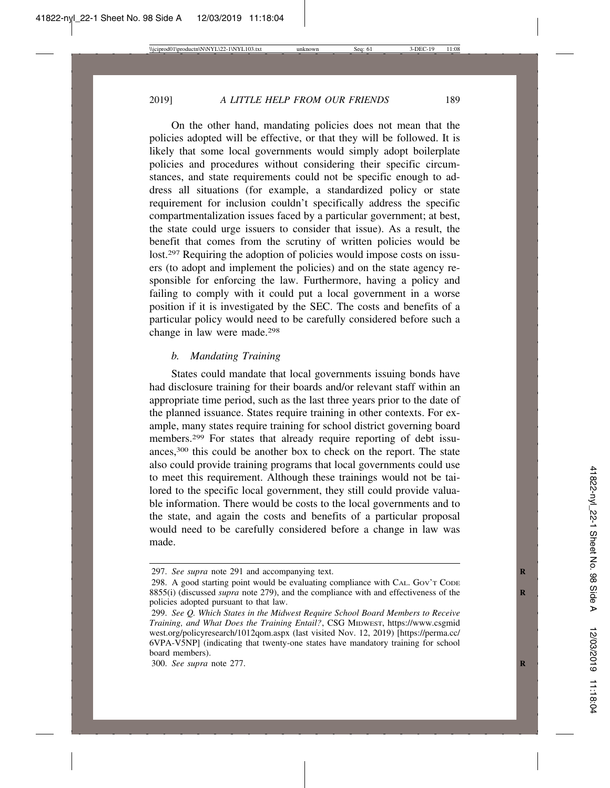On the other hand, mandating policies does not mean that the policies adopted will be effective, or that they will be followed. It is likely that some local governments would simply adopt boilerplate policies and procedures without considering their specific circumstances, and state requirements could not be specific enough to address all situations (for example, a standardized policy or state requirement for inclusion couldn't specifically address the specific compartmentalization issues faced by a particular government; at best, the state could urge issuers to consider that issue). As a result, the benefit that comes from the scrutiny of written policies would be lost.<sup>297</sup> Requiring the adoption of policies would impose costs on issuers (to adopt and implement the policies) and on the state agency responsible for enforcing the law. Furthermore, having a policy and failing to comply with it could put a local government in a worse position if it is investigated by the SEC. The costs and benefits of a particular policy would need to be carefully considered before such a change in law were made.298

## *b. Mandating Training*

States could mandate that local governments issuing bonds have had disclosure training for their boards and/or relevant staff within an appropriate time period, such as the last three years prior to the date of the planned issuance. States require training in other contexts. For example, many states require training for school district governing board members.299 For states that already require reporting of debt issuances,300 this could be another box to check on the report. The state also could provide training programs that local governments could use to meet this requirement. Although these trainings would not be tailored to the specific local government, they still could provide valuable information. There would be costs to the local governments and to the state, and again the costs and benefits of a particular proposal would need to be carefully considered before a change in law was made.

300. *See supra* note 277. **R**

<sup>297.</sup> *See supra* note 291 and accompanying text. **R**

<sup>298.</sup> A good starting point would be evaluating compliance with CAL. Gov't Cope 8855(i) (discussed *supra* note 279), and the compliance with and effectiveness of the policies adopted pursuant to that law.

<sup>299.</sup> *See Q. Which States in the Midwest Require School Board Members to Receive Training, and What Does the Training Entail?*, CSG MIDWEST, https://www.csgmid west.org/policyresearch/1012qom.aspx (last visited Nov. 12, 2019) [https://perma.cc/ 6VPA-V5NP] (indicating that twenty-one states have mandatory training for school board members).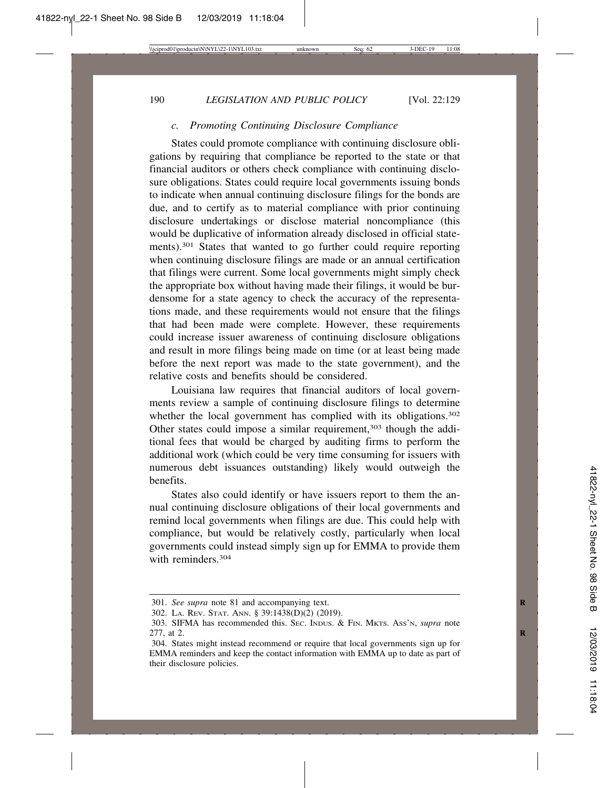## *c. Promoting Continuing Disclosure Compliance*

States could promote compliance with continuing disclosure obligations by requiring that compliance be reported to the state or that financial auditors or others check compliance with continuing disclosure obligations. States could require local governments issuing bonds to indicate when annual continuing disclosure filings for the bonds are due, and to certify as to material compliance with prior continuing disclosure undertakings or disclose material noncompliance (this would be duplicative of information already disclosed in official statements).301 States that wanted to go further could require reporting when continuing disclosure filings are made or an annual certification that filings were current. Some local governments might simply check the appropriate box without having made their filings, it would be burdensome for a state agency to check the accuracy of the representations made, and these requirements would not ensure that the filings that had been made were complete. However, these requirements could increase issuer awareness of continuing disclosure obligations and result in more filings being made on time (or at least being made before the next report was made to the state government), and the relative costs and benefits should be considered.

Louisiana law requires that financial auditors of local governments review a sample of continuing disclosure filings to determine whether the local government has complied with its obligations.<sup>302</sup> Other states could impose a similar requirement,<sup>303</sup> though the additional fees that would be charged by auditing firms to perform the additional work (which could be very time consuming for issuers with numerous debt issuances outstanding) likely would outweigh the benefits.

States also could identify or have issuers report to them the annual continuing disclosure obligations of their local governments and remind local governments when filings are due. This could help with compliance, but would be relatively costly, particularly when local governments could instead simply sign up for EMMA to provide them with reminders.304

<sup>301.</sup> *See supra* note 81 and accompanying text. **R**

<sup>302.</sup> LA. REV. STAT. ANN. § 39:1438(D)(2) (2019).

<sup>303.</sup> SIFMA has recommended this. SEC. INDUS. & FIN. MKTS. ASS'N, *supra* note 277, at 2.

<sup>304.</sup> States might instead recommend or require that local governments sign up for EMMA reminders and keep the contact information with EMMA up to date as part of their disclosure policies.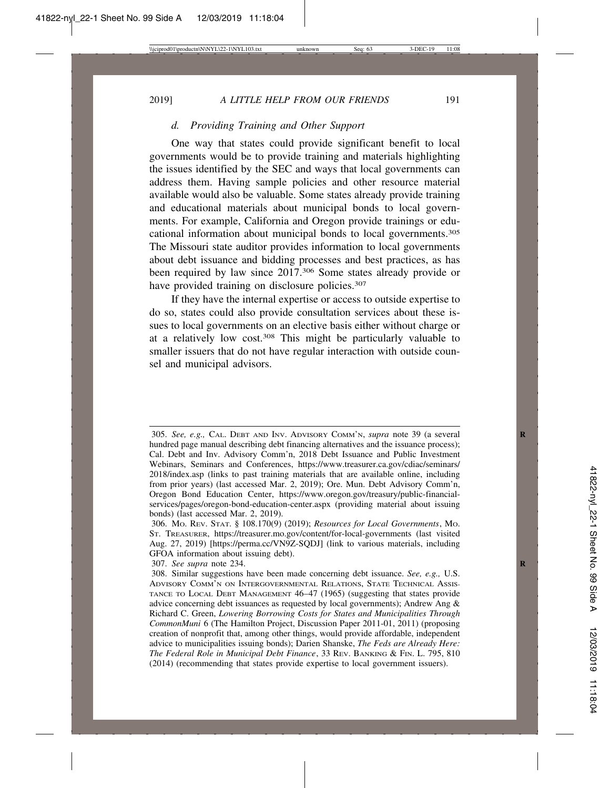## *d. Providing Training and Other Support*

One way that states could provide significant benefit to local governments would be to provide training and materials highlighting the issues identified by the SEC and ways that local governments can address them. Having sample policies and other resource material available would also be valuable. Some states already provide training and educational materials about municipal bonds to local governments. For example, California and Oregon provide trainings or educational information about municipal bonds to local governments.305 The Missouri state auditor provides information to local governments about debt issuance and bidding processes and best practices, as has been required by law since 2017.306 Some states already provide or have provided training on disclosure policies.<sup>307</sup>

If they have the internal expertise or access to outside expertise to do so, states could also provide consultation services about these issues to local governments on an elective basis either without charge or at a relatively low cost.308 This might be particularly valuable to smaller issuers that do not have regular interaction with outside counsel and municipal advisors.

<sup>305.</sup> *See, e.g.,* CAL. DEBT AND INV. ADVISORY COMM'N, *supra* note 39 (a several **R** hundred page manual describing debt financing alternatives and the issuance process); Cal. Debt and Inv. Advisory Comm'n, 2018 Debt Issuance and Public Investment Webinars, Seminars and Conferences, https://www.treasurer.ca.gov/cdiac/seminars/ 2018/index.asp (links to past training materials that are available online, including from prior years) (last accessed Mar. 2, 2019); Ore. Mun. Debt Advisory Comm'n, Oregon Bond Education Center, https://www.oregon.gov/treasury/public-financialservices/pages/oregon-bond-education-center.aspx (providing material about issuing bonds) (last accessed Mar. 2, 2019).

<sup>306.</sup> MO. REV. STAT. § 108.170(9) (2019); *Resources for Local Governments*, MO. ST. TREASURER, https://treasurer.mo.gov/content/for-local-governments (last visited Aug. 27, 2019) [https://perma.cc/VN9Z-SQDJ] (link to various materials, including GFOA information about issuing debt).

<sup>307.</sup> *See supra* note 234. **R**

<sup>308.</sup> Similar suggestions have been made concerning debt issuance. *See, e.g.,* U.S. ADVISORY COMM'N ON INTERGOVERNMENTAL RELATIONS, STATE TECHNICAL ASSIS-TANCE TO LOCAL DEBT MANAGEMENT 46–47 (1965) (suggesting that states provide advice concerning debt issuances as requested by local governments); Andrew Ang & Richard C. Green, *Lowering Borrowing Costs for States and Municipalities Through CommonMuni* 6 (The Hamilton Project, Discussion Paper 2011-01, 2011) (proposing creation of nonprofit that, among other things, would provide affordable, independent advice to municipalities issuing bonds); Darien Shanske, *The Feds are Already Here: The Federal Role in Municipal Debt Finance*, 33 REV. BANKING & FIN. L. 795, 810 (2014) (recommending that states provide expertise to local government issuers).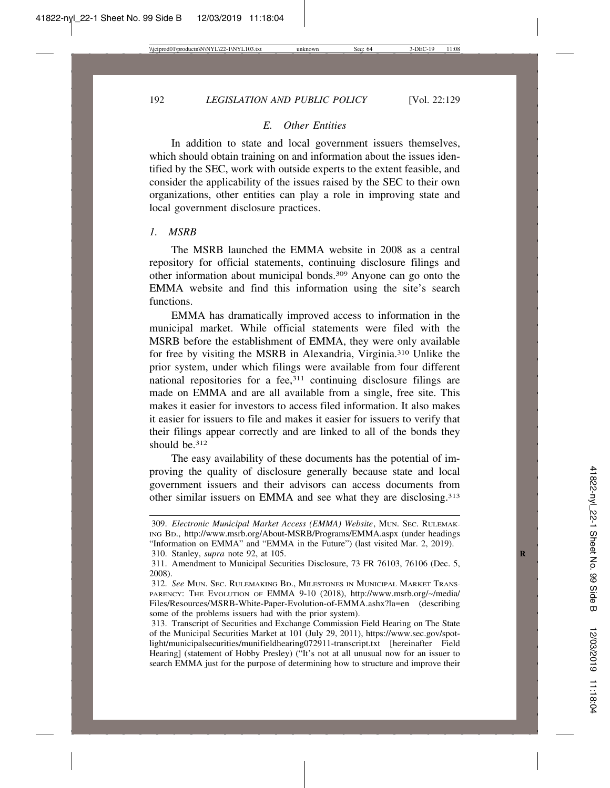## *E. Other Entities*

In addition to state and local government issuers themselves, which should obtain training on and information about the issues identified by the SEC, work with outside experts to the extent feasible, and consider the applicability of the issues raised by the SEC to their own organizations, other entities can play a role in improving state and local government disclosure practices.

## *1. MSRB*

The MSRB launched the EMMA website in 2008 as a central repository for official statements, continuing disclosure filings and other information about municipal bonds.309 Anyone can go onto the EMMA website and find this information using the site's search functions.

EMMA has dramatically improved access to information in the municipal market. While official statements were filed with the MSRB before the establishment of EMMA, they were only available for free by visiting the MSRB in Alexandria, Virginia.310 Unlike the prior system, under which filings were available from four different national repositories for a fee,311 continuing disclosure filings are made on EMMA and are all available from a single, free site. This makes it easier for investors to access filed information. It also makes it easier for issuers to file and makes it easier for issuers to verify that their filings appear correctly and are linked to all of the bonds they should be.312

The easy availability of these documents has the potential of improving the quality of disclosure generally because state and local government issuers and their advisors can access documents from other similar issuers on EMMA and see what they are disclosing.313

<sup>309.</sup> *Electronic Municipal Market Access (EMMA) Website*, MUN. SEC. RULEMAK-ING BD., http://www.msrb.org/About-MSRB/Programs/EMMA.aspx (under headings "Information on EMMA" and "EMMA in the Future") (last visited Mar. 2, 2019). 310. Stanley, *supra* note 92, at 105. **R**

<sup>311.</sup> Amendment to Municipal Securities Disclosure, 73 FR 76103, 76106 (Dec. 5, 2008).

<sup>312.</sup> *See* MUN. SEC. RULEMAKING BD., MILESTONES IN MUNICIPAL MARKET TRANS-PARENCY: THE EVOLUTION OF EMMA 9-10 (2018), http://www.msrb.org/~/media/ Files/Resources/MSRB-White-Paper-Evolution-of-EMMA.ashx?la=en (describing some of the problems issuers had with the prior system).

<sup>313.</sup> Transcript of Securities and Exchange Commission Field Hearing on The State of the Municipal Securities Market at 101 (July 29, 2011), https://www.sec.gov/spotlight/municipalsecurities/munifieldhearing072911-transcript.txt [hereinafter Field Hearing] (statement of Hobby Presley) ("It's not at all unusual now for an issuer to search EMMA just for the purpose of determining how to structure and improve their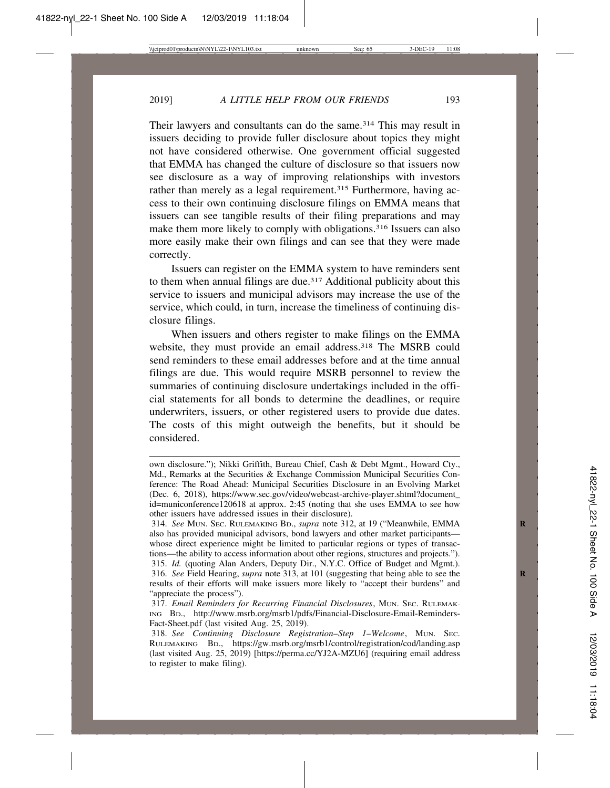Their lawyers and consultants can do the same.<sup>314</sup> This may result in issuers deciding to provide fuller disclosure about topics they might not have considered otherwise. One government official suggested that EMMA has changed the culture of disclosure so that issuers now see disclosure as a way of improving relationships with investors rather than merely as a legal requirement.<sup>315</sup> Furthermore, having access to their own continuing disclosure filings on EMMA means that issuers can see tangible results of their filing preparations and may make them more likely to comply with obligations.<sup>316</sup> Issuers can also more easily make their own filings and can see that they were made correctly.

Issuers can register on the EMMA system to have reminders sent to them when annual filings are due.<sup>317</sup> Additional publicity about this service to issuers and municipal advisors may increase the use of the service, which could, in turn, increase the timeliness of continuing disclosure filings.

When issuers and others register to make filings on the EMMA website, they must provide an email address.<sup>318</sup> The MSRB could send reminders to these email addresses before and at the time annual filings are due. This would require MSRB personnel to review the summaries of continuing disclosure undertakings included in the official statements for all bonds to determine the deadlines, or require underwriters, issuers, or other registered users to provide due dates. The costs of this might outweigh the benefits, but it should be considered.

own disclosure."); Nikki Griffith, Bureau Chief, Cash & Debt Mgmt., Howard Cty., Md., Remarks at the Securities & Exchange Commission Municipal Securities Conference: The Road Ahead: Municipal Securities Disclosure in an Evolving Market (Dec. 6, 2018), https://www.sec.gov/video/webcast-archive-player.shtml?document\_ id=municonference120618 at approx. 2:45 (noting that she uses EMMA to see how other issuers have addressed issues in their disclosure).

<sup>314.</sup> *See* MUN. SEC. RULEMAKING BD., *supra* note 312, at 19 ("Meanwhile, EMMA **R** also has provided municipal advisors, bond lawyers and other market participants whose direct experience might be limited to particular regions or types of transactions—the ability to access information about other regions, structures and projects."). 315. *Id.* (quoting Alan Anders, Deputy Dir., N.Y.C. Office of Budget and Mgmt.). 316. *See* Field Hearing, *supra* note 313, at 101 (suggesting that being able to see the **R** results of their efforts will make issuers more likely to "accept their burdens" and "appreciate the process").

<sup>317.</sup> *Email Reminders for Recurring Financial Disclosures*, MUN. SEC. RULEMAK-ING BD., http://www.msrb.org/msrb1/pdfs/Financial-Disclosure-Email-Reminders-Fact-Sheet.pdf (last visited Aug. 25, 2019).

<sup>318.</sup> *See Continuing Disclosure Registration–Step 1–Welcome*, MUN. SEC. RULEMAKING BD., https://gw.msrb.org/msrb1/control/registration/cod/landing.asp (last visited Aug. 25, 2019) [https://perma.cc/YJ2A-MZU6] (requiring email address to register to make filing).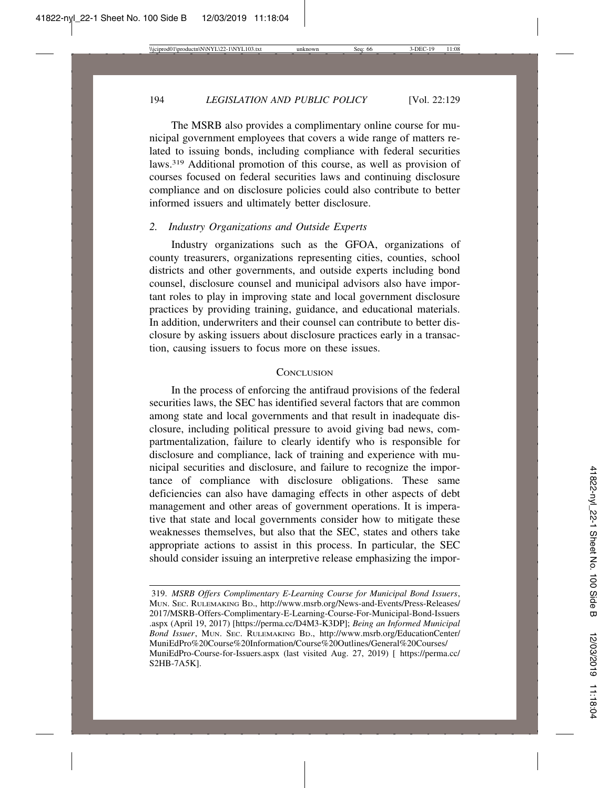The MSRB also provides a complimentary online course for municipal government employees that covers a wide range of matters related to issuing bonds, including compliance with federal securities laws.319 Additional promotion of this course, as well as provision of courses focused on federal securities laws and continuing disclosure compliance and on disclosure policies could also contribute to better informed issuers and ultimately better disclosure.

# *2. Industry Organizations and Outside Experts*

Industry organizations such as the GFOA, organizations of county treasurers, organizations representing cities, counties, school districts and other governments, and outside experts including bond counsel, disclosure counsel and municipal advisors also have important roles to play in improving state and local government disclosure practices by providing training, guidance, and educational materials. In addition, underwriters and their counsel can contribute to better disclosure by asking issuers about disclosure practices early in a transaction, causing issuers to focus more on these issues.

#### **CONCLUSION**

In the process of enforcing the antifraud provisions of the federal securities laws, the SEC has identified several factors that are common among state and local governments and that result in inadequate disclosure, including political pressure to avoid giving bad news, compartmentalization, failure to clearly identify who is responsible for disclosure and compliance, lack of training and experience with municipal securities and disclosure, and failure to recognize the importance of compliance with disclosure obligations. These same deficiencies can also have damaging effects in other aspects of debt management and other areas of government operations. It is imperative that state and local governments consider how to mitigate these weaknesses themselves, but also that the SEC, states and others take appropriate actions to assist in this process. In particular, the SEC should consider issuing an interpretive release emphasizing the impor-

<sup>319.</sup> *MSRB Offers Complimentary E-Learning Course for Municipal Bond Issuers*, MUN. SEC. RULEMAKING BD., http://www.msrb.org/News-and-Events/Press-Releases/ 2017/MSRB-Offers-Complimentary-E-Learning-Course-For-Municipal-Bond-Issuers .aspx (April 19, 2017) [https://perma.cc/D4M3-K3DP]; *Being an Informed Municipal Bond Issuer*, MUN. SEC. RULEMAKING BD., http://www.msrb.org/EducationCenter/ MuniEdPro%20Course%20Information/Course%20Outlines/General%20Courses/ MuniEdPro-Course-for-Issuers.aspx (last visited Aug. 27, 2019) [ https://perma.cc/ S2HB-7A5K].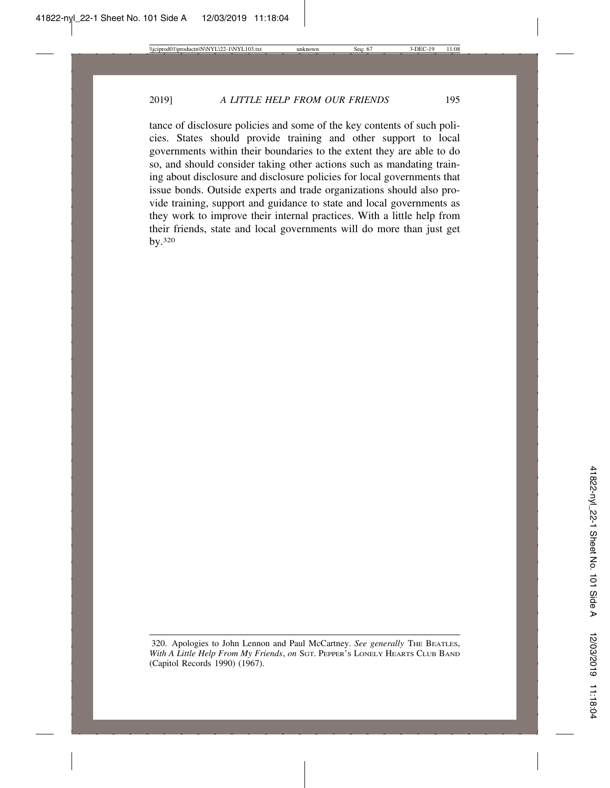tance of disclosure policies and some of the key contents of such policies. States should provide training and other support to local governments within their boundaries to the extent they are able to do so, and should consider taking other actions such as mandating training about disclosure and disclosure policies for local governments that issue bonds. Outside experts and trade organizations should also provide training, support and guidance to state and local governments as they work to improve their internal practices. With a little help from their friends, state and local governments will do more than just get by.320

<sup>320.</sup> Apologies to John Lennon and Paul McCartney. *See generally* THE BEATLES, *With A Little Help From My Friends*, *on* SGT. PEPPER'S LONELY HEARTS CLUB BAND (Capitol Records 1990) (1967).